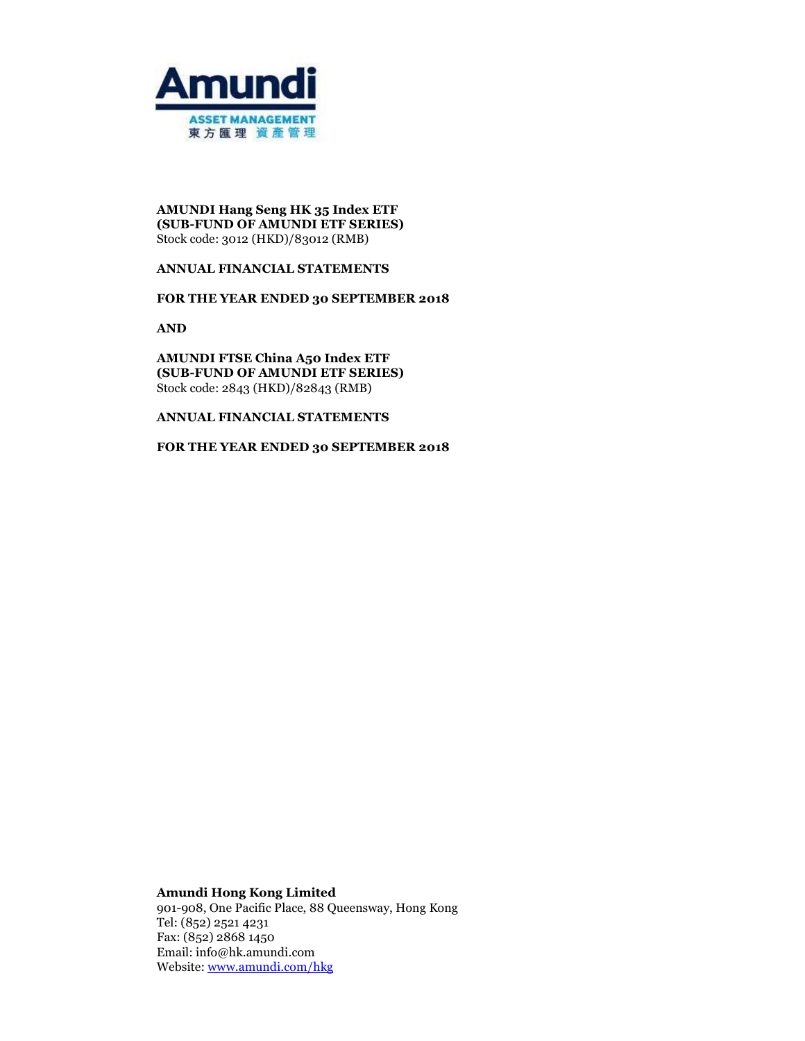

# AMUNDI Hang Seng HK 35 Index ETF (SUB-FUND OF AMUNDI ETF SERIES) Stock code: 3012 (HKD)/83012 (RMB)

# ANNUAL FINANCIAL STATEMENTS

## FOR THE YEAR ENDED 30 SEPTEMBER 2018

AND

AMUNDI FTSE China A50 Index ETF (SUB-FUND OF AMUNDI ETF SERIES) Stock code: 2843 (HKD)/82843 (RMB)

ANNUAL FINANCIAL STATEMENTS

FOR THE YEAR ENDED 30 SEPTEMBER 2018

Amundi Hong Kong Limited 901-908, One Pacific Place, 88 Queensway, Hong Kong Tel: (852) 2521 4231 Fax: (852) 2868 1450 Email: info@hk.amundi.com Website: www.amundi.com/hkg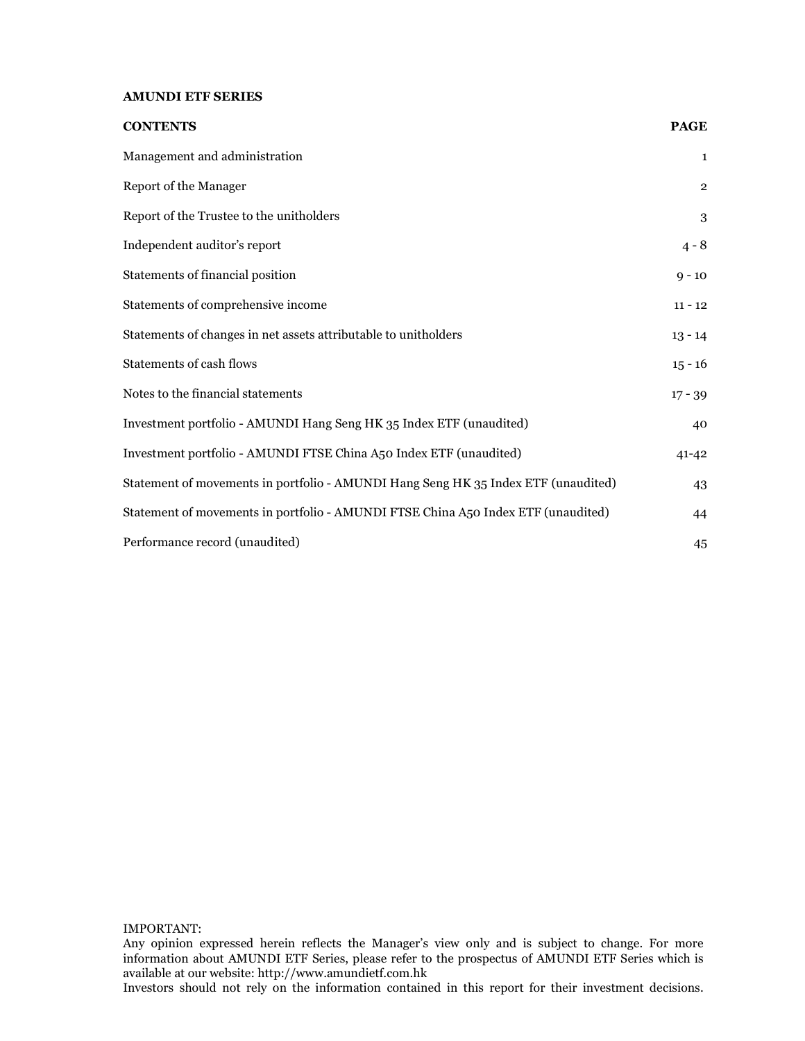| <b>CONTENTS</b>                                                                    | <b>PAGE</b>    |
|------------------------------------------------------------------------------------|----------------|
| Management and administration                                                      | $\mathbf{1}$   |
| Report of the Manager                                                              | $\overline{2}$ |
| Report of the Trustee to the unitholders                                           | 3              |
| Independent auditor's report                                                       | $4 - 8$        |
| Statements of financial position                                                   | $9 - 10$       |
| Statements of comprehensive income                                                 | $11 - 12$      |
| Statements of changes in net assets attributable to unitholders                    | $13 - 14$      |
| Statements of cash flows                                                           | $15 - 16$      |
| Notes to the financial statements                                                  | $17 - 39$      |
| Investment portfolio - AMUNDI Hang Seng HK 35 Index ETF (unaudited)                | 40             |
| Investment portfolio - AMUNDI FTSE China A50 Index ETF (unaudited)                 | $41 - 42$      |
| Statement of movements in portfolio - AMUNDI Hang Seng HK 35 Index ETF (unaudited) | 43             |
| Statement of movements in portfolio - AMUNDI FTSE China A50 Index ETF (unaudited)  | 44             |
| Performance record (unaudited)                                                     | 45             |

## IMPORTANT:

Investors should not rely on the information contained in this report for their investment decisions.

Any opinion expressed herein reflects the Manager's view only and is subject to change. For more information about AMUNDI ETF Series, please refer to the prospectus of AMUNDI ETF Series which is available at our website: http://www.amundietf.com.hk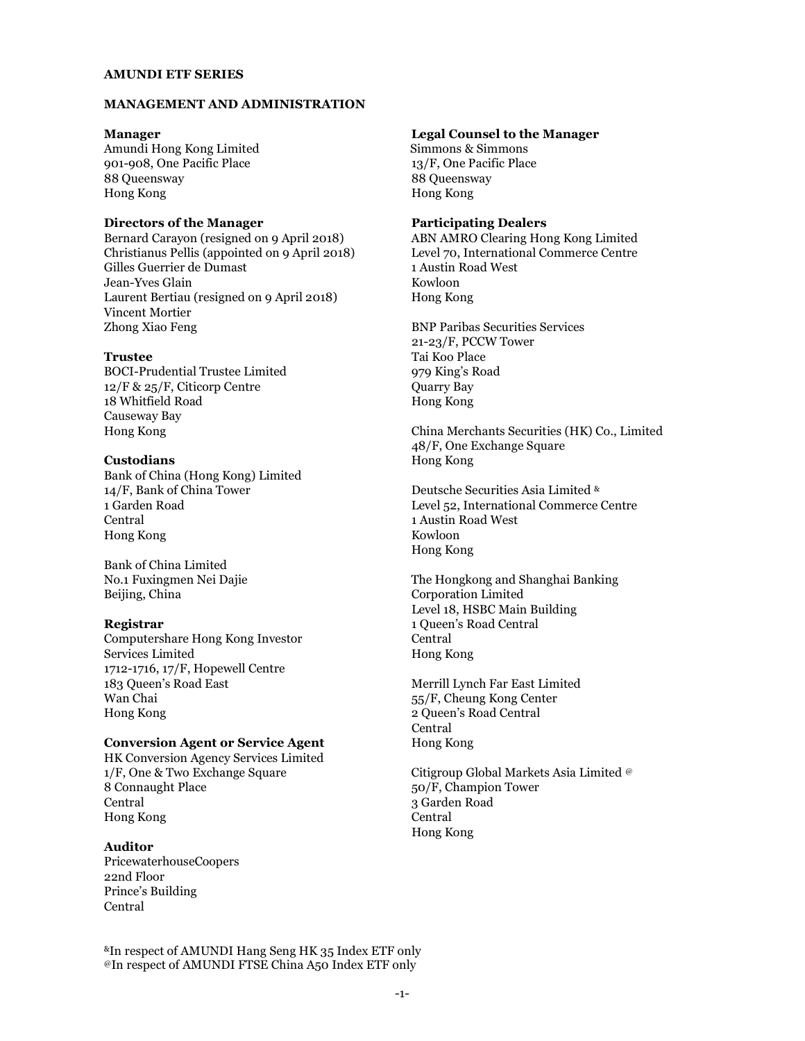## MANAGEMENT AND ADMINISTRATION

Amundi Hong Kong Limited Simmons & Simmons & Simmons 901-908, One Pacific Place 13/F, One Pacific Place 88 Queensway 88 Queensway Hong Kong Hong Kong

Bernard Carayon (resigned on 9 April 2018) Christianus Pellis (appointed on 9 April 2018) Level 70, International Commerce Centre Gilles Guerrier de Dumast 1 Austin Road West Jean-Yves Glain Kowloon Laurent Bertiau (resigned on 9 April 2018) Hong Kong Vincent Mortier Zhong Xiao Feng BNP Paribas Securities Services

BOCI-Prudential Trustee Limited 979 King's Road  $12/F$  &  $25/F$ , Citicorp Centre Quarry Bay 18 Whitfield Road Hong Kong Causeway Bay

#### **Custodians** Hong Kong

Bank of China (Hong Kong) Limited 14/F, Bank of China Tower **Deutsche Securities Asia Limited &**<br>1 Garden Road **Deutsche Securities Asia Limited &** Central 1 Austin Road West Hong Kong Kowloon

Bank of China Limited Beijing, China Corporation Limited

Computershare Hong Kong Investor Central Services Limited Hong Kong 1712-1716, 17/F, Hopewell Centre 183 Queen's Road East Merrill Lynch Far East Limited Wan Chai 55/F, Cheung Kong Center Hong Kong 2 Queen's Road Central

#### Conversion Agent or Service Agent Hong Kong

HK Conversion Agency Services Limited 1/F, One & Two Exchange Square Citigroup Global Markets Asia Limited @ 8 Connaught Place 50/F, Champion Tower Central 3 Garden Road Hong Kong Central

## Auditor

PricewaterhouseCoopers 22nd Floor Prince's Building Central

### Manager Legal Counsel to the Manager

Directors of the Manager<br>
Bernard Carayon (resigned on 9 April 2018) ABN AMRO Clearing Hong Kong Limited

 21-23/F, PCCW Tower Trustee Tai Koo Place

Hong Kong China Merchants Securities (HK) Co., Limited 48/F, One Exchange Square

> Level 52, International Commerce Centre Hong Kong

No.1 Fuxingmen Nei Dajie The Hongkong and Shanghai Banking Level 18, HSBC Main Building Registrar 1 Queen's Road Central

Central

Hong Kong

&In respect of AMUNDI Hang Seng HK 35 Index ETF only @In respect of AMUNDI FTSE China A50 Index ETF only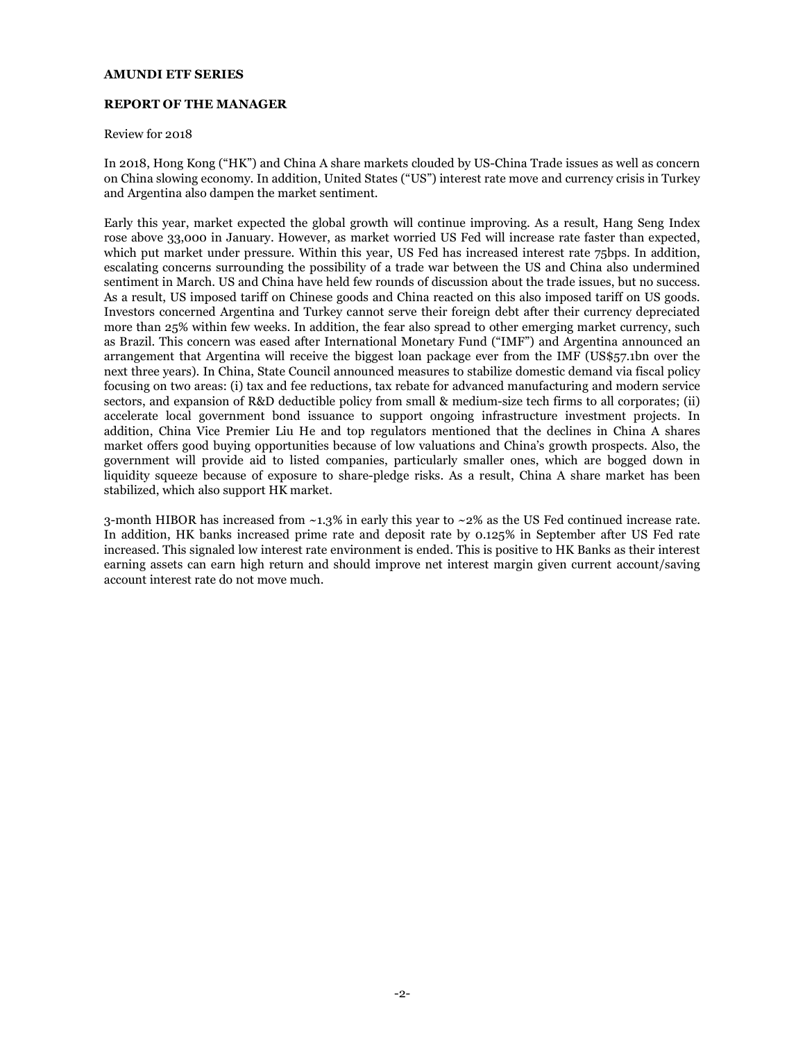## REPORT OF THE MANAGER

#### Review for 2018

In 2018, Hong Kong ("HK") and China A share markets clouded by US-China Trade issues as well as concern on China slowing economy. In addition, United States ("US") interest rate move and currency crisis in Turkey and Argentina also dampen the market sentiment.

Early this year, market expected the global growth will continue improving. As a result, Hang Seng Index rose above 33,000 in January. However, as market worried US Fed will increase rate faster than expected, which put market under pressure. Within this year, US Fed has increased interest rate 75bps. In addition, escalating concerns surrounding the possibility of a trade war between the US and China also undermined sentiment in March. US and China have held few rounds of discussion about the trade issues, but no success. As a result, US imposed tariff on Chinese goods and China reacted on this also imposed tariff on US goods. Investors concerned Argentina and Turkey cannot serve their foreign debt after their currency depreciated more than 25% within few weeks. In addition, the fear also spread to other emerging market currency, such as Brazil. This concern was eased after International Monetary Fund ("IMF") and Argentina announced an arrangement that Argentina will receive the biggest loan package ever from the IMF (US\$57.1bn over the next three years). In China, State Council announced measures to stabilize domestic demand via fiscal policy focusing on two areas: (i) tax and fee reductions, tax rebate for advanced manufacturing and modern service sectors, and expansion of R&D deductible policy from small & medium-size tech firms to all corporates; (ii) accelerate local government bond issuance to support ongoing infrastructure investment projects. In addition, China Vice Premier Liu He and top regulators mentioned that the declines in China A shares market offers good buying opportunities because of low valuations and China's growth prospects. Also, the government will provide aid to listed companies, particularly smaller ones, which are bogged down in liquidity squeeze because of exposure to share-pledge risks. As a result, China A share market has been stabilized, which also support HK market.

3-month HIBOR has increased from ~1.3% in early this year to ~2% as the US Fed continued increase rate. In addition, HK banks increased prime rate and deposit rate by 0.125% in September after US Fed rate increased. This signaled low interest rate environment is ended. This is positive to HK Banks as their interest earning assets can earn high return and should improve net interest margin given current account/saving account interest rate do not move much.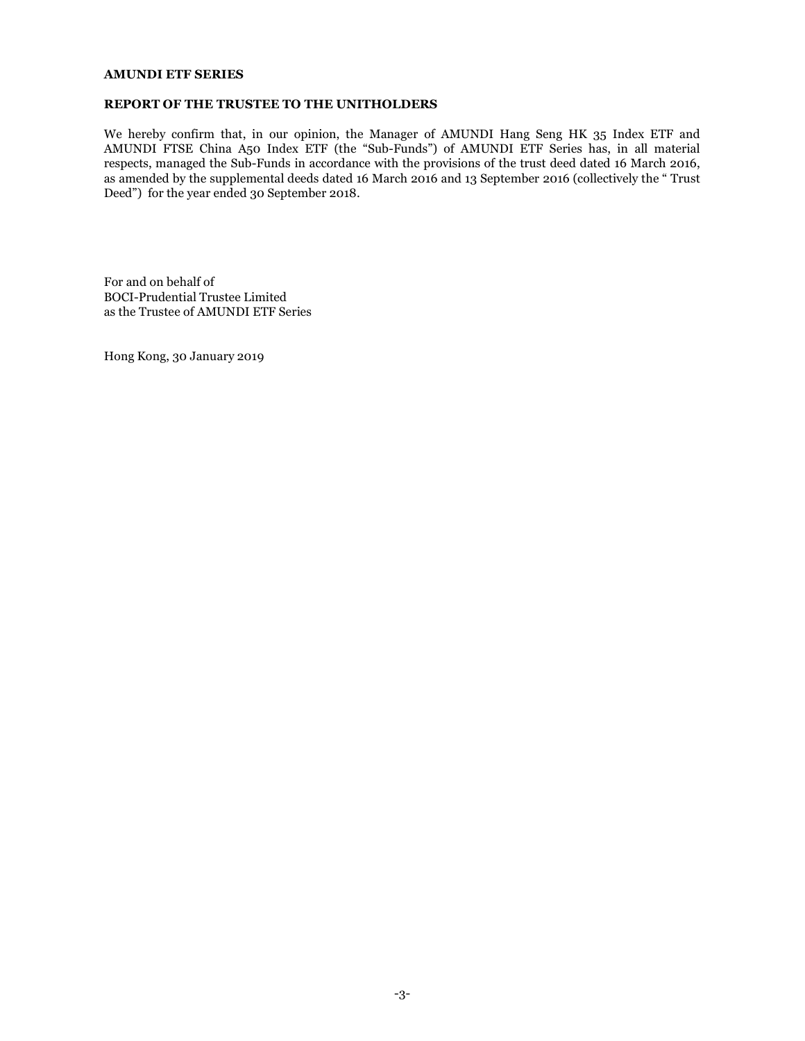## REPORT OF THE TRUSTEE TO THE UNITHOLDERS

We hereby confirm that, in our opinion, the Manager of AMUNDI Hang Seng HK 35 Index ETF and AMUNDI FTSE China A50 Index ETF (the "Sub-Funds") of AMUNDI ETF Series has, in all material respects, managed the Sub-Funds in accordance with the provisions of the trust deed dated 16 March 2016, as amended by the supplemental deeds dated 16 March 2016 and 13 September 2016 (collectively the " Trust Deed") for the year ended 30 September 2018.

For and on behalf of BOCI-Prudential Trustee Limited as the Trustee of AMUNDI ETF Series

Hong Kong, 30 January 2019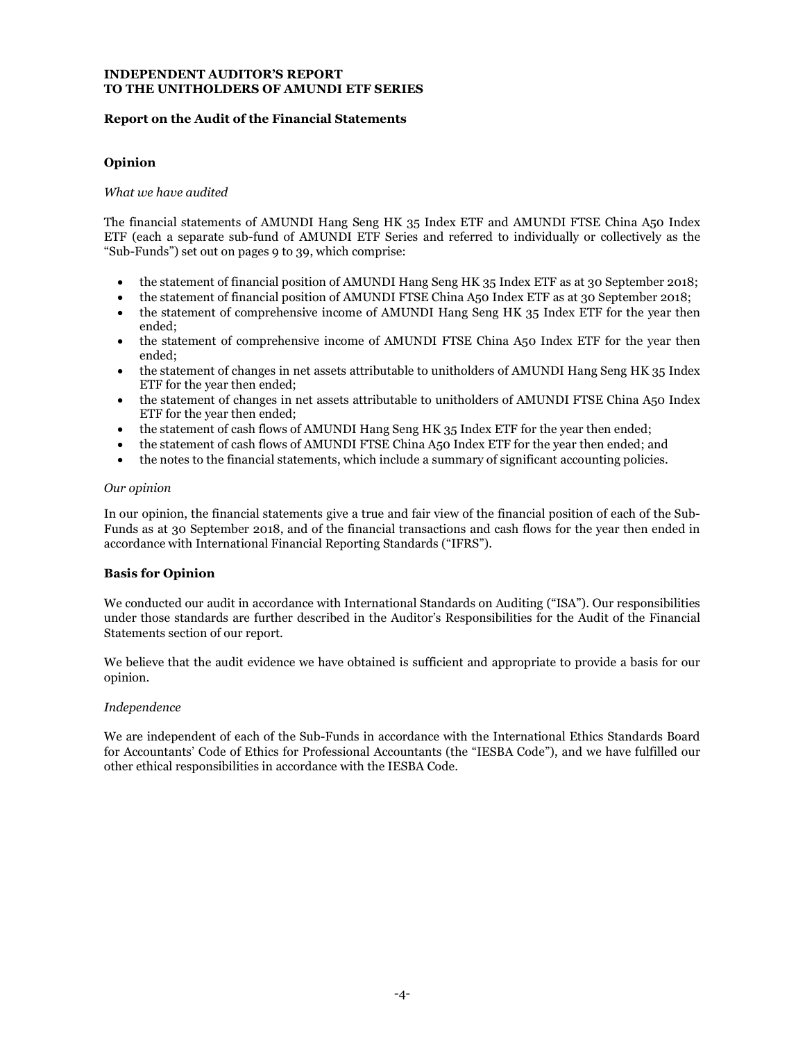## Report on the Audit of the Financial Statements

## Opinion

## What we have audited

The financial statements of AMUNDI Hang Seng HK 35 Index ETF and AMUNDI FTSE China A50 Index ETF (each a separate sub-fund of AMUNDI ETF Series and referred to individually or collectively as the "Sub-Funds") set out on pages 9 to 39, which comprise:

- the statement of financial position of AMUNDI Hang Seng HK 35 Index ETF as at 30 September 2018;
- the statement of financial position of AMUNDI FTSE China A50 Index ETF as at 30 September 2018;
- the statement of comprehensive income of AMUNDI Hang Seng HK 35 Index ETF for the year then ended;
- the statement of comprehensive income of AMUNDI FTSE China A50 Index ETF for the year then ended;
- the statement of changes in net assets attributable to unitholders of AMUNDI Hang Seng HK 35 Index ETF for the year then ended;
- the statement of changes in net assets attributable to unitholders of AMUNDI FTSE China A50 Index ETF for the year then ended;
- the statement of cash flows of AMUNDI Hang Seng HK 35 Index ETF for the year then ended;
- the statement of cash flows of AMUNDI FTSE China A50 Index ETF for the year then ended; and
- the notes to the financial statements, which include a summary of significant accounting policies.

## Our opinion

In our opinion, the financial statements give a true and fair view of the financial position of each of the Sub-Funds as at 30 September 2018, and of the financial transactions and cash flows for the year then ended in accordance with International Financial Reporting Standards ("IFRS").

## Basis for Opinion

We conducted our audit in accordance with International Standards on Auditing ("ISA"). Our responsibilities under those standards are further described in the Auditor's Responsibilities for the Audit of the Financial Statements section of our report.

We believe that the audit evidence we have obtained is sufficient and appropriate to provide a basis for our opinion.

## Independence

We are independent of each of the Sub-Funds in accordance with the International Ethics Standards Board for Accountants' Code of Ethics for Professional Accountants (the "IESBA Code"), and we have fulfilled our other ethical responsibilities in accordance with the IESBA Code.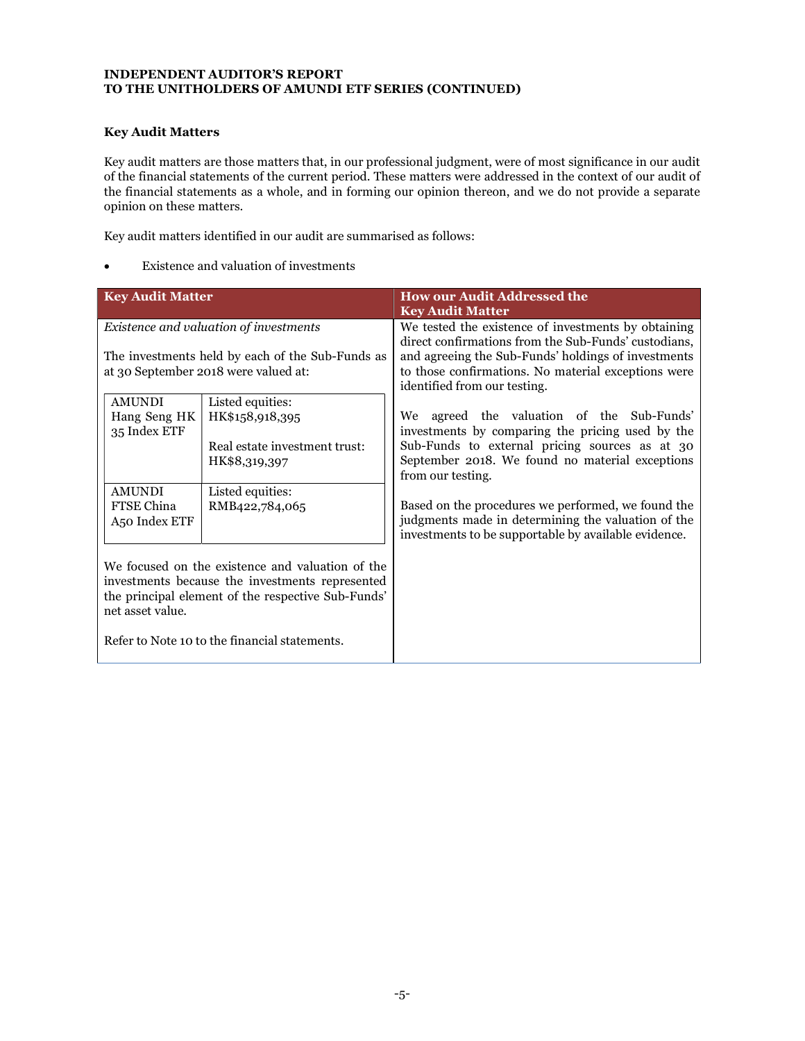# Key Audit Matters

Key audit matters are those matters that, in our professional judgment, were of most significance in our audit of the financial statements of the current period. These matters were addressed in the context of our audit of the financial statements as a whole, and in forming our opinion thereon, and we do not provide a separate opinion on these matters.

Key audit matters identified in our audit are summarised as follows:

# Existence and valuation of investments

| <b>Key Audit Matter</b>      |                                                                                                                                                                                                            | <b>How our Audit Addressed the</b><br><b>Key Audit Matter</b>                                                                              |
|------------------------------|------------------------------------------------------------------------------------------------------------------------------------------------------------------------------------------------------------|--------------------------------------------------------------------------------------------------------------------------------------------|
|                              | Existence and valuation of investments                                                                                                                                                                     | We tested the existence of investments by obtaining<br>direct confirmations from the Sub-Funds' custodians,                                |
|                              | The investments held by each of the Sub-Funds as<br>at 30 September 2018 were valued at:                                                                                                                   | and agreeing the Sub-Funds' holdings of investments<br>to those confirmations. No material exceptions were<br>identified from our testing. |
| <b>AMUNDI</b>                | Listed equities:                                                                                                                                                                                           |                                                                                                                                            |
| Hang Seng HK<br>35 Index ETF | HK\$158,918,395                                                                                                                                                                                            | We agreed the valuation of the Sub-Funds'<br>investments by comparing the pricing used by the                                              |
|                              | Real estate investment trust:                                                                                                                                                                              | Sub-Funds to external pricing sources as at 30                                                                                             |
|                              | HK\$8,319,397                                                                                                                                                                                              | September 2018. We found no material exceptions<br>from our testing.                                                                       |
| <b>AMUNDI</b>                | Listed equities:                                                                                                                                                                                           |                                                                                                                                            |
| FTSE China                   | RMB422,784,065                                                                                                                                                                                             | Based on the procedures we performed, we found the                                                                                         |
| A50 Index ETF                |                                                                                                                                                                                                            | judgments made in determining the valuation of the<br>investments to be supportable by available evidence.                                 |
| net asset value.             | We focused on the existence and valuation of the<br>investments because the investments represented<br>the principal element of the respective Sub-Funds'<br>Refer to Note 10 to the financial statements. |                                                                                                                                            |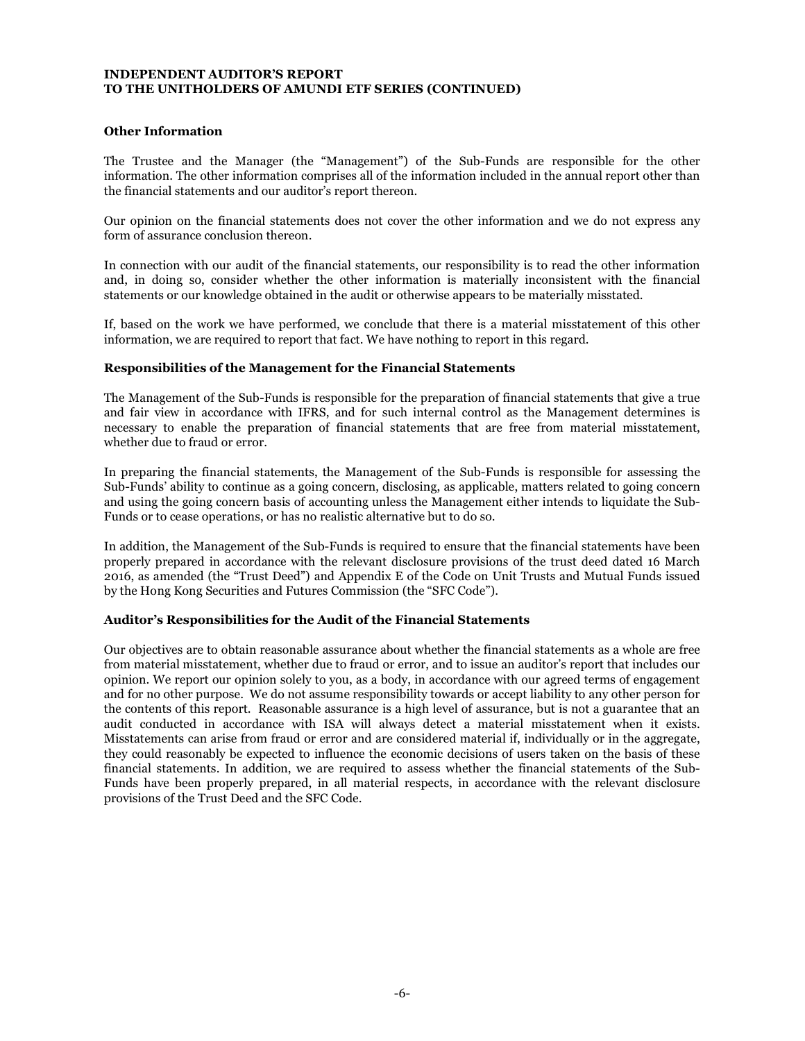## Other Information

The Trustee and the Manager (the "Management") of the Sub-Funds are responsible for the other information. The other information comprises all of the information included in the annual report other than the financial statements and our auditor's report thereon.

Our opinion on the financial statements does not cover the other information and we do not express any form of assurance conclusion thereon.

In connection with our audit of the financial statements, our responsibility is to read the other information and, in doing so, consider whether the other information is materially inconsistent with the financial statements or our knowledge obtained in the audit or otherwise appears to be materially misstated.

If, based on the work we have performed, we conclude that there is a material misstatement of this other information, we are required to report that fact. We have nothing to report in this regard.

## Responsibilities of the Management for the Financial Statements

The Management of the Sub-Funds is responsible for the preparation of financial statements that give a true and fair view in accordance with IFRS, and for such internal control as the Management determines is necessary to enable the preparation of financial statements that are free from material misstatement, whether due to fraud or error.

In preparing the financial statements, the Management of the Sub-Funds is responsible for assessing the Sub-Funds' ability to continue as a going concern, disclosing, as applicable, matters related to going concern and using the going concern basis of accounting unless the Management either intends to liquidate the Sub-Funds or to cease operations, or has no realistic alternative but to do so.

In addition, the Management of the Sub-Funds is required to ensure that the financial statements have been properly prepared in accordance with the relevant disclosure provisions of the trust deed dated 16 March 2016, as amended (the "Trust Deed") and Appendix E of the Code on Unit Trusts and Mutual Funds issued by the Hong Kong Securities and Futures Commission (the "SFC Code").

## Auditor's Responsibilities for the Audit of the Financial Statements

Our objectives are to obtain reasonable assurance about whether the financial statements as a whole are free from material misstatement, whether due to fraud or error, and to issue an auditor's report that includes our opinion. We report our opinion solely to you, as a body, in accordance with our agreed terms of engagement and for no other purpose. We do not assume responsibility towards or accept liability to any other person for the contents of this report. Reasonable assurance is a high level of assurance, but is not a guarantee that an audit conducted in accordance with ISA will always detect a material misstatement when it exists. Misstatements can arise from fraud or error and are considered material if, individually or in the aggregate, they could reasonably be expected to influence the economic decisions of users taken on the basis of these financial statements. In addition, we are required to assess whether the financial statements of the Sub-Funds have been properly prepared, in all material respects, in accordance with the relevant disclosure provisions of the Trust Deed and the SFC Code.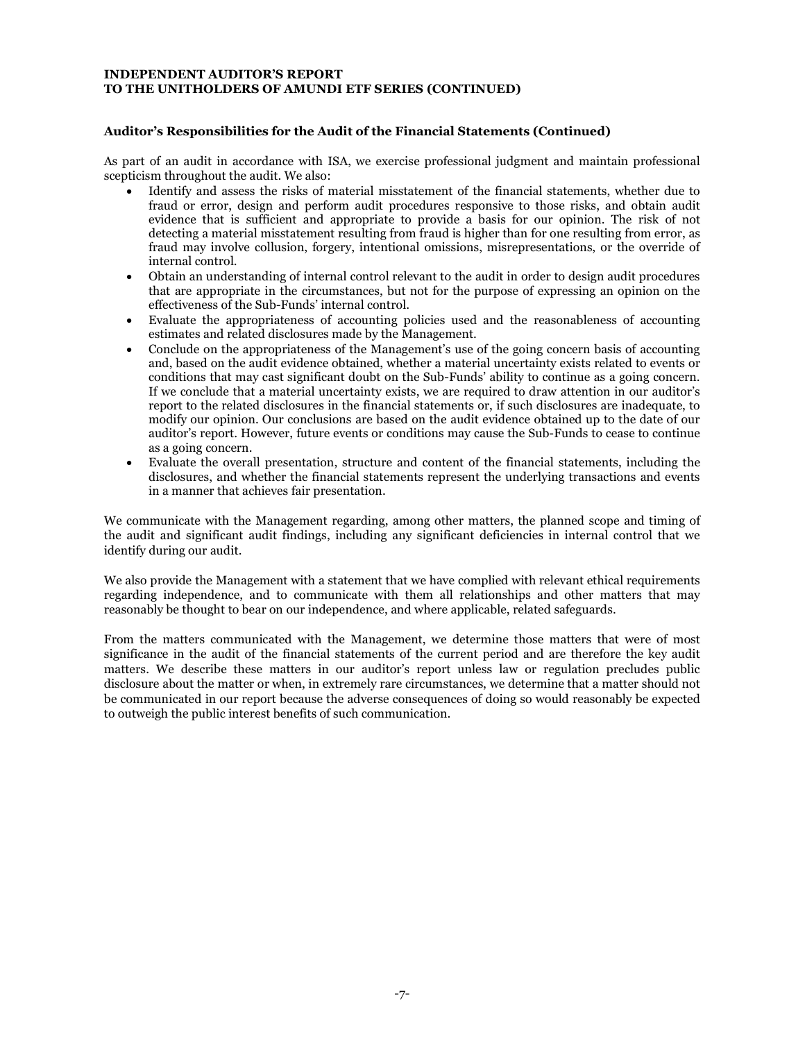## Auditor's Responsibilities for the Audit of the Financial Statements (Continued)

As part of an audit in accordance with ISA, we exercise professional judgment and maintain professional scepticism throughout the audit. We also:

- Identify and assess the risks of material misstatement of the financial statements, whether due to fraud or error, design and perform audit procedures responsive to those risks, and obtain audit evidence that is sufficient and appropriate to provide a basis for our opinion. The risk of not detecting a material misstatement resulting from fraud is higher than for one resulting from error, as fraud may involve collusion, forgery, intentional omissions, misrepresentations, or the override of internal control.
- Obtain an understanding of internal control relevant to the audit in order to design audit procedures that are appropriate in the circumstances, but not for the purpose of expressing an opinion on the effectiveness of the Sub-Funds' internal control.
- Evaluate the appropriateness of accounting policies used and the reasonableness of accounting estimates and related disclosures made by the Management.
- Conclude on the appropriateness of the Management's use of the going concern basis of accounting and, based on the audit evidence obtained, whether a material uncertainty exists related to events or conditions that may cast significant doubt on the Sub-Funds' ability to continue as a going concern. If we conclude that a material uncertainty exists, we are required to draw attention in our auditor's report to the related disclosures in the financial statements or, if such disclosures are inadequate, to modify our opinion. Our conclusions are based on the audit evidence obtained up to the date of our auditor's report. However, future events or conditions may cause the Sub-Funds to cease to continue as a going concern.
- Evaluate the overall presentation, structure and content of the financial statements, including the disclosures, and whether the financial statements represent the underlying transactions and events in a manner that achieves fair presentation.

We communicate with the Management regarding, among other matters, the planned scope and timing of the audit and significant audit findings, including any significant deficiencies in internal control that we identify during our audit.

We also provide the Management with a statement that we have complied with relevant ethical requirements regarding independence, and to communicate with them all relationships and other matters that may reasonably be thought to bear on our independence, and where applicable, related safeguards.

From the matters communicated with the Management, we determine those matters that were of most significance in the audit of the financial statements of the current period and are therefore the key audit matters. We describe these matters in our auditor's report unless law or regulation precludes public disclosure about the matter or when, in extremely rare circumstances, we determine that a matter should not be communicated in our report because the adverse consequences of doing so would reasonably be expected to outweigh the public interest benefits of such communication.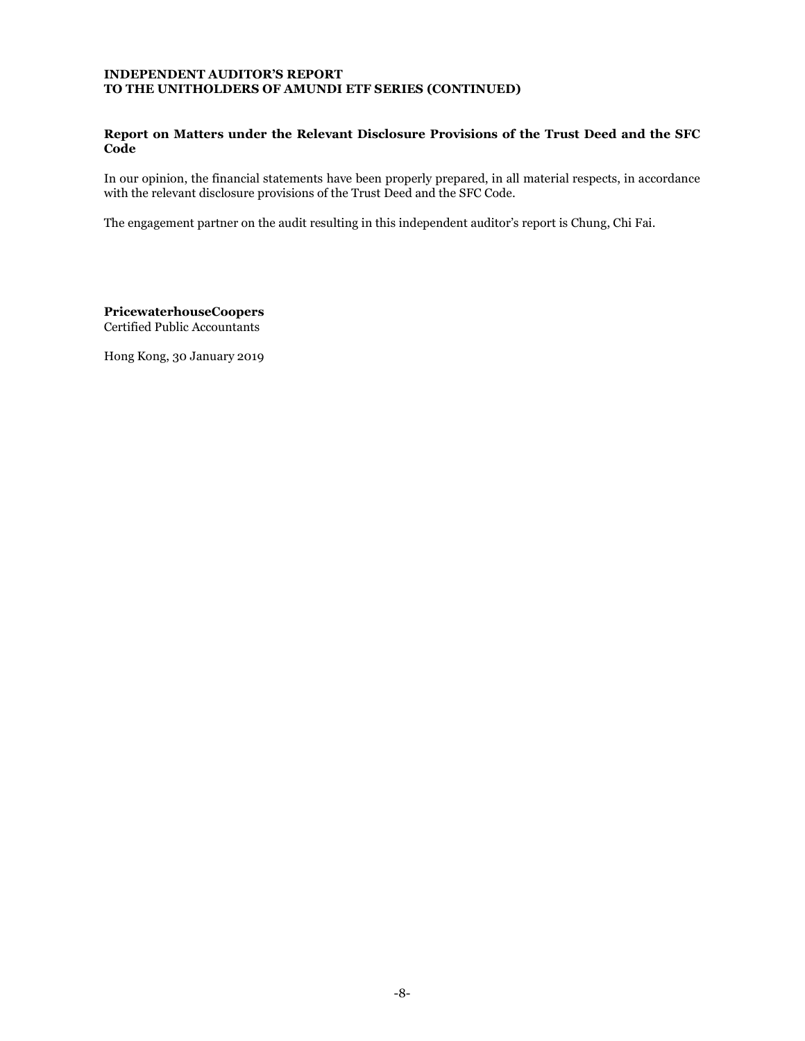# Report on Matters under the Relevant Disclosure Provisions of the Trust Deed and the SFC Code

In our opinion, the financial statements have been properly prepared, in all material respects, in accordance with the relevant disclosure provisions of the Trust Deed and the SFC Code.

The engagement partner on the audit resulting in this independent auditor's report is Chung, Chi Fai.

PricewaterhouseCoopers Certified Public Accountants

Hong Kong, 30 January 2019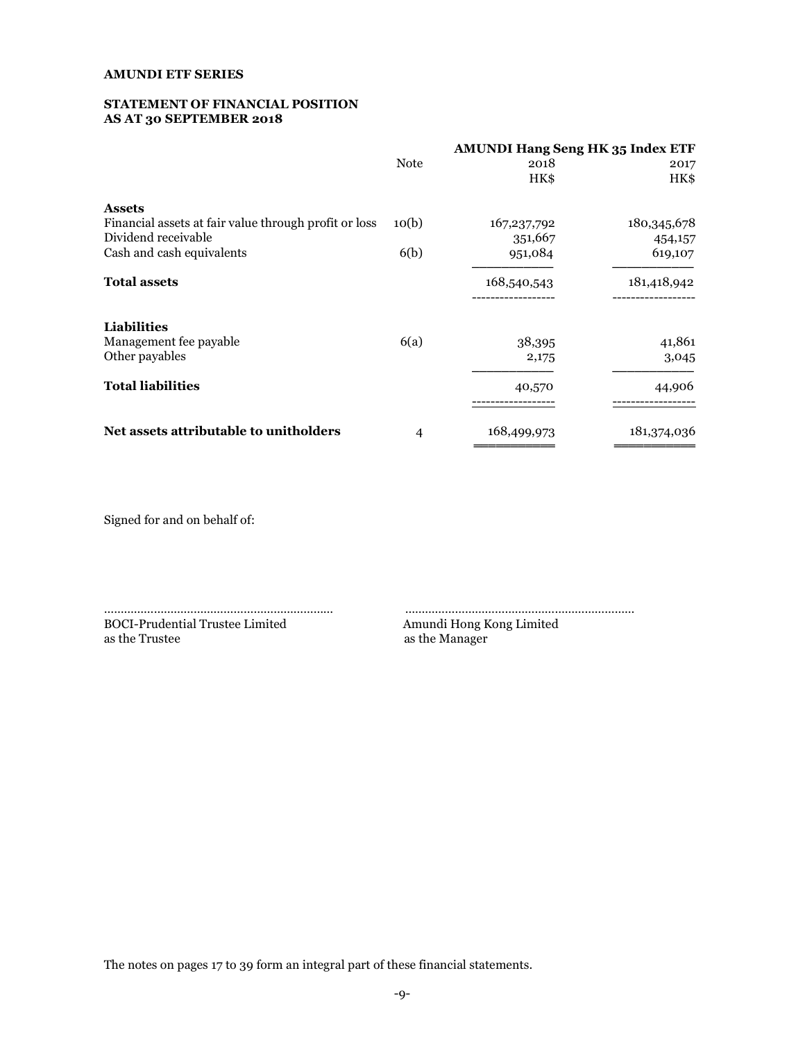# STATEMENT OF FINANCIAL POSITION AS AT 30 SEPTEMBER 2018

| <b>AMUNDI Hang Seng HK 35 Index ETF</b> |               |             |
|-----------------------------------------|---------------|-------------|
| <b>Note</b>                             | 2018          | 2017        |
|                                         | HK\$          | HK\$        |
|                                         |               |             |
| 10(b)                                   | 167, 237, 792 | 180,345,678 |
|                                         | 351,667       | 454,157     |
| 6(b)                                    | 951,084       | 619,107     |
|                                         | 168,540,543   | 181,418,942 |
|                                         |               |             |
|                                         |               | 41,861      |
|                                         | 2,175         | 3,045       |
|                                         | 40,570        | 44,906      |
|                                         |               |             |
| 4                                       | 168,499,973   | 181,374,036 |
|                                         | 6(a)          | 38,395      |

Signed for and on behalf of:

…………………………………………………………… …………………………………………………………… BOCI-Prudential Trustee Limited as the Trustee as the Manager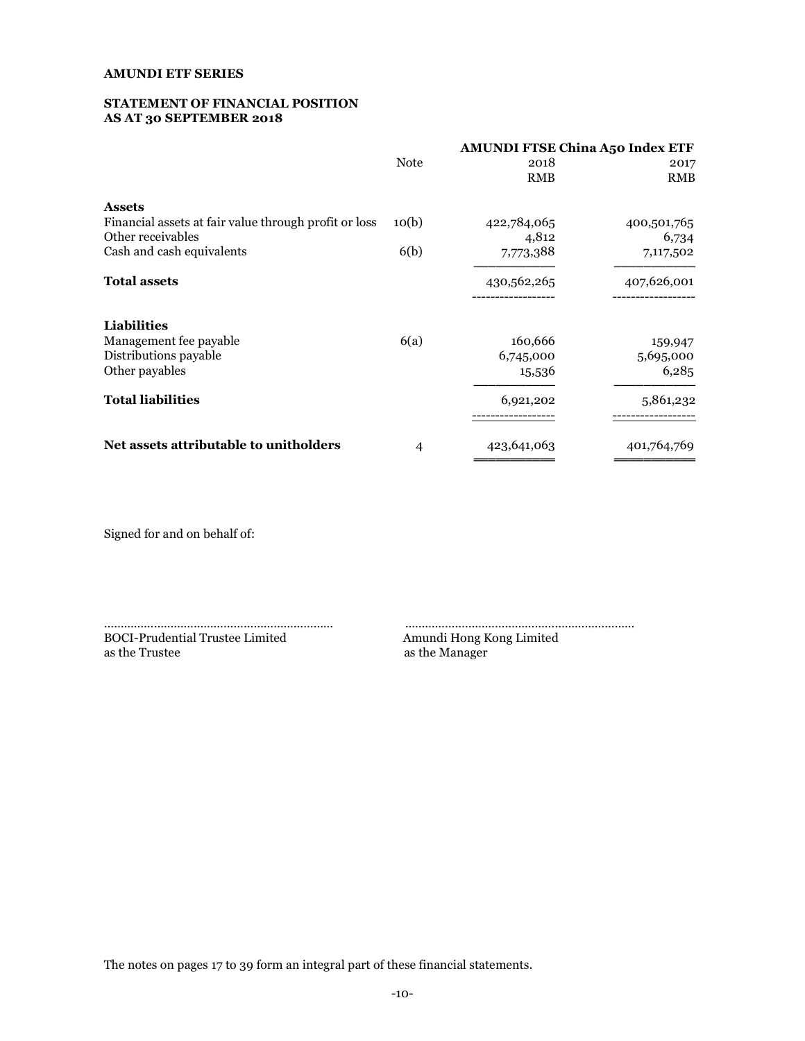# STATEMENT OF FINANCIAL POSITION AS AT 30 SEPTEMBER 2018

|                                                       | <b>AMUNDI FTSE China A50 Index ETF</b> |             |             |
|-------------------------------------------------------|----------------------------------------|-------------|-------------|
|                                                       | <b>Note</b>                            | 2018        | 2017        |
|                                                       |                                        | <b>RMB</b>  | <b>RMB</b>  |
| <b>Assets</b>                                         |                                        |             |             |
| Financial assets at fair value through profit or loss | 10(b)                                  | 422,784,065 | 400,501,765 |
| Other receivables                                     |                                        | 4,812       | 6,734       |
| Cash and cash equivalents                             | 6(b)                                   | 7,773,388   | 7,117,502   |
| <b>Total assets</b>                                   |                                        | 430,562,265 | 407,626,001 |
| Liabilities                                           |                                        |             |             |
| Management fee payable                                | 6(a)                                   | 160,666     | 159,947     |
| Distributions payable                                 |                                        | 6,745,000   | 5,695,000   |
| Other payables                                        |                                        | 15,536      | 6,285       |
| <b>Total liabilities</b>                              |                                        | 6,921,202   | 5,861,232   |
| Net assets attributable to unitholders                | 4                                      | 423,641,063 | 401,764,769 |
|                                                       |                                        |             |             |

Signed for and on behalf of:

…………………………………………………………… …………………………………………………………… BOCI-Prudential Trustee Limited Amundi Hong Kong Limited as the Trustee as the Manager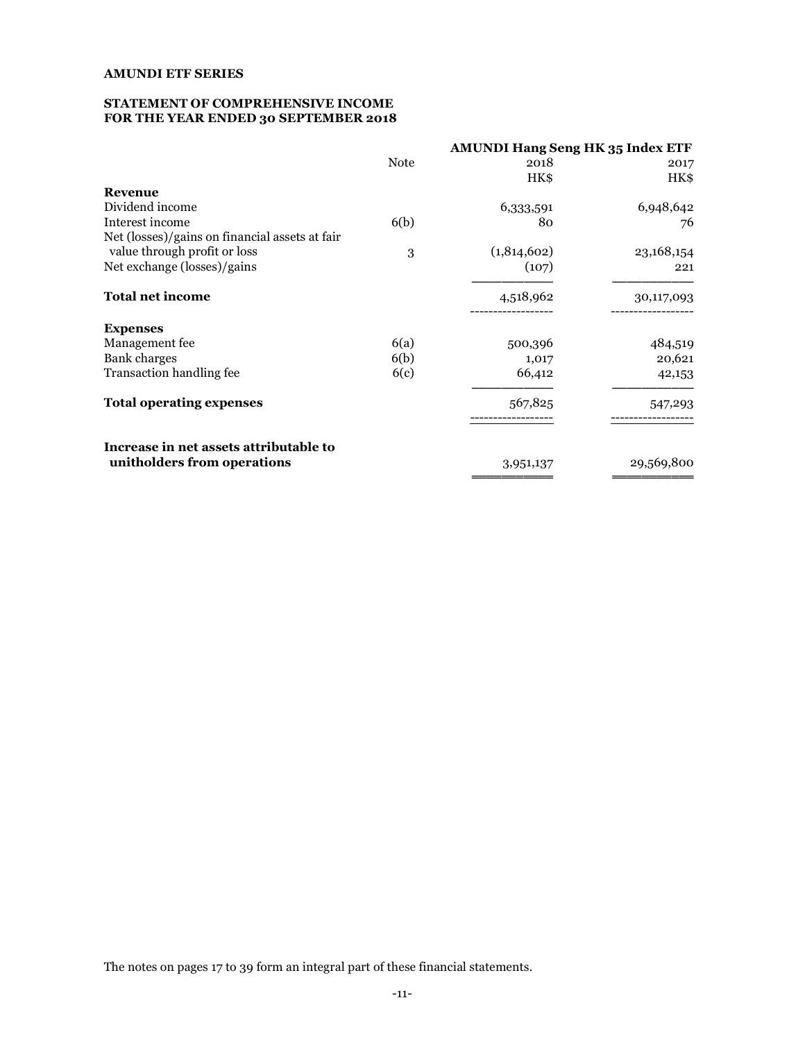# STATEMENT OF COMPREHENSIVE INCOME FOR THE YEAR ENDED 30 SEPTEMBER 2018

|                                                                       | <b>AMUNDI Hang Seng HK 35 Index ETF</b> |             |            |
|-----------------------------------------------------------------------|-----------------------------------------|-------------|------------|
|                                                                       | <b>Note</b>                             | 2018        | 2017       |
|                                                                       |                                         | HK\$        | HK\$       |
| <b>Revenue</b>                                                        |                                         |             |            |
| Dividend income                                                       |                                         | 6,333,591   | 6,948,642  |
| Interest income                                                       | 6(b)                                    | 80          | 76         |
| Net (losses)/gains on financial assets at fair                        |                                         |             |            |
| value through profit or loss                                          | 3                                       | (1,814,602) | 23,168,154 |
| Net exchange (losses)/gains                                           |                                         | (107)       | 221        |
| <b>Total net income</b>                                               |                                         | 4,518,962   | 30,117,093 |
| <b>Expenses</b>                                                       |                                         |             |            |
| Management fee                                                        | 6(a)                                    | 500,396     | 484,519    |
| <b>Bank</b> charges                                                   | 6(b)                                    | 1,017       | 20,621     |
| Transaction handling fee                                              | 6(c)                                    | 66,412      | 42,153     |
| <b>Total operating expenses</b>                                       |                                         | 567,825     | 547,293    |
| Increase in net assets attributable to<br>unitholders from operations |                                         | 3,951,137   | 29,569,800 |
|                                                                       |                                         |             |            |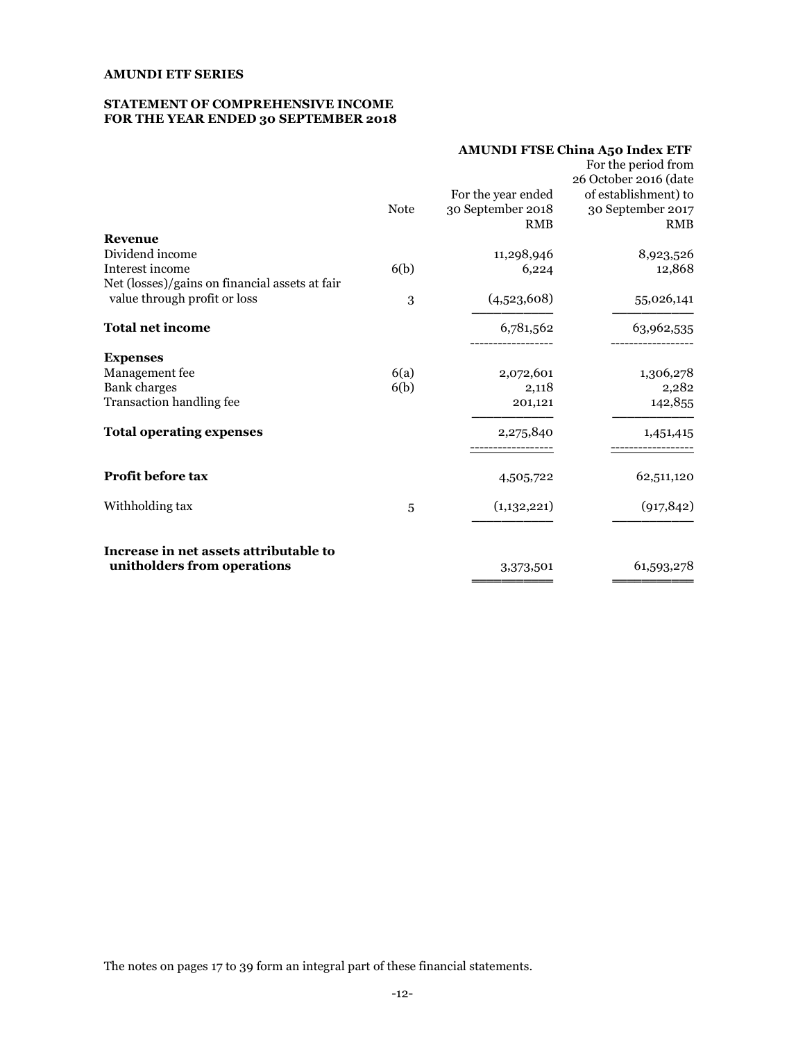# STATEMENT OF COMPREHENSIVE INCOME FOR THE YEAR ENDED 30 SEPTEMBER 2018

# AMUNDI FTSE China A50 Index ETF

|                                                                       | <b>Note</b> | For the year ended<br>30 September 2018 | For the period from<br>26 October 2016 (date<br>of establishment) to<br>30 September 2017 |
|-----------------------------------------------------------------------|-------------|-----------------------------------------|-------------------------------------------------------------------------------------------|
|                                                                       |             | <b>RMB</b>                              | <b>RMB</b>                                                                                |
| <b>Revenue</b>                                                        |             |                                         |                                                                                           |
| Dividend income                                                       |             | 11,298,946                              | 8,923,526                                                                                 |
| Interest income                                                       | 6(b)        | 6,224                                   | 12,868                                                                                    |
| Net (losses)/gains on financial assets at fair                        |             |                                         |                                                                                           |
| value through profit or loss                                          | 3           | (4,523,608)                             | 55,026,141                                                                                |
| <b>Total net income</b>                                               |             | 6,781,562                               | 63,962,535                                                                                |
| <b>Expenses</b>                                                       |             |                                         |                                                                                           |
| Management fee                                                        | 6(a)        | 2,072,601                               | 1,306,278                                                                                 |
| <b>Bank</b> charges                                                   | 6(b)        | 2,118                                   | 2,282                                                                                     |
| Transaction handling fee                                              |             | 201,121                                 | 142,855                                                                                   |
| <b>Total operating expenses</b>                                       |             | 2,275,840                               | 1,451,415                                                                                 |
| Profit before tax                                                     |             | 4,505,722                               | 62,511,120                                                                                |
| Withholding tax                                                       | 5           | (1,132,221)                             | (917, 842)                                                                                |
| Increase in net assets attributable to<br>unitholders from operations |             | 3,373,501                               | 61,593,278                                                                                |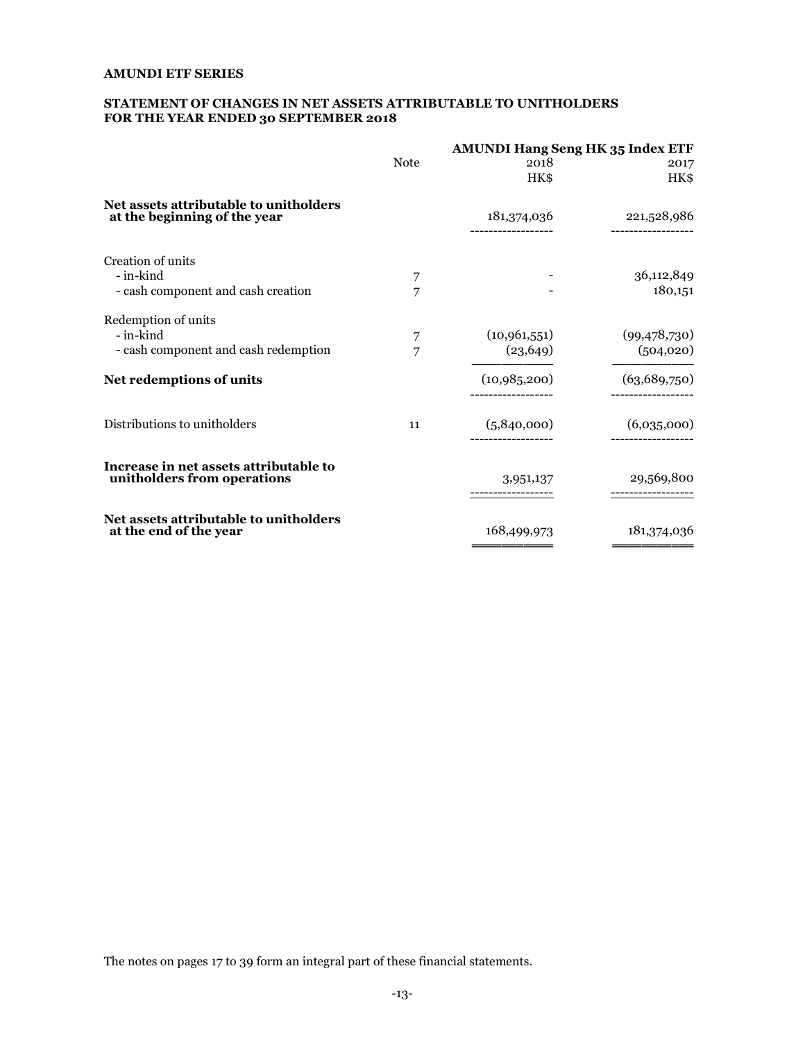# STATEMENT OF CHANGES IN NET ASSETS ATTRIBUTABLE TO UNITHOLDERS FOR THE YEAR ENDED 30 SEPTEMBER 2018

|                                                                        |             | <b>AMUNDI Hang Seng HK 35 Index ETF</b> |                             |
|------------------------------------------------------------------------|-------------|-----------------------------------------|-----------------------------|
|                                                                        | <b>Note</b> | 2018<br>HK\$                            | 2017<br>HK\$                |
| Net assets attributable to unitholders<br>at the beginning of the year |             | 181,374,036                             | 221,528,986                 |
| Creation of units                                                      |             |                                         |                             |
| - in-kind<br>- cash component and cash creation                        | 7<br>7      |                                         | 36,112,849<br>180,151       |
| Redemption of units                                                    |             |                                         |                             |
| - in-kind<br>- cash component and cash redemption                      | 7<br>7      | (10,961,551)<br>(23, 649)               | (99, 478, 730)<br>(504,020) |
| Net redemptions of units                                               |             | (10, 985, 200)                          | (63, 689, 750)              |
| Distributions to unitholders                                           | 11          | (5,840,000)                             | (6,035,000)                 |
| Increase in net assets attributable to<br>unitholders from operations  |             | 3,951,137                               | 29,569,800                  |
| Net assets attributable to unitholders<br>at the end of the year       |             | 168,499,973                             | 181,374,036                 |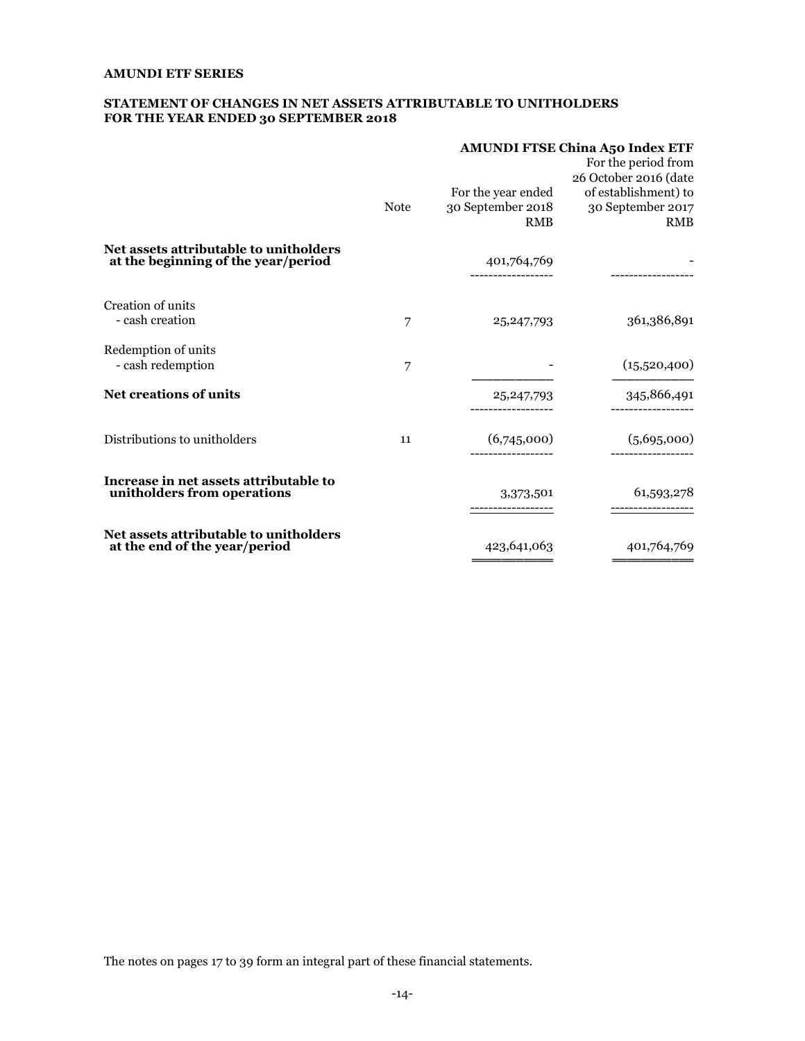# STATEMENT OF CHANGES IN NET ASSETS ATTRIBUTABLE TO UNITHOLDERS FOR THE YEAR ENDED 30 SEPTEMBER 2018

|                                                                               | <b>Note</b> | For the year ended<br>30 September 2018<br><b>RMB</b> | <b>AMUNDI FTSE China A50 Index ETF</b><br>For the period from<br>26 October 2016 (date<br>of establishment) to<br>30 September 2017<br><b>RMB</b> |
|-------------------------------------------------------------------------------|-------------|-------------------------------------------------------|---------------------------------------------------------------------------------------------------------------------------------------------------|
| Net assets attributable to unitholders<br>at the beginning of the year/period |             | 401,764,769                                           |                                                                                                                                                   |
| Creation of units<br>- cash creation                                          | 7           | 25, 247, 793                                          | 361,386,891                                                                                                                                       |
| Redemption of units<br>- cash redemption                                      | 7           |                                                       | (15,520,400)                                                                                                                                      |
| <b>Net creations of units</b>                                                 |             | 25, 247, 793                                          | 345,866,491                                                                                                                                       |
| Distributions to unitholders                                                  | 11          | (6,745,000)                                           | (5,695,000)                                                                                                                                       |
| Increase in net assets attributable to<br>unitholders from operations         |             | 3,373,501                                             | 61,593,278                                                                                                                                        |
| Net assets attributable to unitholders<br>at the end of the year/period       |             | 423,641,063                                           | 401,764,769                                                                                                                                       |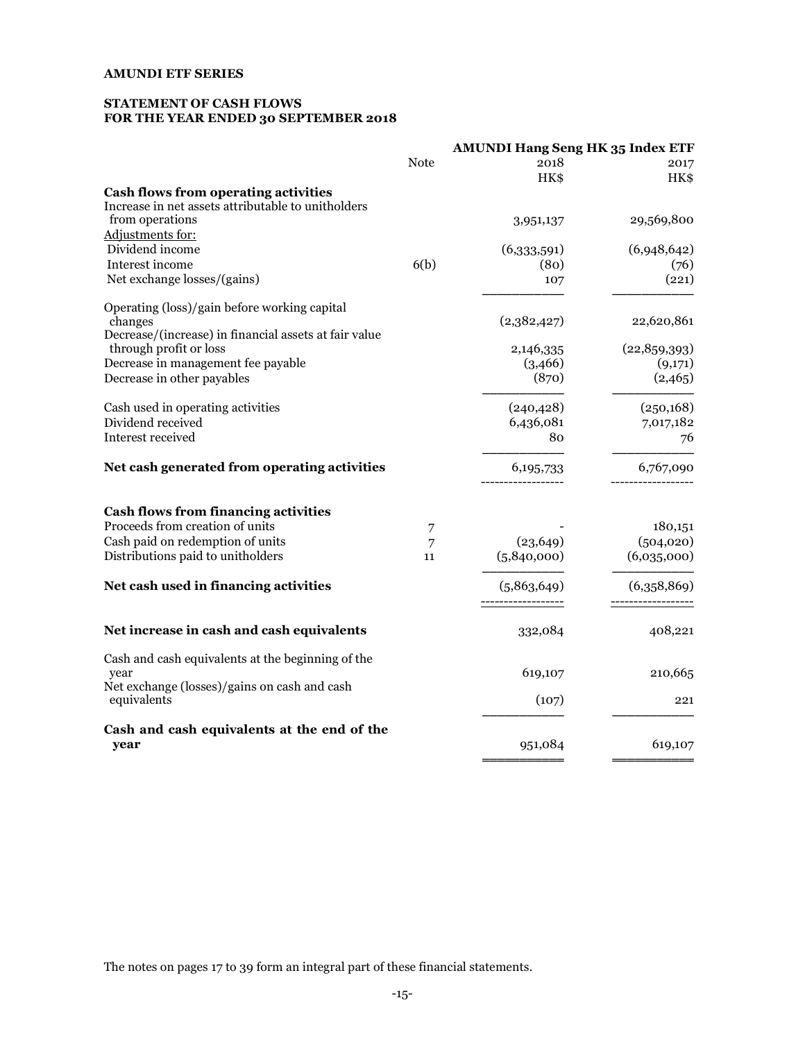# STATEMENT OF CASH FLOWS FOR THE YEAR ENDED 30 SEPTEMBER 2018

|                                                             | <b>AMUNDI Hang Seng HK 35 Index ETF</b> |             |              |
|-------------------------------------------------------------|-----------------------------------------|-------------|--------------|
|                                                             | Note                                    | 2018        | 2017         |
|                                                             |                                         | HK\$        | HK\$         |
| <b>Cash flows from operating activities</b>                 |                                         |             |              |
| Increase in net assets attributable to unitholders          |                                         |             |              |
| from operations                                             |                                         | 3,951,137   | 29,569,800   |
| Adjustments for:                                            |                                         |             |              |
| Dividend income                                             |                                         | (6,333,591) | (6,948,642)  |
| Interest income                                             | 6(b)                                    | (80)        | (76)         |
| Net exchange losses/(gains)                                 |                                         | 107         | (221)        |
| Operating (loss)/gain before working capital                |                                         |             |              |
| changes                                                     |                                         | (2,382,427) | 22,620,861   |
| Decrease/(increase) in financial assets at fair value       |                                         |             |              |
| through profit or loss                                      |                                         | 2,146,335   | (22,859,393) |
| Decrease in management fee payable                          |                                         | (3,466)     | (9,171)      |
| Decrease in other payables                                  |                                         | (870)       | (2,465)      |
| Cash used in operating activities                           |                                         | (240, 428)  | (250, 168)   |
| Dividend received                                           |                                         | 6,436,081   | 7,017,182    |
| Interest received                                           |                                         | 80          | 76           |
|                                                             |                                         |             |              |
| Net cash generated from operating activities                |                                         | 6,195,733   | 6,767,090    |
|                                                             |                                         |             |              |
| <b>Cash flows from financing activities</b>                 |                                         |             |              |
| Proceeds from creation of units                             | 7                                       |             | 180,151      |
| Cash paid on redemption of units                            | 7                                       | (23, 649)   | (504,020)    |
| Distributions paid to unitholders                           | 11                                      | (5,840,000) | (6,035,000)  |
| Net cash used in financing activities                       |                                         | (5,863,649) | (6,358,869)  |
|                                                             |                                         |             |              |
| Net increase in cash and cash equivalents                   |                                         | 332,084     | 408,221      |
| Cash and cash equivalents at the beginning of the           |                                         |             |              |
| year                                                        |                                         | 619,107     | 210,665      |
| Net exchange (losses)/gains on cash and cash<br>equivalents |                                         | (107)       | 221          |
| Cash and cash equivalents at the end of the                 |                                         |             |              |
| year                                                        |                                         | 951,084     | 619,107      |
|                                                             |                                         |             |              |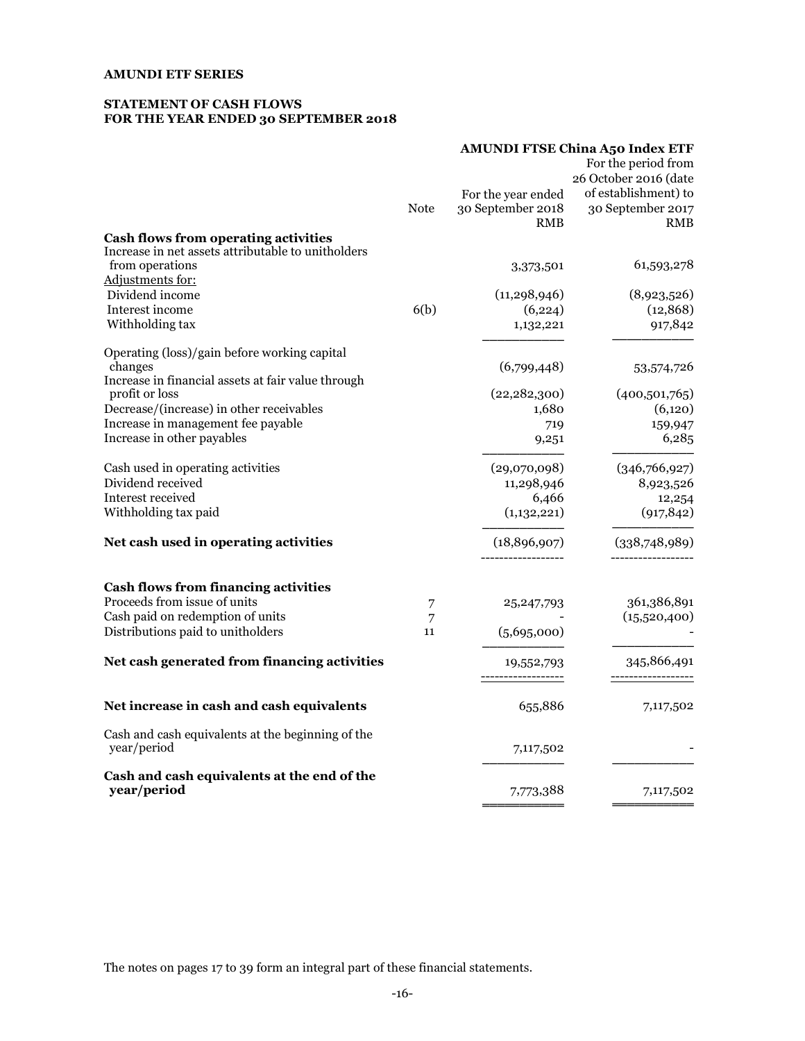# STATEMENT OF CASH FLOWS FOR THE YEAR ENDED 30 SEPTEMBER 2018

|                                                               | <b>AMUNDI FTSE China A50 Index ETF</b> |                    |                       |
|---------------------------------------------------------------|----------------------------------------|--------------------|-----------------------|
|                                                               |                                        |                    | For the period from   |
|                                                               |                                        |                    | 26 October 2016 (date |
|                                                               |                                        | For the year ended | of establishment) to  |
|                                                               | <b>Note</b>                            | 30 September 2018  | 30 September 2017     |
|                                                               |                                        | <b>RMB</b>         | <b>RMB</b>            |
| <b>Cash flows from operating activities</b>                   |                                        |                    |                       |
| Increase in net assets attributable to unitholders            |                                        |                    |                       |
| from operations                                               |                                        | 3,373,501          | 61,593,278            |
| Adjustments for:                                              |                                        |                    |                       |
| Dividend income                                               |                                        | (11, 298, 946)     | (8,923,526)           |
| Interest income                                               | 6(b)                                   | (6, 224)           | (12, 868)             |
| Withholding tax                                               |                                        | 1,132,221          | 917,842               |
| Operating (loss)/gain before working capital                  |                                        |                    |                       |
| changes<br>Increase in financial assets at fair value through |                                        | (6,799,448)        | 53,574,726            |
| profit or loss                                                |                                        | (22, 282, 300)     | (400,501,765)         |
| Decrease/(increase) in other receivables                      |                                        | 1,680              | (6,120)               |
| Increase in management fee payable                            |                                        | 719                | 159,947               |
| Increase in other payables                                    |                                        | 9,251              | 6,285                 |
|                                                               |                                        |                    |                       |
| Cash used in operating activities                             |                                        | (29,070,098)       | (346,766,927)         |
| Dividend received                                             |                                        | 11,298,946         | 8,923,526             |
| Interest received                                             |                                        | 6,466              | 12,254                |
| Withholding tax paid                                          |                                        | (1,132,221)        | (917, 842)            |
| Net cash used in operating activities                         |                                        | (18,896,907)       | (338,748,989)         |
| <b>Cash flows from financing activities</b>                   |                                        |                    |                       |
| Proceeds from issue of units                                  | $\overline{7}$                         | 25, 247, 793       | 361,386,891           |
| Cash paid on redemption of units                              | 7                                      |                    | (15,520,400)          |
| Distributions paid to unitholders                             | 11                                     | (5,695,000)        |                       |
| Net cash generated from financing activities                  |                                        | 19,552,793         | 345,866,491           |
|                                                               |                                        |                    |                       |
| Net increase in cash and cash equivalents                     |                                        | 655,886            | 7,117,502             |
| Cash and cash equivalents at the beginning of the             |                                        |                    |                       |
| year/period                                                   |                                        | 7,117,502          |                       |
| Cash and cash equivalents at the end of the                   |                                        |                    |                       |
| year/period                                                   |                                        | 7,773,388          | 7,117,502             |
|                                                               |                                        |                    |                       |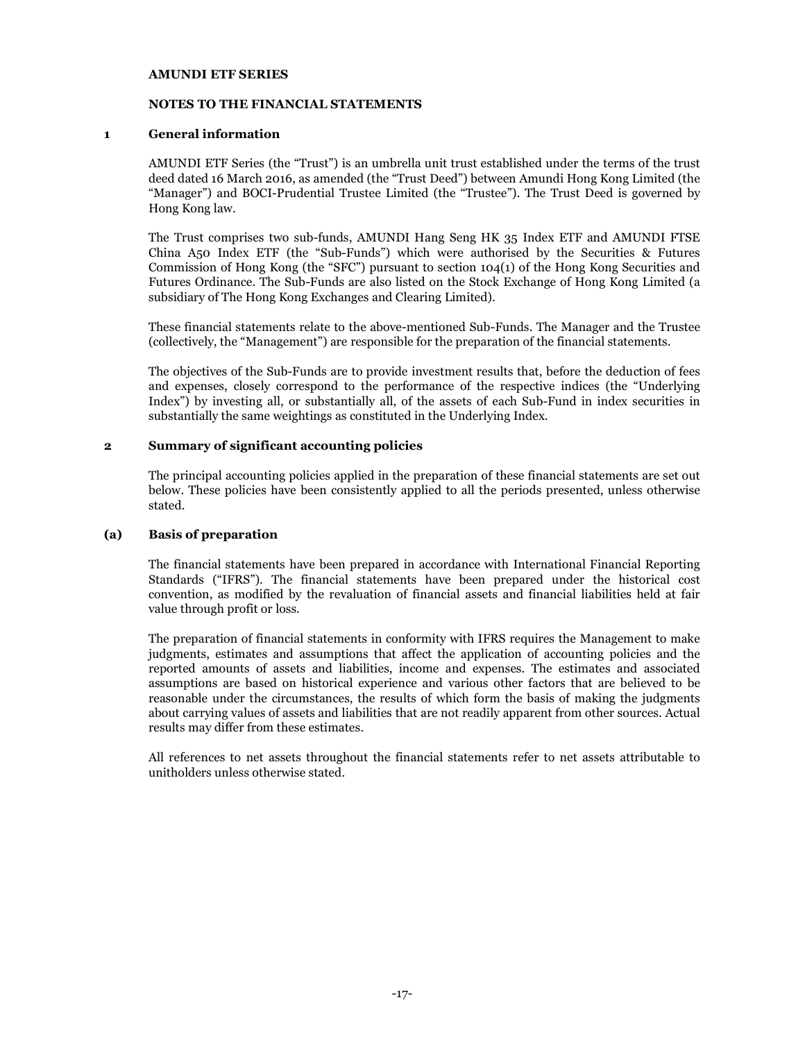#### NOTES TO THE FINANCIAL STATEMENTS

#### 1 General information

AMUNDI ETF Series (the "Trust") is an umbrella unit trust established under the terms of the trust deed dated 16 March 2016, as amended (the "Trust Deed") between Amundi Hong Kong Limited (the "Manager") and BOCI-Prudential Trustee Limited (the "Trustee"). The Trust Deed is governed by Hong Kong law.

The Trust comprises two sub-funds, AMUNDI Hang Seng HK 35 Index ETF and AMUNDI FTSE China A50 Index ETF (the "Sub-Funds") which were authorised by the Securities & Futures Commission of Hong Kong (the "SFC") pursuant to section 104(1) of the Hong Kong Securities and Futures Ordinance. The Sub-Funds are also listed on the Stock Exchange of Hong Kong Limited (a subsidiary of The Hong Kong Exchanges and Clearing Limited).

These financial statements relate to the above-mentioned Sub-Funds. The Manager and the Trustee (collectively, the "Management") are responsible for the preparation of the financial statements.

The objectives of the Sub-Funds are to provide investment results that, before the deduction of fees and expenses, closely correspond to the performance of the respective indices (the "Underlying Index") by investing all, or substantially all, of the assets of each Sub-Fund in index securities in substantially the same weightings as constituted in the Underlying Index.

#### 2 Summary of significant accounting policies

The principal accounting policies applied in the preparation of these financial statements are set out below. These policies have been consistently applied to all the periods presented, unless otherwise stated.

## (a) Basis of preparation

The financial statements have been prepared in accordance with International Financial Reporting Standards ("IFRS"). The financial statements have been prepared under the historical cost convention, as modified by the revaluation of financial assets and financial liabilities held at fair value through profit or loss.

The preparation of financial statements in conformity with IFRS requires the Management to make judgments, estimates and assumptions that affect the application of accounting policies and the reported amounts of assets and liabilities, income and expenses. The estimates and associated assumptions are based on historical experience and various other factors that are believed to be reasonable under the circumstances, the results of which form the basis of making the judgments about carrying values of assets and liabilities that are not readily apparent from other sources. Actual results may differ from these estimates.

All references to net assets throughout the financial statements refer to net assets attributable to unitholders unless otherwise stated.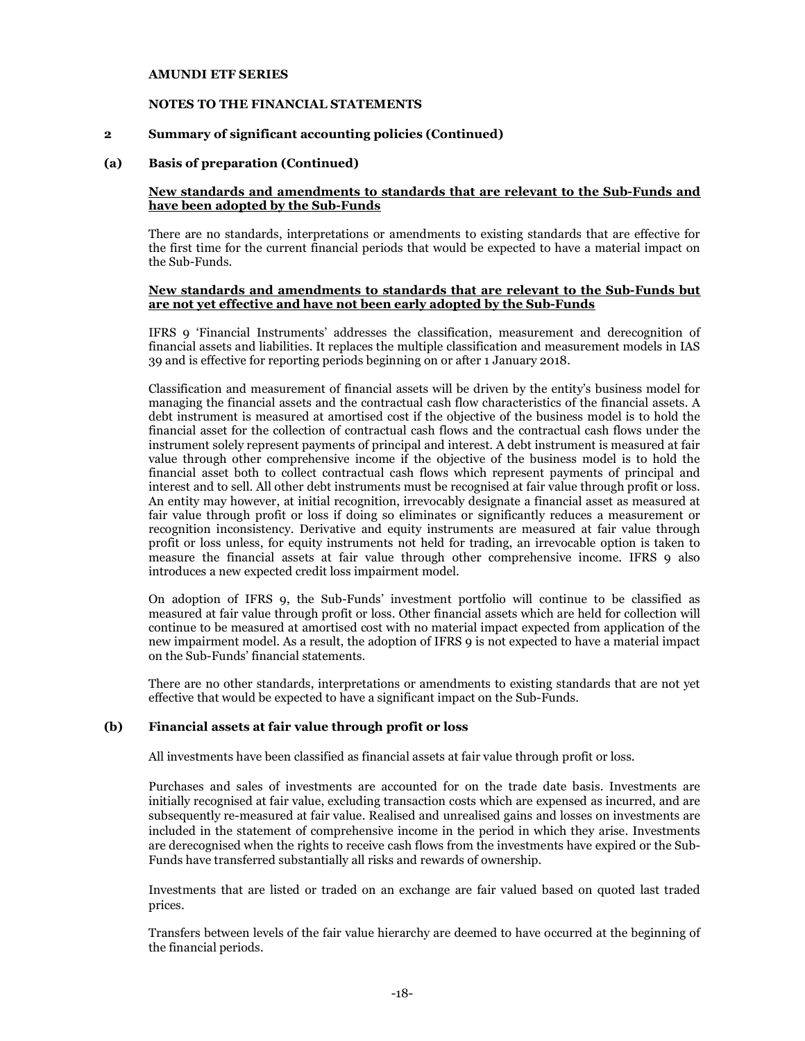## NOTES TO THE FINANCIAL STATEMENTS

## 2 Summary of significant accounting policies (Continued)

## (a) Basis of preparation (Continued)

## New standards and amendments to standards that are relevant to the Sub-Funds and have been adopted by the Sub-Funds

There are no standards, interpretations or amendments to existing standards that are effective for the first time for the current financial periods that would be expected to have a material impact on the Sub-Funds.

#### New standards and amendments to standards that are relevant to the Sub-Funds but are not yet effective and have not been early adopted by the Sub-Funds

IFRS 9 'Financial Instruments' addresses the classification, measurement and derecognition of financial assets and liabilities. It replaces the multiple classification and measurement models in IAS 39 and is effective for reporting periods beginning on or after 1 January 2018.

Classification and measurement of financial assets will be driven by the entity's business model for managing the financial assets and the contractual cash flow characteristics of the financial assets. A debt instrument is measured at amortised cost if the objective of the business model is to hold the financial asset for the collection of contractual cash flows and the contractual cash flows under the instrument solely represent payments of principal and interest. A debt instrument is measured at fair value through other comprehensive income if the objective of the business model is to hold the financial asset both to collect contractual cash flows which represent payments of principal and interest and to sell. All other debt instruments must be recognised at fair value through profit or loss. An entity may however, at initial recognition, irrevocably designate a financial asset as measured at fair value through profit or loss if doing so eliminates or significantly reduces a measurement or recognition inconsistency. Derivative and equity instruments are measured at fair value through profit or loss unless, for equity instruments not held for trading, an irrevocable option is taken to measure the financial assets at fair value through other comprehensive income. IFRS 9 also introduces a new expected credit loss impairment model.

On adoption of IFRS 9, the Sub-Funds' investment portfolio will continue to be classified as measured at fair value through profit or loss. Other financial assets which are held for collection will continue to be measured at amortised cost with no material impact expected from application of the new impairment model. As a result, the adoption of IFRS 9 is not expected to have a material impact on the Sub-Funds' financial statements.

There are no other standards, interpretations or amendments to existing standards that are not yet effective that would be expected to have a significant impact on the Sub-Funds.

## (b) Financial assets at fair value through profit or loss

All investments have been classified as financial assets at fair value through profit or loss.

Purchases and sales of investments are accounted for on the trade date basis. Investments are initially recognised at fair value, excluding transaction costs which are expensed as incurred, and are subsequently re-measured at fair value. Realised and unrealised gains and losses on investments are included in the statement of comprehensive income in the period in which they arise. Investments are derecognised when the rights to receive cash flows from the investments have expired or the Sub-Funds have transferred substantially all risks and rewards of ownership.

Investments that are listed or traded on an exchange are fair valued based on quoted last traded prices.

Transfers between levels of the fair value hierarchy are deemed to have occurred at the beginning of the financial periods.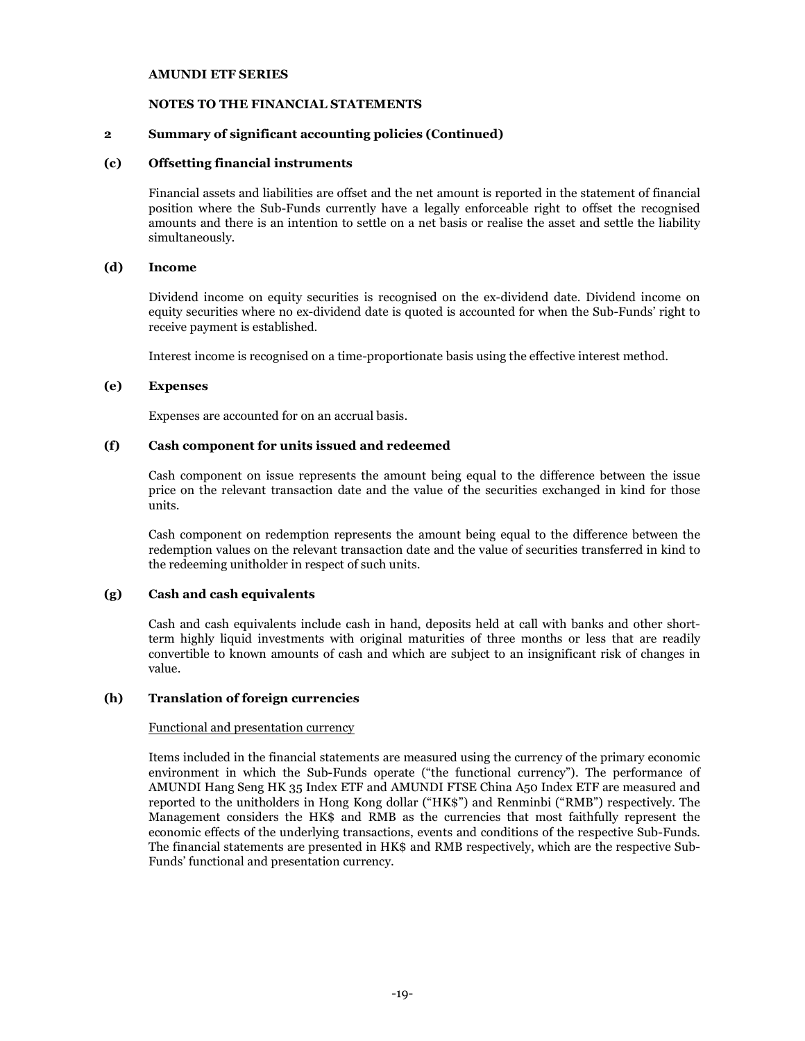## NOTES TO THE FINANCIAL STATEMENTS

## 2 Summary of significant accounting policies (Continued)

## (c) Offsetting financial instruments

Financial assets and liabilities are offset and the net amount is reported in the statement of financial position where the Sub-Funds currently have a legally enforceable right to offset the recognised amounts and there is an intention to settle on a net basis or realise the asset and settle the liability simultaneously.

## (d) Income

Dividend income on equity securities is recognised on the ex-dividend date. Dividend income on equity securities where no ex-dividend date is quoted is accounted for when the Sub-Funds' right to receive payment is established.

Interest income is recognised on a time-proportionate basis using the effective interest method.

## (e) Expenses

Expenses are accounted for on an accrual basis.

## (f) Cash component for units issued and redeemed

Cash component on issue represents the amount being equal to the difference between the issue price on the relevant transaction date and the value of the securities exchanged in kind for those units.

Cash component on redemption represents the amount being equal to the difference between the redemption values on the relevant transaction date and the value of securities transferred in kind to the redeeming unitholder in respect of such units.

# (g) Cash and cash equivalents

Cash and cash equivalents include cash in hand, deposits held at call with banks and other shortterm highly liquid investments with original maturities of three months or less that are readily convertible to known amounts of cash and which are subject to an insignificant risk of changes in value.

## (h) Translation of foreign currencies

## Functional and presentation currency

Items included in the financial statements are measured using the currency of the primary economic environment in which the Sub-Funds operate ("the functional currency"). The performance of AMUNDI Hang Seng HK 35 Index ETF and AMUNDI FTSE China A50 Index ETF are measured and reported to the unitholders in Hong Kong dollar ("HK\$") and Renminbi ("RMB") respectively. The Management considers the HK\$ and RMB as the currencies that most faithfully represent the economic effects of the underlying transactions, events and conditions of the respective Sub-Funds. The financial statements are presented in HK\$ and RMB respectively, which are the respective Sub-Funds' functional and presentation currency.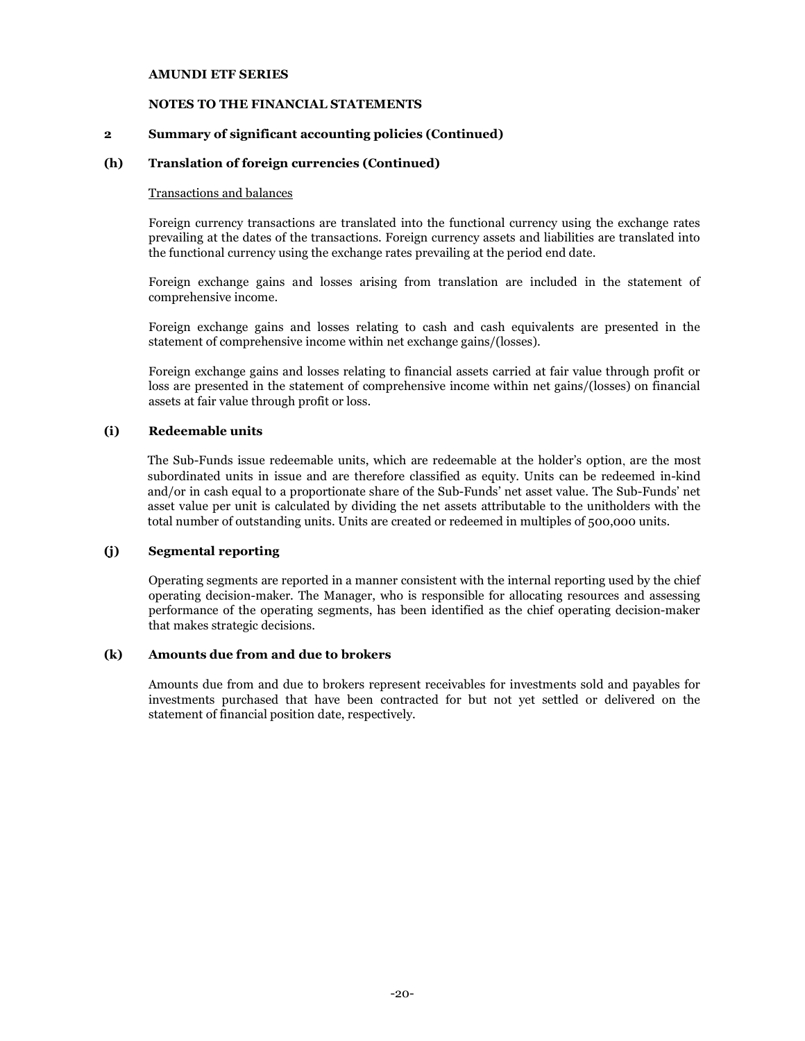## NOTES TO THE FINANCIAL STATEMENTS

## 2 Summary of significant accounting policies (Continued)

## (h) Translation of foreign currencies (Continued)

## Transactions and balances

Foreign currency transactions are translated into the functional currency using the exchange rates prevailing at the dates of the transactions. Foreign currency assets and liabilities are translated into the functional currency using the exchange rates prevailing at the period end date.

Foreign exchange gains and losses arising from translation are included in the statement of comprehensive income.

Foreign exchange gains and losses relating to cash and cash equivalents are presented in the statement of comprehensive income within net exchange gains/(losses).

Foreign exchange gains and losses relating to financial assets carried at fair value through profit or loss are presented in the statement of comprehensive income within net gains/(losses) on financial assets at fair value through profit or loss.

## (i) Redeemable units

The Sub-Funds issue redeemable units, which are redeemable at the holder's option, are the most subordinated units in issue and are therefore classified as equity. Units can be redeemed in-kind and/or in cash equal to a proportionate share of the Sub-Funds' net asset value. The Sub-Funds' net asset value per unit is calculated by dividing the net assets attributable to the unitholders with the total number of outstanding units. Units are created or redeemed in multiples of 500,000 units.

## (j) Segmental reporting

Operating segments are reported in a manner consistent with the internal reporting used by the chief operating decision-maker. The Manager, who is responsible for allocating resources and assessing performance of the operating segments, has been identified as the chief operating decision-maker that makes strategic decisions.

## (k) Amounts due from and due to brokers

Amounts due from and due to brokers represent receivables for investments sold and payables for investments purchased that have been contracted for but not yet settled or delivered on the statement of financial position date, respectively.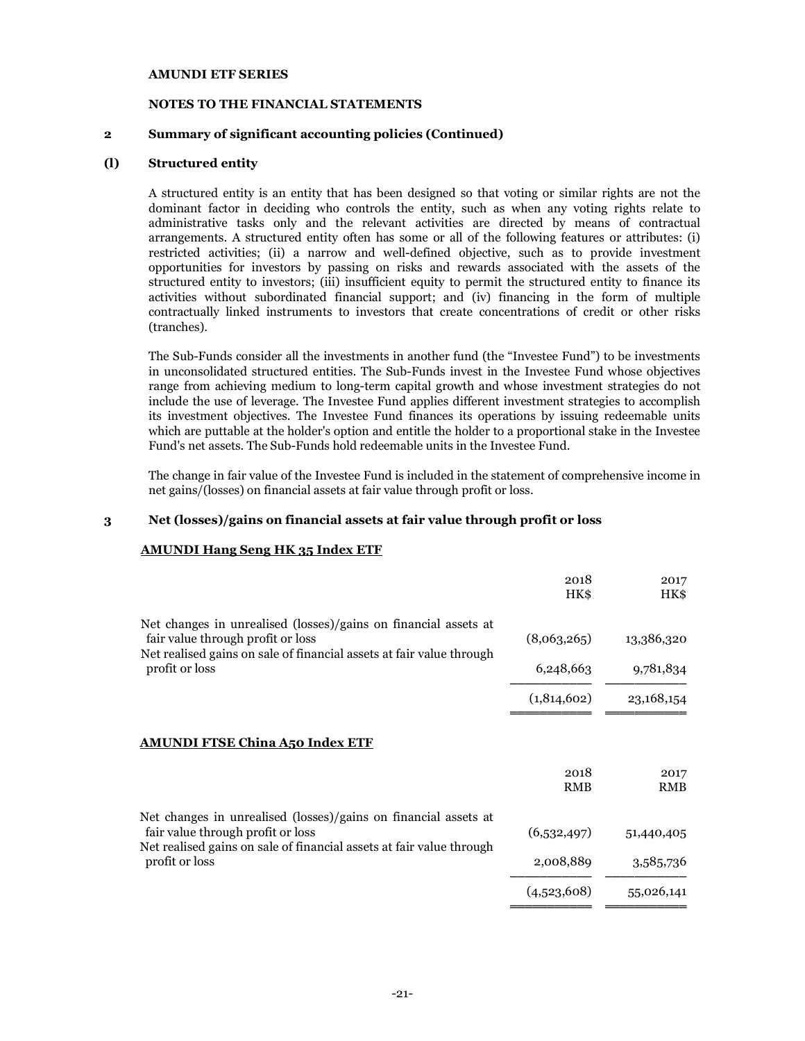## NOTES TO THE FINANCIAL STATEMENTS

## 2 Summary of significant accounting policies (Continued)

#### (l) Structured entity

A structured entity is an entity that has been designed so that voting or similar rights are not the dominant factor in deciding who controls the entity, such as when any voting rights relate to administrative tasks only and the relevant activities are directed by means of contractual arrangements. A structured entity often has some or all of the following features or attributes: (i) restricted activities; (ii) a narrow and well-defined objective, such as to provide investment opportunities for investors by passing on risks and rewards associated with the assets of the structured entity to investors; (iii) insufficient equity to permit the structured entity to finance its activities without subordinated financial support; and (iv) financing in the form of multiple contractually linked instruments to investors that create concentrations of credit or other risks (tranches).

The Sub-Funds consider all the investments in another fund (the "Investee Fund") to be investments in unconsolidated structured entities. The Sub-Funds invest in the Investee Fund whose objectives range from achieving medium to long-term capital growth and whose investment strategies do not include the use of leverage. The Investee Fund applies different investment strategies to accomplish its investment objectives. The Investee Fund finances its operations by issuing redeemable units which are puttable at the holder's option and entitle the holder to a proportional stake in the Investee Fund's net assets. The Sub-Funds hold redeemable units in the Investee Fund.

The change in fair value of the Investee Fund is included in the statement of comprehensive income in net gains/(losses) on financial assets at fair value through profit or loss.

## 3 Net (losses)/gains on financial assets at fair value through profit or loss

## AMUNDI Hang Seng HK 35 Index ETF

|                                                                                                      | 2018               | 2017               |
|------------------------------------------------------------------------------------------------------|--------------------|--------------------|
|                                                                                                      | HK\$               | HK\$               |
| Net changes in unrealised (losses)/gains on financial assets at<br>fair value through profit or loss | (8,063,265)        | 13,386,320         |
| Net realised gains on sale of financial assets at fair value through<br>profit or loss               | 6,248,663          | 9,781,834          |
|                                                                                                      | (1,814,602)        | 23,168,154         |
| <b>AMUNDI FTSE China A50 Index ETF</b>                                                               |                    |                    |
|                                                                                                      | 2018<br><b>RMB</b> | 2017<br><b>RMB</b> |
| Net changes in unrealised (losses)/gains on financial assets at<br>fair value through profit or loss | (6,532,497)        | 51,440,405         |
| Net realised gains on sale of financial assets at fair value through<br>profit or loss               | 2,008,889          | 3,585,736          |
|                                                                                                      | (4,523,608)        | 55,026,141         |
|                                                                                                      |                    |                    |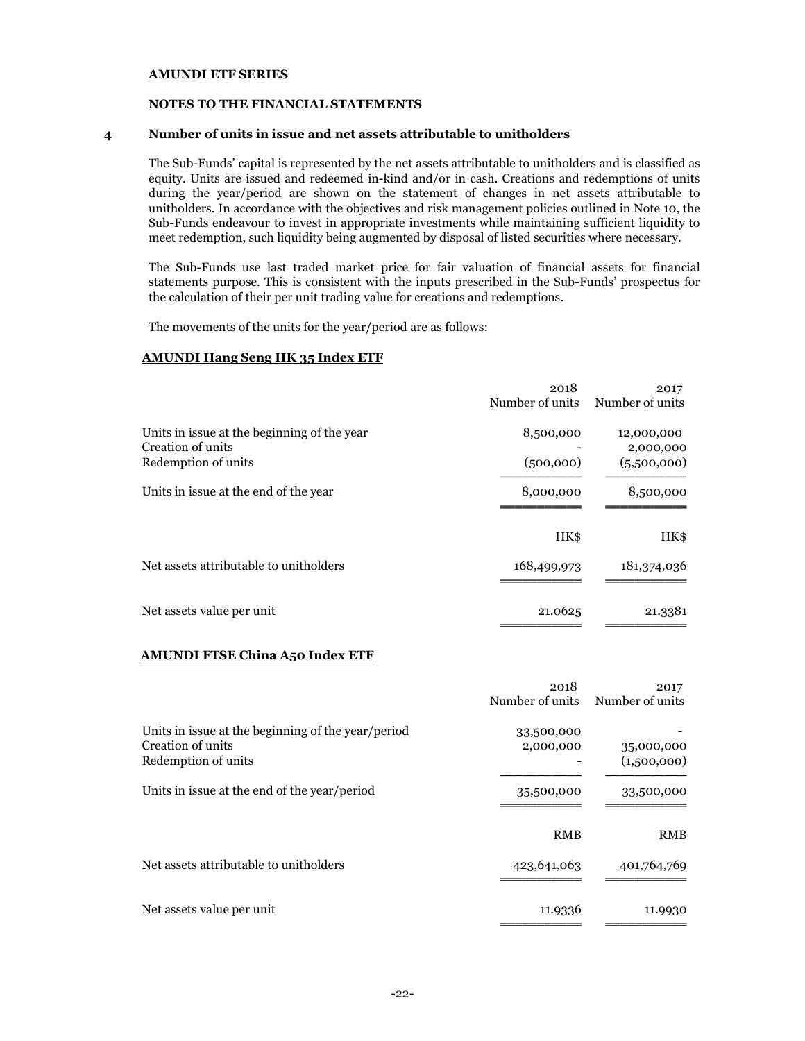## NOTES TO THE FINANCIAL STATEMENTS

## 4 Number of units in issue and net assets attributable to unitholders

The Sub-Funds' capital is represented by the net assets attributable to unitholders and is classified as equity. Units are issued and redeemed in-kind and/or in cash. Creations and redemptions of units during the year/period are shown on the statement of changes in net assets attributable to unitholders. In accordance with the objectives and risk management policies outlined in Note 10, the Sub-Funds endeavour to invest in appropriate investments while maintaining sufficient liquidity to meet redemption, such liquidity being augmented by disposal of listed securities where necessary.

The Sub-Funds use last traded market price for fair valuation of financial assets for financial statements purpose. This is consistent with the inputs prescribed in the Sub-Funds' prospectus for the calculation of their per unit trading value for creations and redemptions.

The movements of the units for the year/period are as follows:

## AMUNDI Hang Seng HK 35 Index ETF

|                                                                                                                                  | 2018<br>Number of units             | 2017<br>Number of units                             |
|----------------------------------------------------------------------------------------------------------------------------------|-------------------------------------|-----------------------------------------------------|
| Units in issue at the beginning of the year<br>Creation of units<br>Redemption of units<br>Units in issue at the end of the year | 8,500,000<br>(500,000)<br>8,000,000 | 12,000,000<br>2,000,000<br>(5,500,000)<br>8,500,000 |
|                                                                                                                                  | HK\$                                | HK\$                                                |
| Net assets attributable to unitholders                                                                                           | 168,499,973                         | 181,374,036                                         |
| Net assets value per unit                                                                                                        | 21.0625                             | 21.3381                                             |

═══════════ ═══════════

## AMUNDI FTSE China A50 Index ETF

|                                                                                                | 2018                    | 2017                      |
|------------------------------------------------------------------------------------------------|-------------------------|---------------------------|
|                                                                                                | Number of units         | Number of units           |
| Units in issue at the beginning of the year/period<br>Creation of units<br>Redemption of units | 33,500,000<br>2,000,000 | 35,000,000<br>(1,500,000) |
| Units in issue at the end of the year/period                                                   | 35,500,000              | 33,500,000                |
|                                                                                                | <b>RMB</b>              | <b>RMB</b>                |
| Net assets attributable to unitholders                                                         | 423,641,063             | 401,764,769               |
| Net assets value per unit                                                                      | 11.9336                 | 11.9930                   |
|                                                                                                |                         |                           |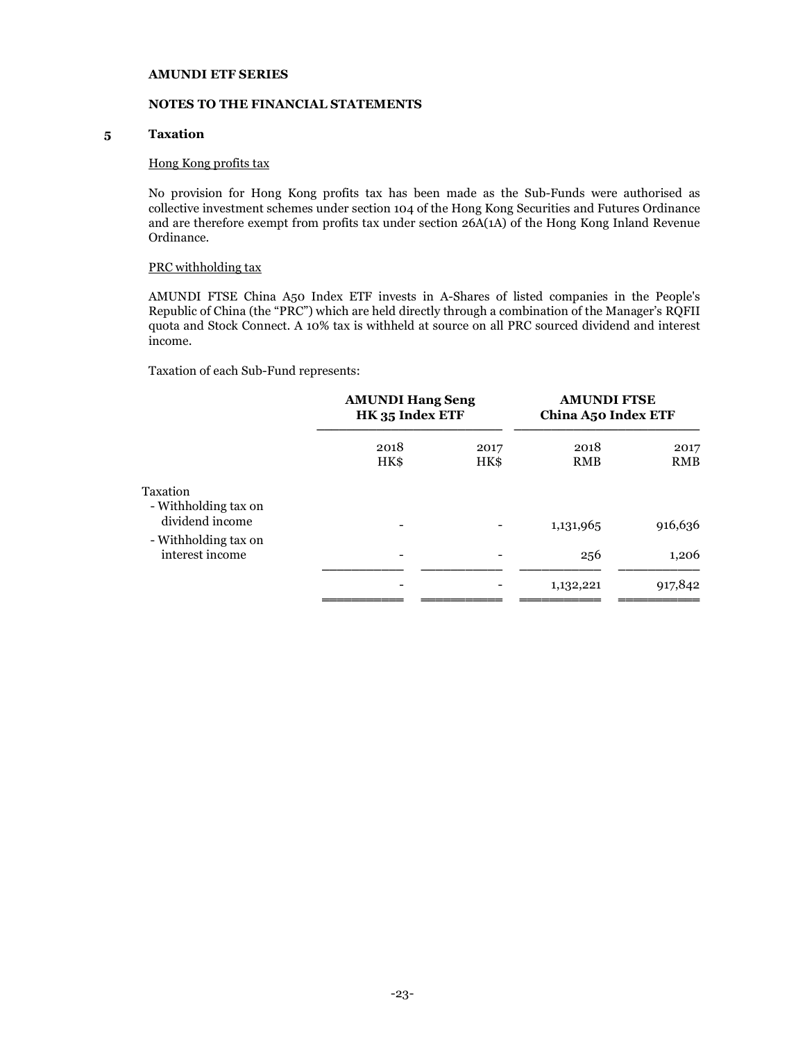## NOTES TO THE FINANCIAL STATEMENTS

## 5 Taxation

#### Hong Kong profits tax

No provision for Hong Kong profits tax has been made as the Sub-Funds were authorised as collective investment schemes under section 104 of the Hong Kong Securities and Futures Ordinance and are therefore exempt from profits tax under section 26A(1A) of the Hong Kong Inland Revenue Ordinance.

## PRC withholding tax

AMUNDI FTSE China A50 Index ETF invests in A-Shares of listed companies in the People's Republic of China (the "PRC") which are held directly through a combination of the Manager's RQFII quota and Stock Connect. A 10% tax is withheld at source on all PRC sourced dividend and interest income.

Taxation of each Sub-Fund represents:

|                                  |                              | <b>AMUNDI Hang Seng</b><br>HK 35 Index ETF |                    | <b>AMUNDI FTSE</b><br>China A50 Index ETF |
|----------------------------------|------------------------------|--------------------------------------------|--------------------|-------------------------------------------|
|                                  | 2018<br>HK\$                 | 2017<br>HK\$                               | 2018<br><b>RMB</b> | 2017<br><b>RMB</b>                        |
| Taxation<br>- Withholding tax on |                              |                                            |                    |                                           |
| dividend income                  |                              |                                            | 1,131,965          | 916,636                                   |
| - Withholding tax on             |                              |                                            |                    |                                           |
| interest income                  | $\qquad \qquad \blacksquare$ |                                            | 256                | 1,206                                     |
|                                  |                              |                                            |                    |                                           |
|                                  | $\overline{\phantom{0}}$     |                                            | 1,132,221          | 917,842                                   |
|                                  |                              |                                            |                    |                                           |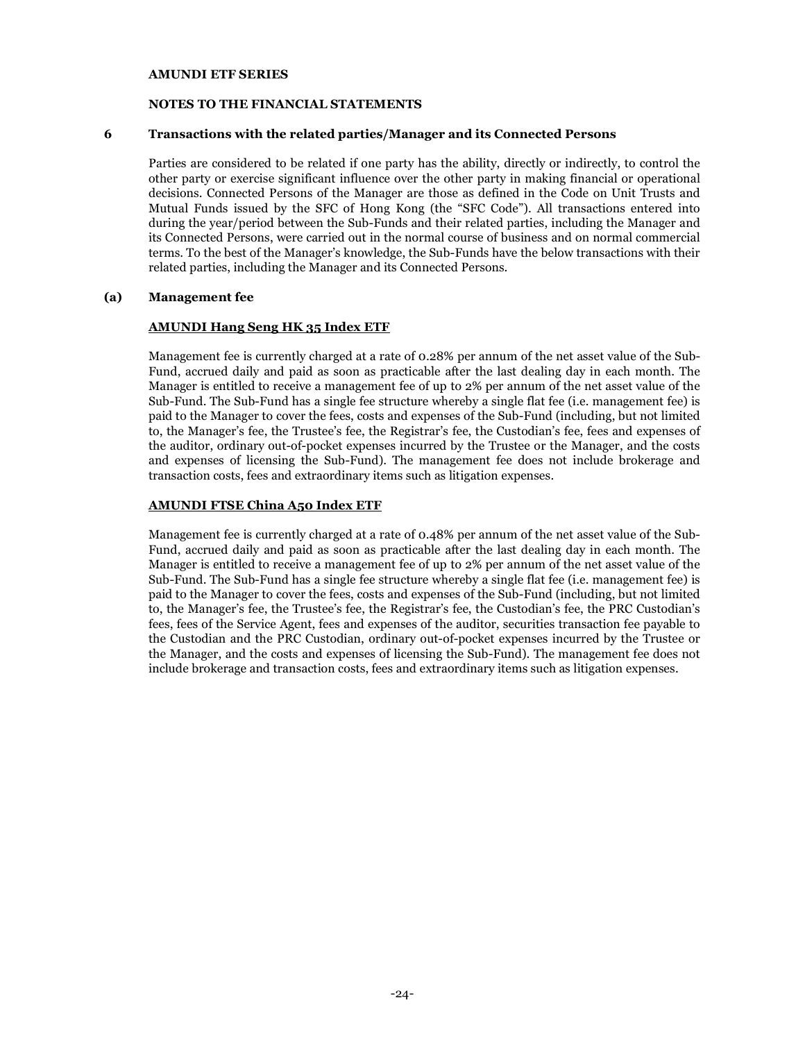## NOTES TO THE FINANCIAL STATEMENTS

## 6 Transactions with the related parties/Manager and its Connected Persons

Parties are considered to be related if one party has the ability, directly or indirectly, to control the other party or exercise significant influence over the other party in making financial or operational decisions. Connected Persons of the Manager are those as defined in the Code on Unit Trusts and Mutual Funds issued by the SFC of Hong Kong (the "SFC Code"). All transactions entered into during the year/period between the Sub-Funds and their related parties, including the Manager and its Connected Persons, were carried out in the normal course of business and on normal commercial terms. To the best of the Manager's knowledge, the Sub-Funds have the below transactions with their related parties, including the Manager and its Connected Persons.

#### (a) Management fee

#### AMUNDI Hang Seng HK 35 Index ETF

Management fee is currently charged at a rate of 0.28% per annum of the net asset value of the Sub-Fund, accrued daily and paid as soon as practicable after the last dealing day in each month. The Manager is entitled to receive a management fee of up to 2% per annum of the net asset value of the Sub-Fund. The Sub-Fund has a single fee structure whereby a single flat fee (i.e. management fee) is paid to the Manager to cover the fees, costs and expenses of the Sub-Fund (including, but not limited to, the Manager's fee, the Trustee's fee, the Registrar's fee, the Custodian's fee, fees and expenses of the auditor, ordinary out-of-pocket expenses incurred by the Trustee or the Manager, and the costs and expenses of licensing the Sub-Fund). The management fee does not include brokerage and transaction costs, fees and extraordinary items such as litigation expenses.

## AMUNDI FTSE China A50 Index ETF

Management fee is currently charged at a rate of 0.48% per annum of the net asset value of the Sub-Fund, accrued daily and paid as soon as practicable after the last dealing day in each month. The Manager is entitled to receive a management fee of up to 2% per annum of the net asset value of the Sub-Fund. The Sub-Fund has a single fee structure whereby a single flat fee (i.e. management fee) is paid to the Manager to cover the fees, costs and expenses of the Sub-Fund (including, but not limited to, the Manager's fee, the Trustee's fee, the Registrar's fee, the Custodian's fee, the PRC Custodian's fees, fees of the Service Agent, fees and expenses of the auditor, securities transaction fee payable to the Custodian and the PRC Custodian, ordinary out-of-pocket expenses incurred by the Trustee or the Manager, and the costs and expenses of licensing the Sub-Fund). The management fee does not include brokerage and transaction costs, fees and extraordinary items such as litigation expenses.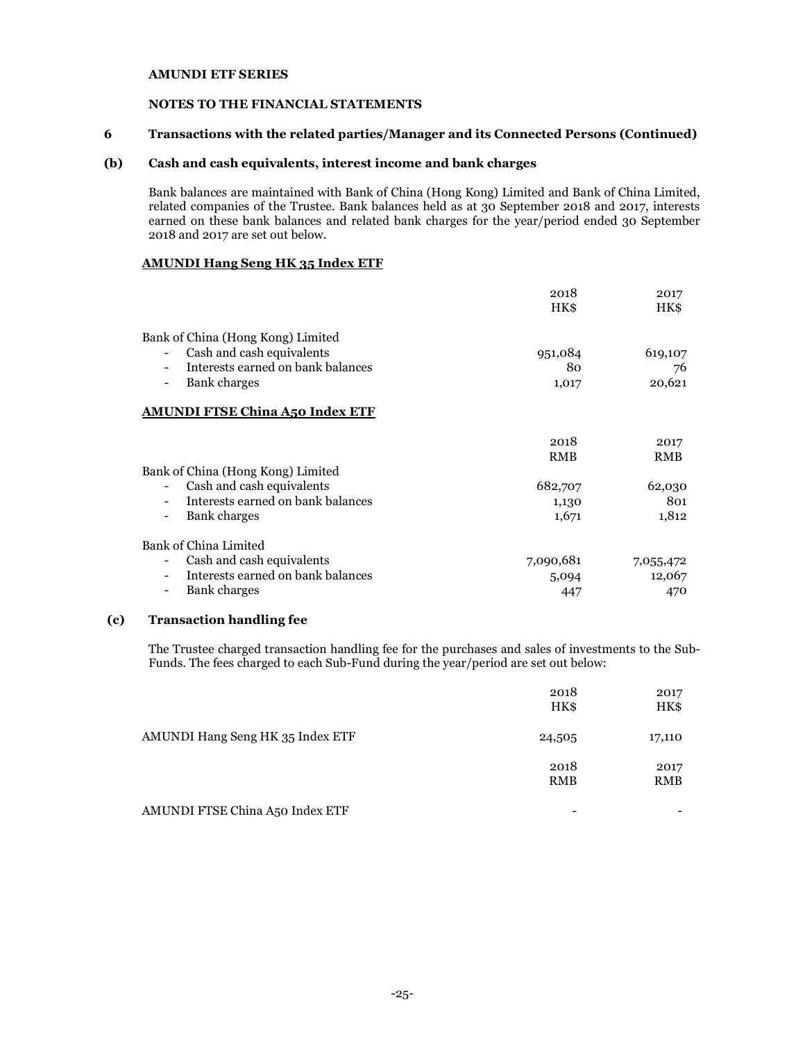## NOTES TO THE FINANCIAL STATEMENTS

## 6 Transactions with the related parties/Manager and its Connected Persons (Continued)

## (b) Cash and cash equivalents, interest income and bank charges

Bank balances are maintained with Bank of China (Hong Kong) Limited and Bank of China Limited, related companies of the Trustee. Bank balances held as at 30 September 2018 and 2017, interests earned on these bank balances and related bank charges for the year/period ended 30 September 2018 and 2017 are set out below.

## AMUNDI Hang Seng HK 35 Index ETF

|                                                       | 2018       | 2017      |
|-------------------------------------------------------|------------|-----------|
|                                                       | HK\$       | HK\$      |
| Bank of China (Hong Kong) Limited                     |            |           |
| Cash and cash equivalents                             | 951,084    | 619,107   |
| Interests earned on bank balances                     | 80         | 76        |
| Bank charges<br>$\overline{\phantom{0}}$              | 1,017      | 20,621    |
| <b>AMUNDI FTSE China A50 Index ETF</b>                |            |           |
|                                                       | 2018       | 2017      |
|                                                       | <b>RMB</b> | RMB       |
| Bank of China (Hong Kong) Limited                     |            |           |
| Cash and cash equivalents<br>$\overline{\phantom{0}}$ | 682,707    | 62,030    |
| Interests earned on bank balances                     | 1,130      | 801       |
| Bank charges<br>$\overline{\phantom{0}}$              | 1,671      | 1,812     |
| Bank of China Limited                                 |            |           |
| Cash and cash equivalents<br>$\overline{\phantom{a}}$ | 7,090,681  | 7,055,472 |
| Interests earned on bank balances                     | 5,094      | 12,067    |
| Bank charges<br>$\qquad \qquad \blacksquare$          | 447        | 470       |
|                                                       |            |           |

## (c) Transaction handling fee

The Trustee charged transaction handling fee for the purchases and sales of investments to the Sub-Funds. The fees charged to each Sub-Fund during the year/period are set out below:

|                                  | 2018<br>HK\$             | 2017<br>HK\$       |
|----------------------------------|--------------------------|--------------------|
| AMUNDI Hang Seng HK 35 Index ETF | 24,505                   | 17,110             |
|                                  | 2018<br><b>RMB</b>       | 2017<br><b>RMB</b> |
| AMUNDI FTSE China A50 Index ETF  | $\overline{\phantom{0}}$ |                    |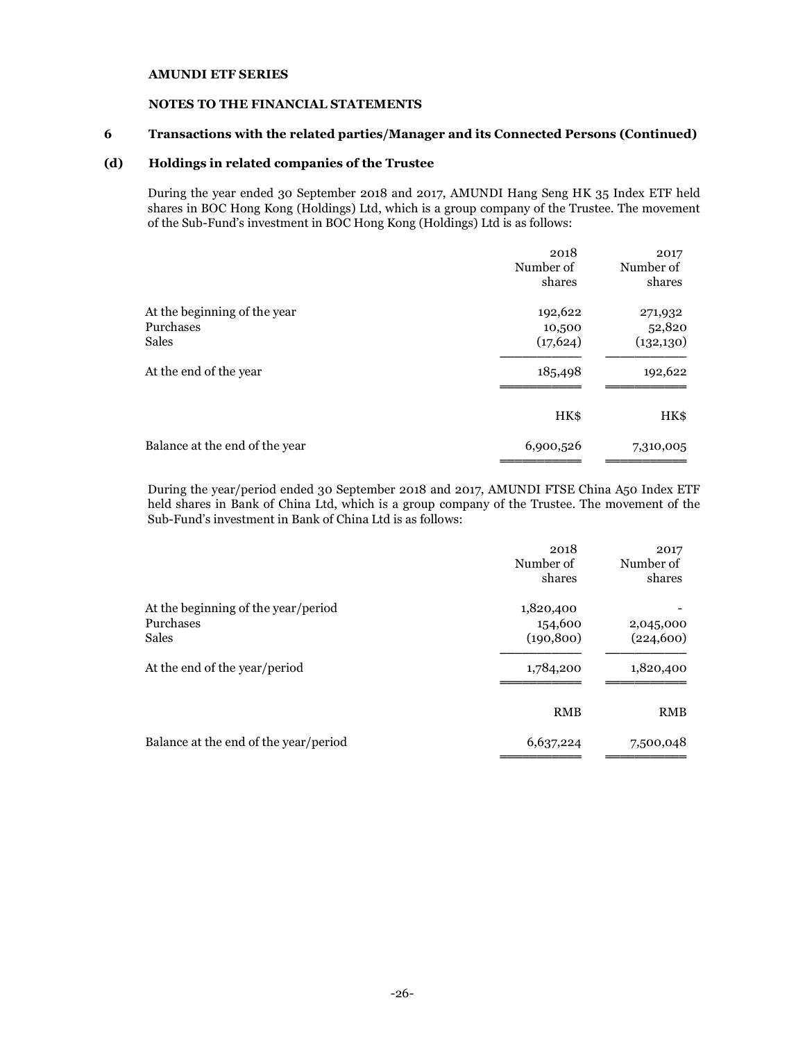## NOTES TO THE FINANCIAL STATEMENTS

## 6 Transactions with the related parties/Manager and its Connected Persons (Continued)

## (d) Holdings in related companies of the Trustee

During the year ended 30 September 2018 and 2017, AMUNDI Hang Seng HK 35 Index ETF held shares in BOC Hong Kong (Holdings) Ltd, which is a group company of the Trustee. The movement of the Sub-Fund's investment in BOC Hong Kong (Holdings) Ltd is as follows:

|                                | 2018      | 2017       |
|--------------------------------|-----------|------------|
|                                | Number of | Number of  |
|                                | shares    | shares     |
| At the beginning of the year   | 192,622   | 271,932    |
| Purchases                      | 10,500    | 52,820     |
| <b>Sales</b>                   | (17, 624) | (132, 130) |
| At the end of the year         | 185,498   | 192,622    |
|                                | HK\$      | HK\$       |
| Balance at the end of the year | 6,900,526 | 7,310,005  |

During the year/period ended 30 September 2018 and 2017, AMUNDI FTSE China A50 Index ETF held shares in Bank of China Ltd, which is a group company of the Trustee. The movement of the Sub-Fund's investment in Bank of China Ltd is as follows:

|                                                                  | 2018<br>Number of<br>shares        | 2017<br>Number of<br>shares |
|------------------------------------------------------------------|------------------------------------|-----------------------------|
| At the beginning of the year/period<br>Purchases<br><b>Sales</b> | 1,820,400<br>154,600<br>(190, 800) | 2,045,000<br>(224, 600)     |
| At the end of the year/period                                    | 1,784,200                          | 1,820,400                   |
|                                                                  | <b>RMB</b>                         | RMB                         |
| Balance at the end of the year/period                            | 6,637,224                          | 7,500,048                   |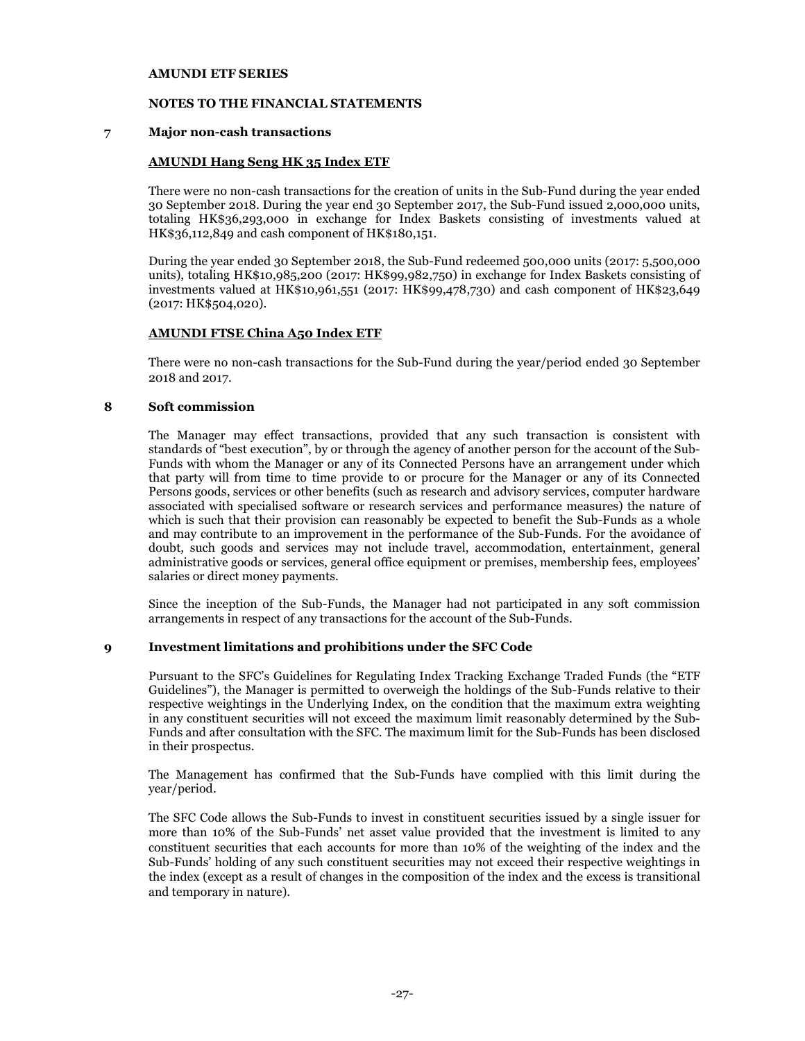## NOTES TO THE FINANCIAL STATEMENTS

#### 7 Major non-cash transactions

## AMUNDI Hang Seng HK 35 Index ETF

There were no non-cash transactions for the creation of units in the Sub-Fund during the year ended 30 September 2018. During the year end 30 September 2017, the Sub-Fund issued 2,000,000 units, totaling HK\$36,293,000 in exchange for Index Baskets consisting of investments valued at HK\$36,112,849 and cash component of HK\$180,151.

During the year ended 30 September 2018, the Sub-Fund redeemed 500,000 units (2017: 5,500,000 units), totaling HK\$10,985,200 (2017: HK\$99,982,750) in exchange for Index Baskets consisting of investments valued at HK\$10,961,551 (2017: HK\$99,478,730) and cash component of HK\$23,649 (2017: HK\$504,020).

## AMUNDI FTSE China A50 Index ETF

There were no non-cash transactions for the Sub-Fund during the year/period ended 30 September 2018 and 2017.

#### 8 Soft commission

The Manager may effect transactions, provided that any such transaction is consistent with standards of "best execution", by or through the agency of another person for the account of the Sub-Funds with whom the Manager or any of its Connected Persons have an arrangement under which that party will from time to time provide to or procure for the Manager or any of its Connected Persons goods, services or other benefits (such as research and advisory services, computer hardware associated with specialised software or research services and performance measures) the nature of which is such that their provision can reasonably be expected to benefit the Sub-Funds as a whole and may contribute to an improvement in the performance of the Sub-Funds. For the avoidance of doubt, such goods and services may not include travel, accommodation, entertainment, general administrative goods or services, general office equipment or premises, membership fees, employees' salaries or direct money payments.

Since the inception of the Sub-Funds, the Manager had not participated in any soft commission arrangements in respect of any transactions for the account of the Sub-Funds.

## 9 Investment limitations and prohibitions under the SFC Code

Pursuant to the SFC's Guidelines for Regulating Index Tracking Exchange Traded Funds (the "ETF Guidelines"), the Manager is permitted to overweigh the holdings of the Sub-Funds relative to their respective weightings in the Underlying Index, on the condition that the maximum extra weighting in any constituent securities will not exceed the maximum limit reasonably determined by the Sub-Funds and after consultation with the SFC. The maximum limit for the Sub-Funds has been disclosed in their prospectus.

The Management has confirmed that the Sub-Funds have complied with this limit during the year/period.

The SFC Code allows the Sub-Funds to invest in constituent securities issued by a single issuer for more than 10% of the Sub-Funds' net asset value provided that the investment is limited to any constituent securities that each accounts for more than 10% of the weighting of the index and the Sub-Funds' holding of any such constituent securities may not exceed their respective weightings in the index (except as a result of changes in the composition of the index and the excess is transitional and temporary in nature).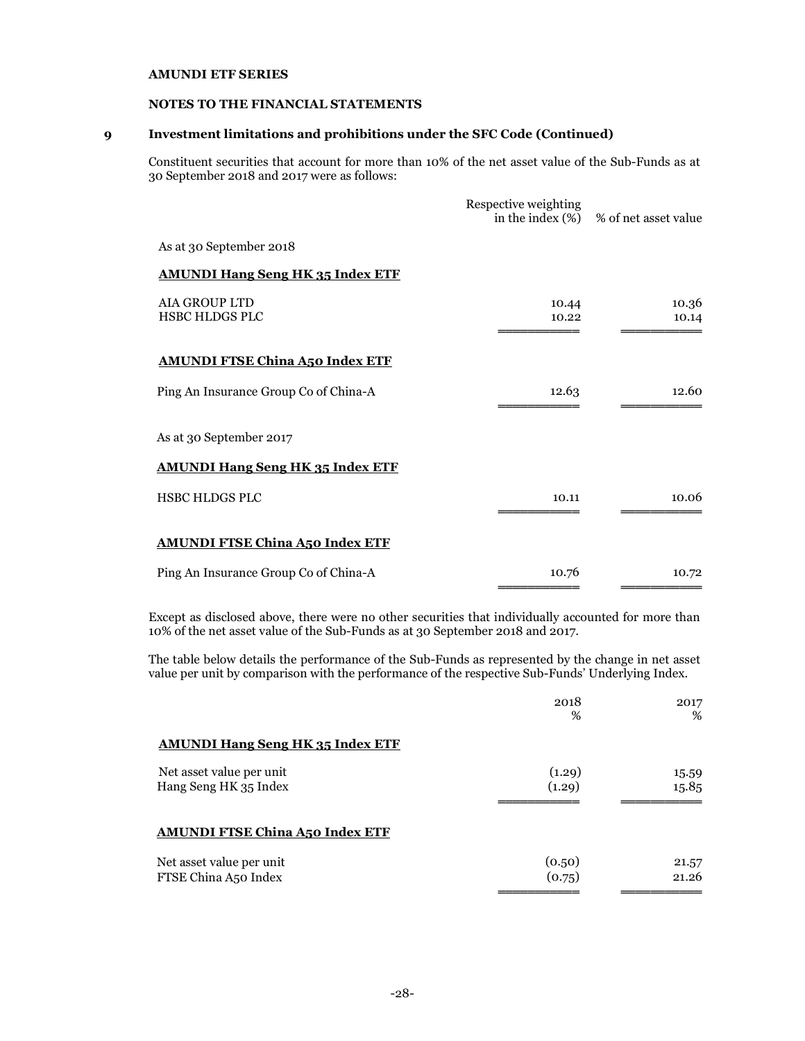## NOTES TO THE FINANCIAL STATEMENTS

#### 9 Investment limitations and prohibitions under the SFC Code (Continued)

Constituent securities that account for more than 10% of the net asset value of the Sub-Funds as at 30 September 2018 and 2017 were as follows:

|                                               | Respective weighting<br>in the index $(\%)$ | % of net asset value |
|-----------------------------------------------|---------------------------------------------|----------------------|
| As at 30 September 2018                       |                                             |                      |
| <b>AMUNDI Hang Seng HK 35 Index ETF</b>       |                                             |                      |
| <b>AIA GROUP LTD</b><br><b>HSBC HLDGS PLC</b> | 10.44<br>10.22                              | 10.36<br>10.14       |
| <b>AMUNDI FTSE China A50 Index ETF</b>        |                                             |                      |
| Ping An Insurance Group Co of China-A         | 12.63                                       | 12.60                |
| As at 30 September 2017                       |                                             |                      |
| <b>AMUNDI Hang Seng HK 35 Index ETF</b>       |                                             |                      |
| <b>HSBC HLDGS PLC</b>                         | 10.11                                       | 10.06                |
| <b>AMUNDI FTSE China A50 Index ETF</b>        |                                             |                      |
| Ping An Insurance Group Co of China-A         | 10.76                                       | 10.72                |

Except as disclosed above, there were no other securities that individually accounted for more than 10% of the net asset value of the Sub-Funds as at 30 September 2018 and 2017.

The table below details the performance of the Sub-Funds as represented by the change in net asset value per unit by comparison with the performance of the respective Sub-Funds' Underlying Index.

|                                                   | 2018<br>%        | 2017<br>%      |
|---------------------------------------------------|------------------|----------------|
| <b>AMUNDI Hang Seng HK 35 Index ETF</b>           |                  |                |
| Net asset value per unit<br>Hang Seng HK 35 Index | (1.29)<br>(1.29) | 15.59<br>15.85 |
| <b>AMUNDI FTSE China A50 Index ETF</b>            |                  |                |
| Net asset value per unit<br>FTSE China A50 Index  | (0.50)<br>(0.75) | 21.57<br>21.26 |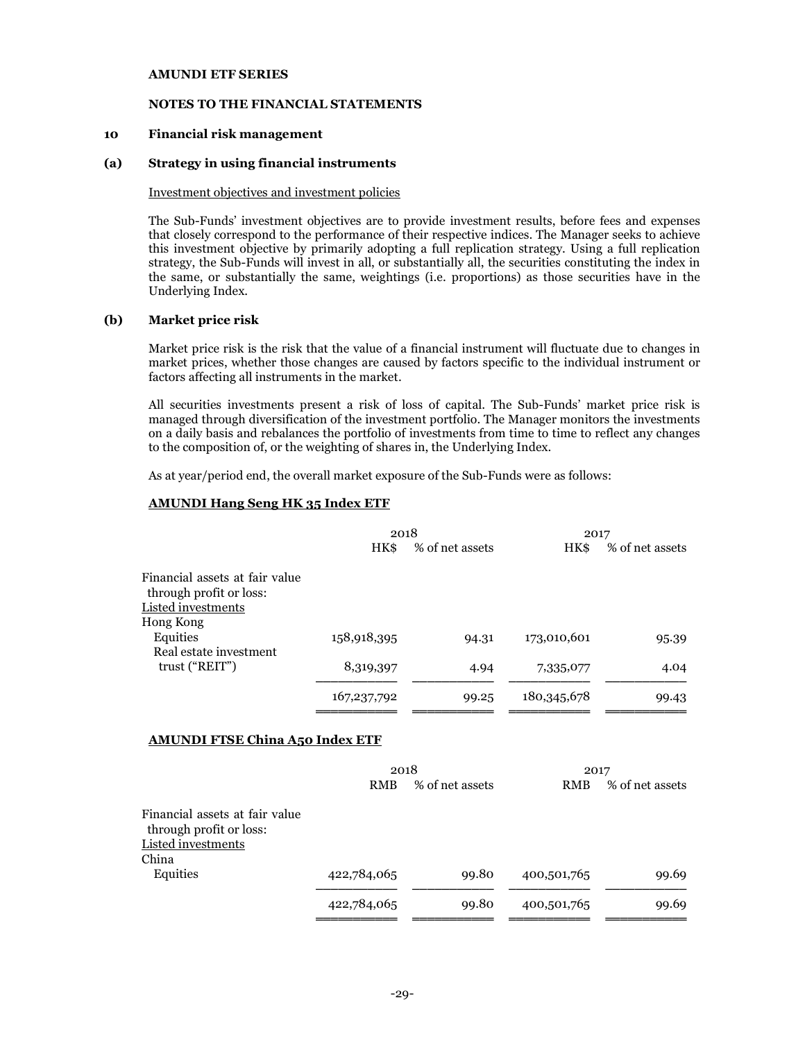## NOTES TO THE FINANCIAL STATEMENTS

#### 10 Financial risk management

#### (a) Strategy in using financial instruments

## Investment objectives and investment policies

The Sub-Funds' investment objectives are to provide investment results, before fees and expenses that closely correspond to the performance of their respective indices. The Manager seeks to achieve this investment objective by primarily adopting a full replication strategy. Using a full replication strategy, the Sub-Funds will invest in all, or substantially all, the securities constituting the index in the same, or substantially the same, weightings (i.e. proportions) as those securities have in the Underlying Index.

## (b) Market price risk

Market price risk is the risk that the value of a financial instrument will fluctuate due to changes in market prices, whether those changes are caused by factors specific to the individual instrument or factors affecting all instruments in the market.

All securities investments present a risk of loss of capital. The Sub-Funds' market price risk is managed through diversification of the investment portfolio. The Manager monitors the investments on a daily basis and rebalances the portfolio of investments from time to time to reflect any changes to the composition of, or the weighting of shares in, the Underlying Index.

As at year/period end, the overall market exposure of the Sub-Funds were as follows:

## AMUNDI Hang Seng HK 35 Index ETF

|                                                                                              | 2018          |                 | 2017        |                 |
|----------------------------------------------------------------------------------------------|---------------|-----------------|-------------|-----------------|
|                                                                                              | HK\$          | % of net assets | HK\$        | % of net assets |
| Financial assets at fair value<br>through profit or loss:<br>Listed investments<br>Hong Kong |               |                 |             |                 |
| Equities                                                                                     | 158,918,395   | 94.31           | 173,010,601 | 95.39           |
| Real estate investment<br>trust ("REIT")                                                     | 8,319,397     | 4.94            | 7,335,077   | 4.04            |
|                                                                                              | 167, 237, 792 | 99.25           | 180,345,678 | 99.43           |

## AMUNDI FTSE China A50 Index ETF

|                                                                                                 | 2018        |                 | 2017        |                 |
|-------------------------------------------------------------------------------------------------|-------------|-----------------|-------------|-----------------|
|                                                                                                 | <b>RMB</b>  | % of net assets | <b>RMB</b>  | % of net assets |
| Financial assets at fair value<br>through profit or loss:<br><b>Listed investments</b><br>China |             |                 |             |                 |
| Equities                                                                                        | 422,784,065 | 99.80           | 400,501,765 | 99.69           |
|                                                                                                 | 422,784,065 | 99.80           | 400,501,765 | 99.69           |
|                                                                                                 |             |                 |             |                 |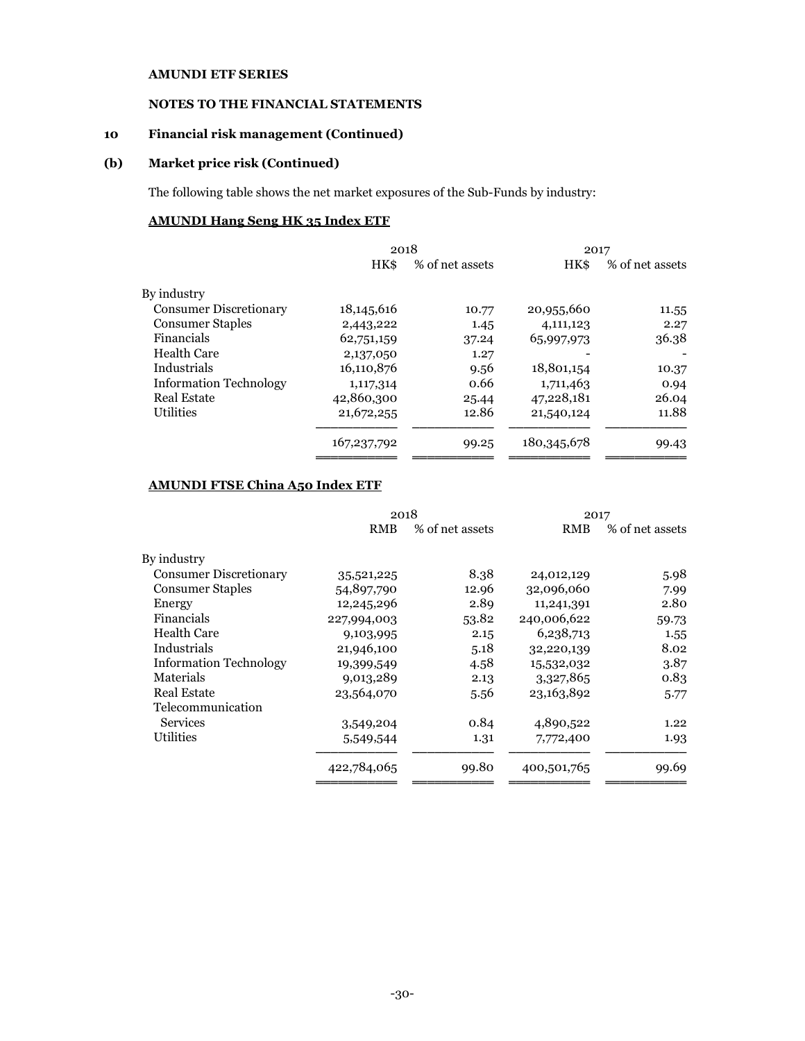# NOTES TO THE FINANCIAL STATEMENTS

# 10 Financial risk management (Continued)

# (b) Market price risk (Continued)

The following table shows the net market exposures of the Sub-Funds by industry:

# AMUNDI Hang Seng HK 35 Index ETF

|                               | 2018          |                 | 2017        |                 |
|-------------------------------|---------------|-----------------|-------------|-----------------|
|                               | HK\$          | % of net assets | HK\$        | % of net assets |
| By industry                   |               |                 |             |                 |
| <b>Consumer Discretionary</b> | 18, 145, 616  | 10.77           | 20,955,660  | 11.55           |
| Consumer Staples              | 2,443,222     | 1.45            | 4,111,123   | 2.27            |
| Financials                    | 62,751,159    | 37.24           | 65,997,973  | 36.38           |
| <b>Health Care</b>            | 2,137,050     | 1.27            |             |                 |
| Industrials                   | 16,110,876    | 9.56            | 18,801,154  | 10.37           |
| <b>Information Technology</b> | 1,117,314     | 0.66            | 1,711,463   | 0.94            |
| <b>Real Estate</b>            | 42,860,300    | 25.44           | 47,228,181  | 26.04           |
| <b>Utilities</b>              | 21,672,255    | 12.86           | 21,540,124  | 11.88           |
|                               | 167, 237, 792 | 99.25           | 180,345,678 | 99.43           |
|                               |               |                 |             |                 |

# AMUNDI FTSE China A50 Index ETF

|                               | 2018        |                 | 2017        |                 |
|-------------------------------|-------------|-----------------|-------------|-----------------|
|                               | <b>RMB</b>  | % of net assets | <b>RMB</b>  | % of net assets |
| By industry                   |             |                 |             |                 |
| <b>Consumer Discretionary</b> | 35,521,225  | 8.38            | 24,012,129  | 5.98            |
| <b>Consumer Staples</b>       | 54,897,790  | 12.96           | 32,096,060  | 7.99            |
| Energy                        | 12,245,296  | 2.89            | 11,241,391  | 2.80            |
| Financials                    | 227,994,003 | 53.82           | 240,006,622 | 59.73           |
| <b>Health Care</b>            | 9,103,995   | 2.15            | 6,238,713   | 1.55            |
| Industrials                   | 21,946,100  | 5.18            | 32,220,139  | 8.02            |
| <b>Information Technology</b> | 19,399,549  | 4.58            | 15,532,032  | 3.87            |
| Materials                     | 9,013,289   | 2.13            | 3,327,865   | 0.83            |
| <b>Real Estate</b>            | 23,564,070  | 5.56            | 23,163,892  | 5.77            |
| Telecommunication             |             |                 |             |                 |
| <b>Services</b>               | 3,549,204   | 0.84            | 4,890,522   | 1.22            |
| <b>Utilities</b>              | 5,549,544   | 1.31            | 7,772,400   | 1.93            |
|                               | 422,784,065 | 99.80           | 400,501,765 | 99.69           |
|                               |             |                 |             |                 |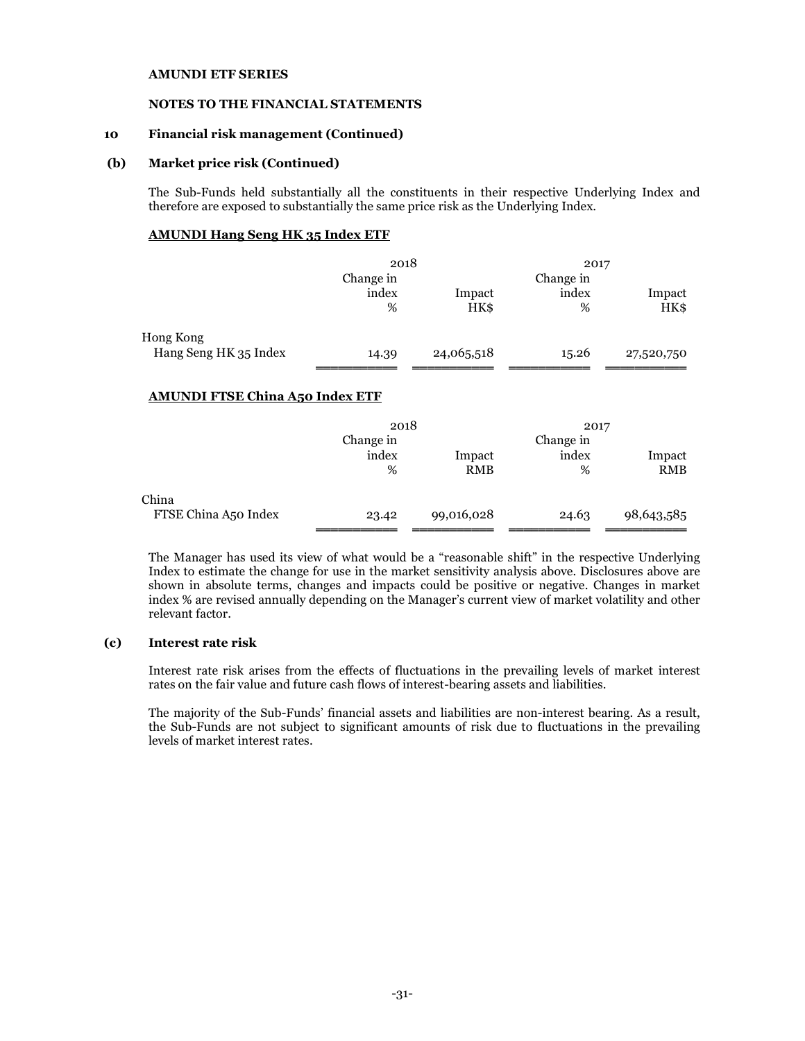## NOTES TO THE FINANCIAL STATEMENTS

#### 10 Financial risk management (Continued)

#### (b) Market price risk (Continued)

The Sub-Funds held substantially all the constituents in their respective Underlying Index and therefore are exposed to substantially the same price risk as the Underlying Index.

#### AMUNDI Hang Seng HK 35 Index ETF

|                       | 2018      |            | 2017      |            |
|-----------------------|-----------|------------|-----------|------------|
|                       | Change in |            | Change in |            |
|                       | index     | Impact     | index     | Impact     |
|                       | %         | HK\$       | %         | HK\$       |
| Hong Kong             |           |            |           |            |
| Hang Seng HK 35 Index | 14.39     | 24,065,518 | 15.26     | 27,520,750 |
|                       |           |            |           |            |

## AMUNDI FTSE China A50 Index ETF

|                      | 2018      |            | 2017      |            |
|----------------------|-----------|------------|-----------|------------|
|                      | Change in |            | Change in |            |
|                      | index     | Impact     | index     | Impact     |
|                      | %         | <b>RMB</b> | %         | <b>RMB</b> |
| China                |           |            |           |            |
| FTSE China A50 Index | 23.42     | 99,016,028 | 24.63     | 98,643,585 |
|                      |           |            |           |            |

The Manager has used its view of what would be a "reasonable shift" in the respective Underlying Index to estimate the change for use in the market sensitivity analysis above. Disclosures above are shown in absolute terms, changes and impacts could be positive or negative. Changes in market index % are revised annually depending on the Manager's current view of market volatility and other relevant factor.

## (c) Interest rate risk

Interest rate risk arises from the effects of fluctuations in the prevailing levels of market interest rates on the fair value and future cash flows of interest-bearing assets and liabilities.

The majority of the Sub-Funds' financial assets and liabilities are non-interest bearing. As a result, the Sub-Funds are not subject to significant amounts of risk due to fluctuations in the prevailing levels of market interest rates.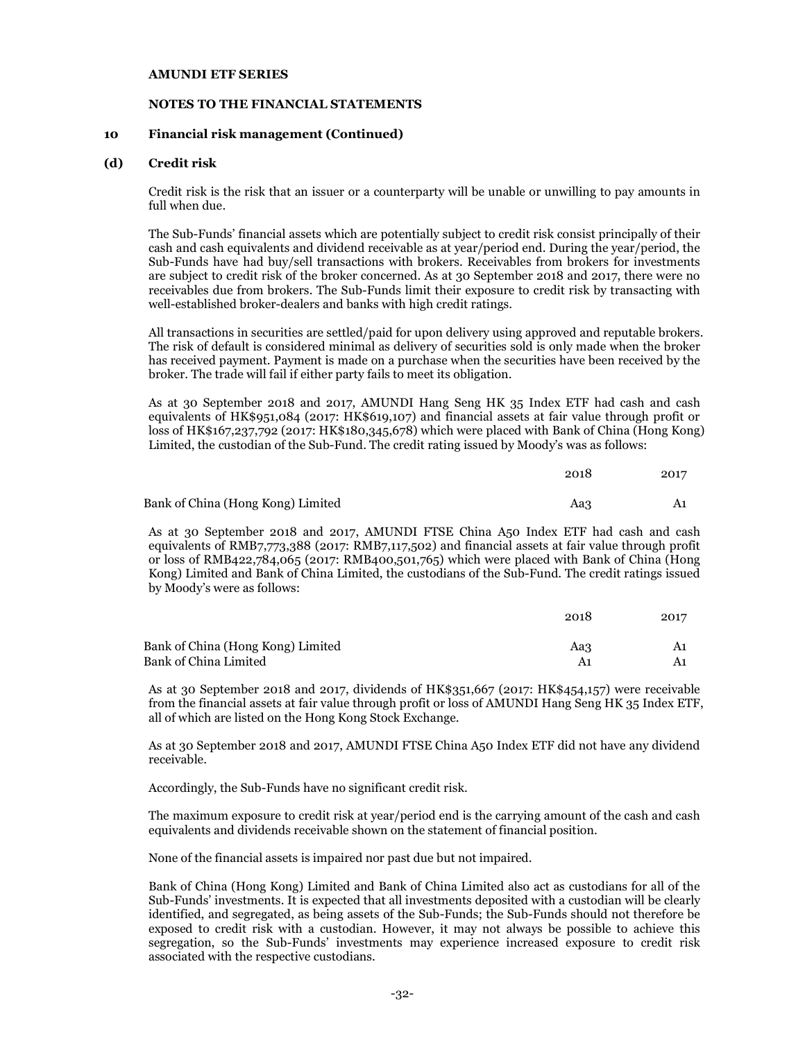#### NOTES TO THE FINANCIAL STATEMENTS

#### 10 Financial risk management (Continued)

## (d) Credit risk

Credit risk is the risk that an issuer or a counterparty will be unable or unwilling to pay amounts in full when due.

The Sub-Funds' financial assets which are potentially subject to credit risk consist principally of their cash and cash equivalents and dividend receivable as at year/period end. During the year/period, the Sub-Funds have had buy/sell transactions with brokers. Receivables from brokers for investments are subject to credit risk of the broker concerned. As at 30 September 2018 and 2017, there were no receivables due from brokers. The Sub-Funds limit their exposure to credit risk by transacting with well-established broker-dealers and banks with high credit ratings.

All transactions in securities are settled/paid for upon delivery using approved and reputable brokers. The risk of default is considered minimal as delivery of securities sold is only made when the broker has received payment. Payment is made on a purchase when the securities have been received by the broker. The trade will fail if either party fails to meet its obligation.

As at 30 September 2018 and 2017, AMUNDI Hang Seng HK 35 Index ETF had cash and cash equivalents of HK\$951,084 (2017: HK\$619,107) and financial assets at fair value through profit or loss of HK\$167,237,792 (2017: HK\$180,345,678) which were placed with Bank of China (Hong Kong) Limited, the custodian of the Sub-Fund. The credit rating issued by Moody's was as follows:

|                                   | 2018 | 2017 |
|-----------------------------------|------|------|
| Bank of China (Hong Kong) Limited | Aa3  | A1   |

As at 30 September 2018 and 2017, AMUNDI FTSE China A50 Index ETF had cash and cash equivalents of RMB7,773,388 (2017: RMB7,117,502) and financial assets at fair value through profit or loss of RMB422,784,065 (2017: RMB400,501,765) which were placed with Bank of China (Hong Kong) Limited and Bank of China Limited, the custodians of the Sub-Fund. The credit ratings issued by Moody's were as follows:

|                                   | 2018 | 2017 |
|-----------------------------------|------|------|
| Bank of China (Hong Kong) Limited | Aa3  | A1   |
| Bank of China Limited             | A1   | A1   |

As at 30 September 2018 and 2017, dividends of HK\$351,667 (2017: HK\$454,157) were receivable from the financial assets at fair value through profit or loss of AMUNDI Hang Seng HK 35 Index ETF, all of which are listed on the Hong Kong Stock Exchange.

As at 30 September 2018 and 2017, AMUNDI FTSE China A50 Index ETF did not have any dividend receivable.

Accordingly, the Sub-Funds have no significant credit risk.

The maximum exposure to credit risk at year/period end is the carrying amount of the cash and cash equivalents and dividends receivable shown on the statement of financial position.

None of the financial assets is impaired nor past due but not impaired.

Bank of China (Hong Kong) Limited and Bank of China Limited also act as custodians for all of the Sub-Funds' investments. It is expected that all investments deposited with a custodian will be clearly identified, and segregated, as being assets of the Sub-Funds; the Sub-Funds should not therefore be exposed to credit risk with a custodian. However, it may not always be possible to achieve this segregation, so the Sub-Funds' investments may experience increased exposure to credit risk associated with the respective custodians.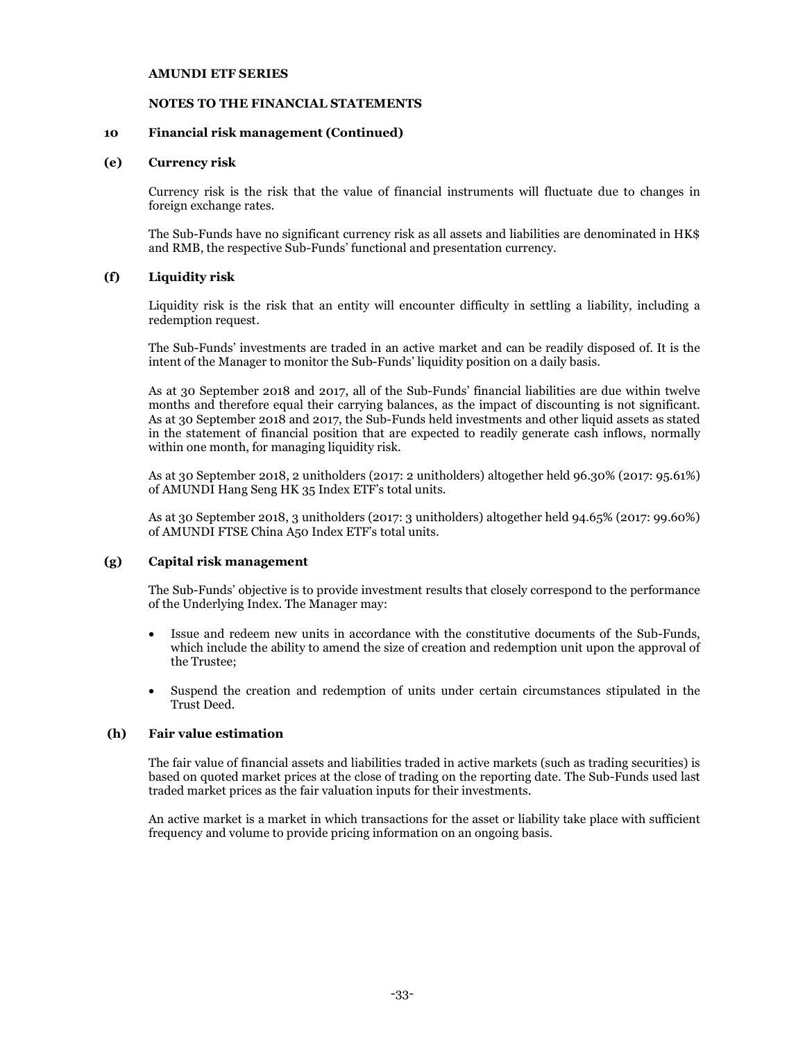## NOTES TO THE FINANCIAL STATEMENTS

## 10 Financial risk management (Continued)

## (e) Currency risk

Currency risk is the risk that the value of financial instruments will fluctuate due to changes in foreign exchange rates.

The Sub-Funds have no significant currency risk as all assets and liabilities are denominated in HK\$ and RMB, the respective Sub-Funds' functional and presentation currency.

## (f) Liquidity risk

Liquidity risk is the risk that an entity will encounter difficulty in settling a liability, including a redemption request.

The Sub-Funds' investments are traded in an active market and can be readily disposed of. It is the intent of the Manager to monitor the Sub-Funds' liquidity position on a daily basis.

As at 30 September 2018 and 2017, all of the Sub-Funds' financial liabilities are due within twelve months and therefore equal their carrying balances, as the impact of discounting is not significant. As at 30 September 2018 and 2017, the Sub-Funds held investments and other liquid assets as stated in the statement of financial position that are expected to readily generate cash inflows, normally within one month, for managing liquidity risk.

As at 30 September 2018, 2 unitholders (2017: 2 unitholders) altogether held 96.30% (2017: 95.61%) of AMUNDI Hang Seng HK 35 Index ETF's total units.

As at 30 September 2018, 3 unitholders (2017: 3 unitholders) altogether held 94.65% (2017: 99.60%) of AMUNDI FTSE China A50 Index ETF's total units.

## (g) Capital risk management

The Sub-Funds' objective is to provide investment results that closely correspond to the performance of the Underlying Index. The Manager may:

- Issue and redeem new units in accordance with the constitutive documents of the Sub-Funds, which include the ability to amend the size of creation and redemption unit upon the approval of the Trustee;
- Suspend the creation and redemption of units under certain circumstances stipulated in the Trust Deed.

## (h) Fair value estimation

The fair value of financial assets and liabilities traded in active markets (such as trading securities) is based on quoted market prices at the close of trading on the reporting date. The Sub-Funds used last traded market prices as the fair valuation inputs for their investments.

An active market is a market in which transactions for the asset or liability take place with sufficient frequency and volume to provide pricing information on an ongoing basis.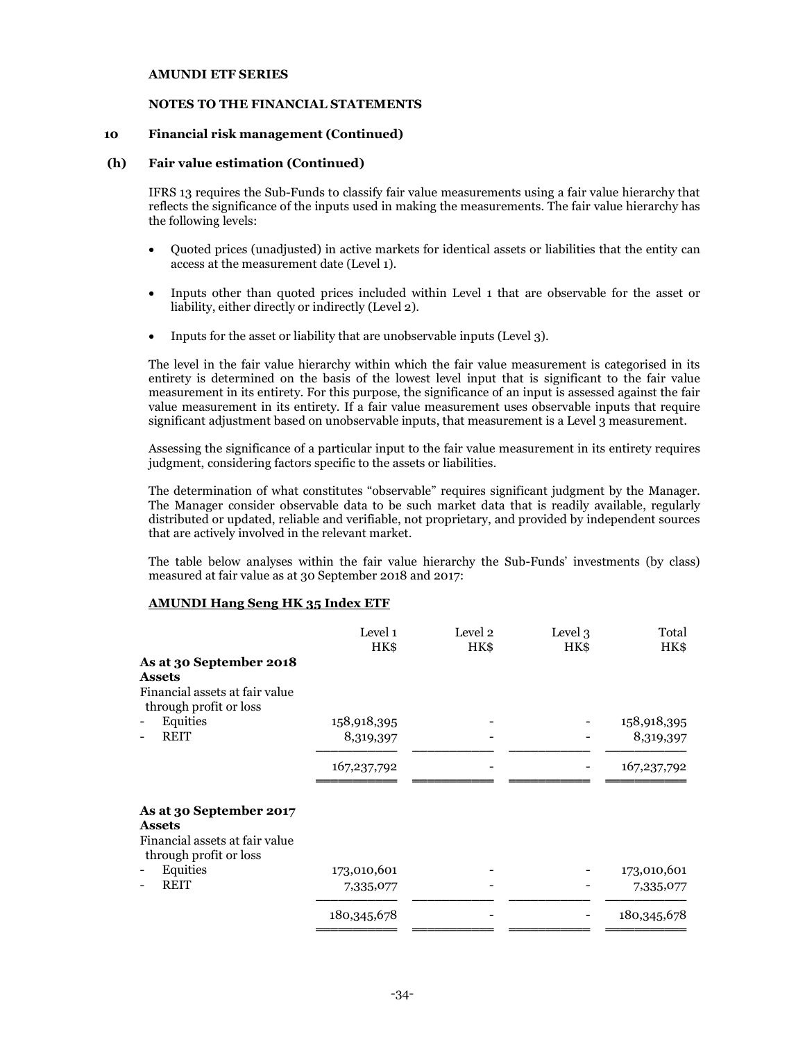## NOTES TO THE FINANCIAL STATEMENTS

#### 10 Financial risk management (Continued)

## (h) Fair value estimation (Continued)

IFRS 13 requires the Sub-Funds to classify fair value measurements using a fair value hierarchy that reflects the significance of the inputs used in making the measurements. The fair value hierarchy has the following levels:

- Quoted prices (unadjusted) in active markets for identical assets or liabilities that the entity can access at the measurement date (Level 1).
- Inputs other than quoted prices included within Level 1 that are observable for the asset or liability, either directly or indirectly (Level 2).
- Inputs for the asset or liability that are unobservable inputs (Level 3).

The level in the fair value hierarchy within which the fair value measurement is categorised in its entirety is determined on the basis of the lowest level input that is significant to the fair value measurement in its entirety. For this purpose, the significance of an input is assessed against the fair value measurement in its entirety. If a fair value measurement uses observable inputs that require significant adjustment based on unobservable inputs, that measurement is a Level 3 measurement.

Assessing the significance of a particular input to the fair value measurement in its entirety requires judgment, considering factors specific to the assets or liabilities.

The determination of what constitutes "observable" requires significant judgment by the Manager. The Manager consider observable data to be such market data that is readily available, regularly distributed or updated, reliable and verifiable, not proprietary, and provided by independent sources that are actively involved in the relevant market.

The table below analyses within the fair value hierarchy the Sub-Funds' investments (by class) measured at fair value as at 30 September 2018 and 2017:

## AMUNDI Hang Seng HK 35 Index ETF

|                                                                           | Level 1<br>HK\$ | Level 2<br>HK\$ | Level 3<br>HK\$ | Total<br>HK\$ |
|---------------------------------------------------------------------------|-----------------|-----------------|-----------------|---------------|
| As at 30 September 2018                                                   |                 |                 |                 |               |
| <b>Assets</b><br>Financial assets at fair value<br>through profit or loss |                 |                 |                 |               |
| Equities                                                                  | 158,918,395     |                 |                 | 158,918,395   |
| <b>REIT</b>                                                               | 8,319,397       |                 |                 | 8,319,397     |
|                                                                           | 167,237,792     |                 |                 | 167, 237, 792 |
| As at 30 September 2017                                                   |                 |                 |                 |               |
| <b>Assets</b>                                                             |                 |                 |                 |               |
| Financial assets at fair value<br>through profit or loss                  |                 |                 |                 |               |
| Equities                                                                  | 173,010,601     |                 |                 | 173,010,601   |
| <b>REIT</b>                                                               | 7,335,077       |                 |                 | 7,335,077     |
|                                                                           | 180,345,678     |                 |                 | 180,345,678   |
|                                                                           |                 |                 |                 |               |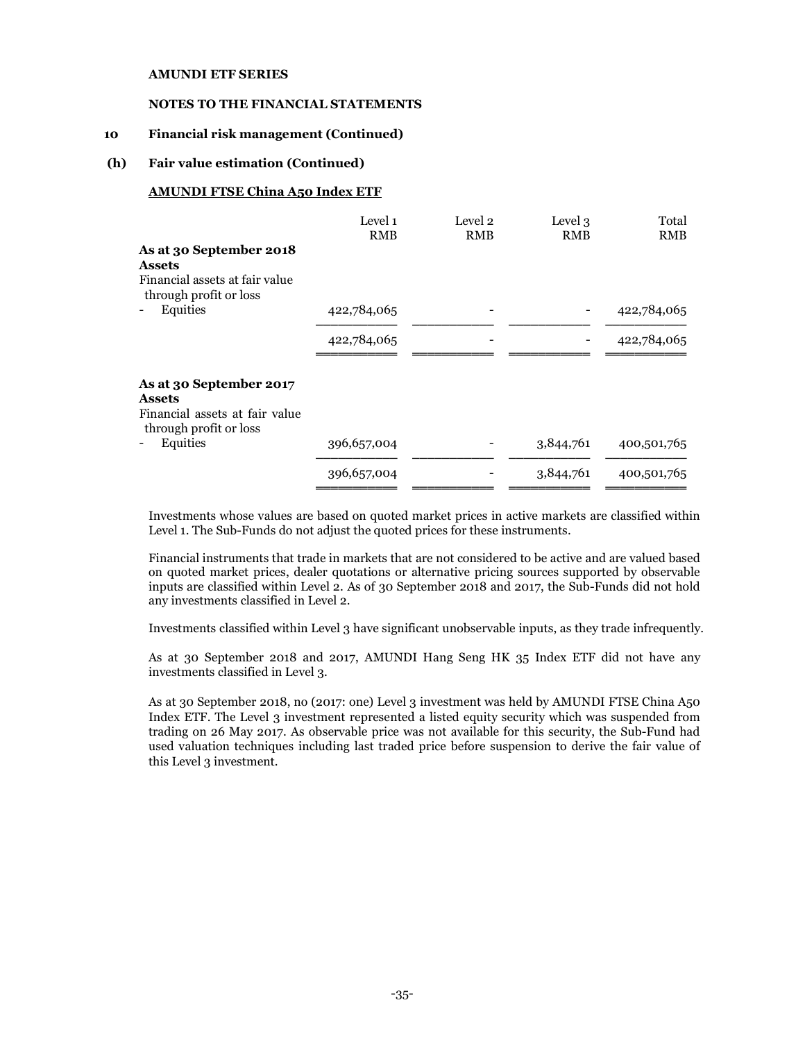## NOTES TO THE FINANCIAL STATEMENTS

#### 10 Financial risk management (Continued)

#### (h) Fair value estimation (Continued)

#### AMUNDI FTSE China A50 Index ETF

|                                                          | Level 1<br><b>RMB</b> | Level 2<br><b>RMB</b> | Level 3<br><b>RMB</b> | Total<br><b>RMB</b> |
|----------------------------------------------------------|-----------------------|-----------------------|-----------------------|---------------------|
| As at 30 September 2018                                  |                       |                       |                       |                     |
| <b>Assets</b>                                            |                       |                       |                       |                     |
| Financial assets at fair value<br>through profit or loss |                       |                       |                       |                     |
| Equities<br>-                                            | 422,784,065           |                       |                       | 422,784,065         |
|                                                          | 422,784,065           |                       |                       | 422,784,065         |
| As at 30 September 2017                                  |                       |                       |                       |                     |
| <b>Assets</b>                                            |                       |                       |                       |                     |
| Financial assets at fair value<br>through profit or loss |                       |                       |                       |                     |
| Equities<br>-                                            | 396,657,004           |                       | 3,844,761             | 400,501,765         |
|                                                          | 396,657,004           |                       | 3,844,761             | 400,501,765         |
|                                                          |                       |                       |                       |                     |

Investments whose values are based on quoted market prices in active markets are classified within Level 1. The Sub-Funds do not adjust the quoted prices for these instruments.

Financial instruments that trade in markets that are not considered to be active and are valued based on quoted market prices, dealer quotations or alternative pricing sources supported by observable inputs are classified within Level 2. As of 30 September 2018 and 2017, the Sub-Funds did not hold any investments classified in Level 2.

Investments classified within Level 3 have significant unobservable inputs, as they trade infrequently.

As at 30 September 2018 and 2017, AMUNDI Hang Seng HK 35 Index ETF did not have any investments classified in Level 3.

As at 30 September 2018, no (2017: one) Level 3 investment was held by AMUNDI FTSE China A50 Index ETF. The Level 3 investment represented a listed equity security which was suspended from trading on 26 May 2017. As observable price was not available for this security, the Sub-Fund had used valuation techniques including last traded price before suspension to derive the fair value of this Level 3 investment.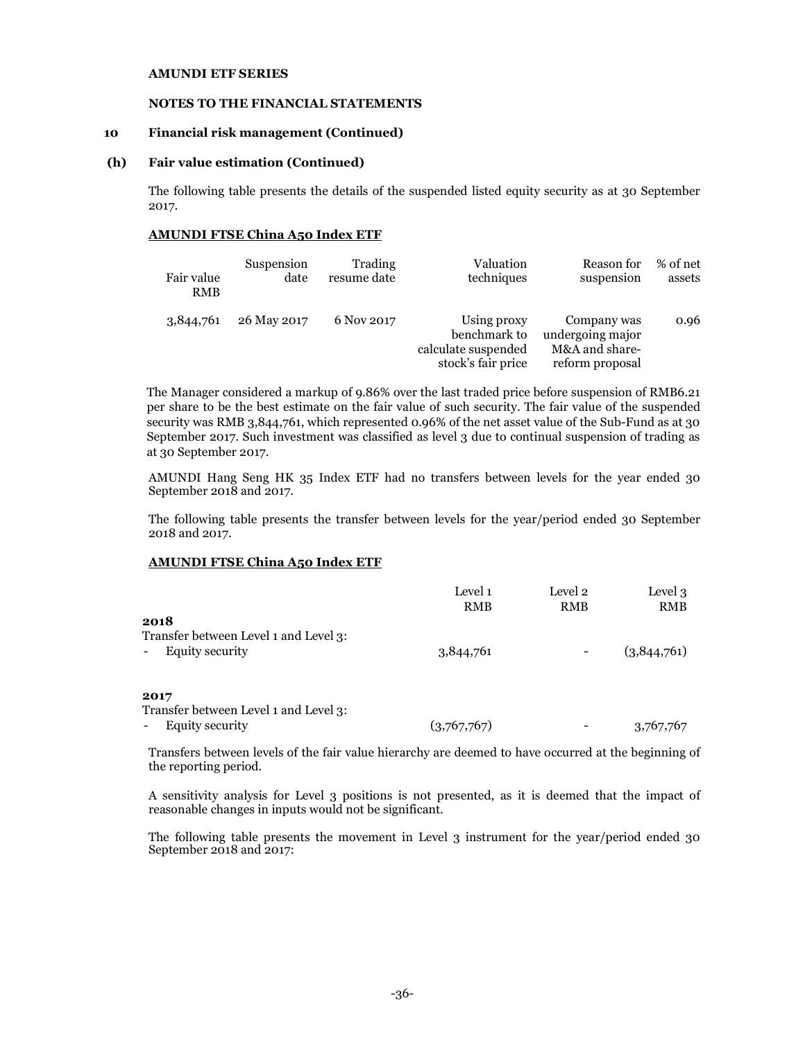## NOTES TO THE FINANCIAL STATEMENTS

#### 10 Financial risk management (Continued)

#### (h) Fair value estimation (Continued)

The following table presents the details of the suspended listed equity security as at 30 September 2017.

## AMUNDI FTSE China A50 Index ETF

| Fair value | Suspension  | Trading     | Valuation                                                                | Reason for                                                           | % of net |
|------------|-------------|-------------|--------------------------------------------------------------------------|----------------------------------------------------------------------|----------|
| RMB        | date        | resume date | techniques                                                               | suspension                                                           | assets   |
| 3,844,761  | 26 May 2017 | 6 Nov 2017  | Using proxy<br>benchmark to<br>calculate suspended<br>stock's fair price | Company was<br>undergoing major<br>M&A and share-<br>reform proposal | 0.96     |

The Manager considered a markup of 9.86% over the last traded price before suspension of RMB6.21 per share to be the best estimate on the fair value of such security. The fair value of the suspended security was RMB 3,844,761, which represented 0.96% of the net asset value of the Sub-Fund as at 30 September 2017. Such investment was classified as level 3 due to continual suspension of trading as at 30 September 2017.

AMUNDI Hang Seng HK 35 Index ETF had no transfers between levels for the year ended 30 September 2018 and 2017.

The following table presents the transfer between levels for the year/period ended 30 September 2018 and 2017.

## AMUNDI FTSE China A50 Index ETF

| Level 1   | Level 2                  | Level 3<br>RMB |
|-----------|--------------------------|----------------|
| 3,844,761 | $\overline{\phantom{a}}$ | (3,844,761)    |
|           | <b>RMB</b>               | <b>RMB</b>     |

#### 2017

| Transfer between Level 1 and Level 3: |             |   |           |
|---------------------------------------|-------------|---|-----------|
| - Equity security                     | (3,767,767) | ۰ | 3,767,767 |

Transfers between levels of the fair value hierarchy are deemed to have occurred at the beginning of the reporting period.

A sensitivity analysis for Level 3 positions is not presented, as it is deemed that the impact of reasonable changes in inputs would not be significant.

The following table presents the movement in Level 3 instrument for the year/period ended 30 September 2018 and 2017: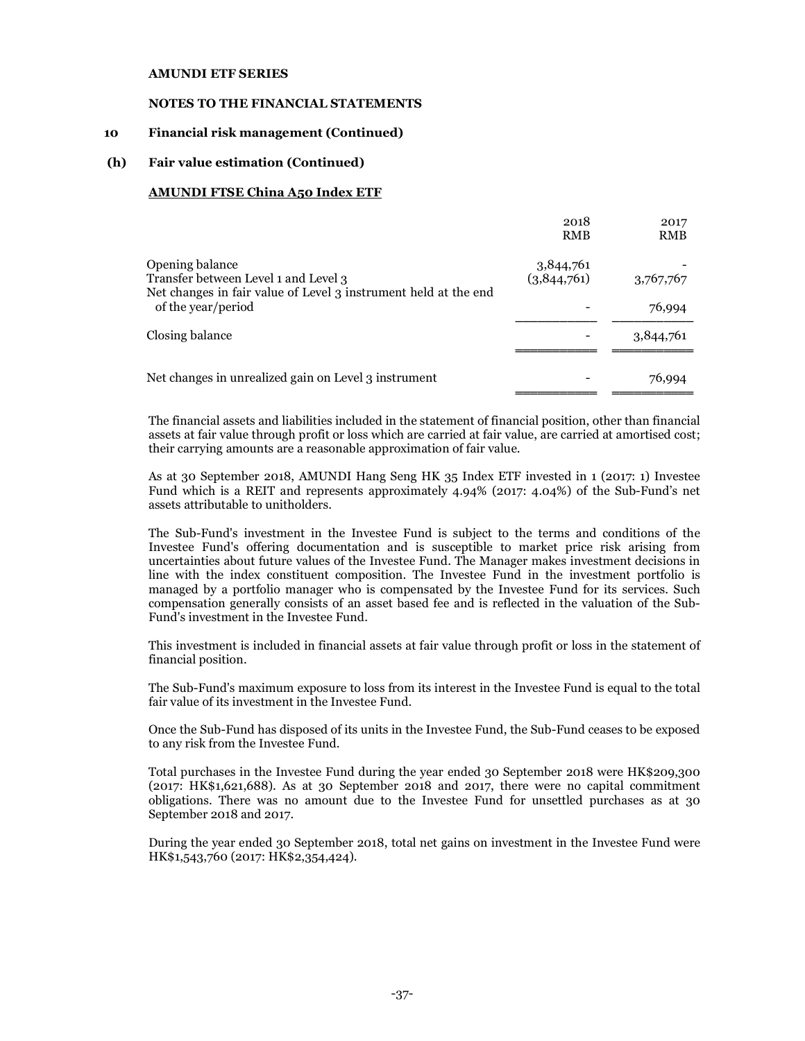## NOTES TO THE FINANCIAL STATEMENTS

#### 10 Financial risk management (Continued)

#### (h) Fair value estimation (Continued)

#### AMUNDI FTSE China A50 Index ETF

|                                                                                                                            | 2018<br><b>RMB</b>       | 2017<br><b>RMB</b> |
|----------------------------------------------------------------------------------------------------------------------------|--------------------------|--------------------|
| Opening balance<br>Transfer between Level 1 and Level 3<br>Net changes in fair value of Level 3 instrument held at the end | 3,844,761<br>(3,844,761) | 3,767,767          |
| of the year/period                                                                                                         |                          | 76,994             |
| Closing balance                                                                                                            |                          | 3,844,761          |
| Net changes in unrealized gain on Level 3 instrument                                                                       |                          | 76,994             |

The financial assets and liabilities included in the statement of financial position, other than financial assets at fair value through profit or loss which are carried at fair value, are carried at amortised cost; their carrying amounts are a reasonable approximation of fair value.

As at 30 September 2018, AMUNDI Hang Seng HK 35 Index ETF invested in 1 (2017: 1) Investee Fund which is a REIT and represents approximately 4.94% (2017: 4.04%) of the Sub-Fund's net assets attributable to unitholders.

The Sub-Fund's investment in the Investee Fund is subject to the terms and conditions of the Investee Fund's offering documentation and is susceptible to market price risk arising from uncertainties about future values of the Investee Fund. The Manager makes investment decisions in line with the index constituent composition. The Investee Fund in the investment portfolio is managed by a portfolio manager who is compensated by the Investee Fund for its services. Such compensation generally consists of an asset based fee and is reflected in the valuation of the Sub-Fund's investment in the Investee Fund.

This investment is included in financial assets at fair value through profit or loss in the statement of financial position.

The Sub-Fund's maximum exposure to loss from its interest in the Investee Fund is equal to the total fair value of its investment in the Investee Fund.

Once the Sub-Fund has disposed of its units in the Investee Fund, the Sub-Fund ceases to be exposed to any risk from the Investee Fund.

Total purchases in the Investee Fund during the year ended 30 September 2018 were HK\$209,300 (2017: HK\$1,621,688). As at 30 September 2018 and 2017, there were no capital commitment obligations. There was no amount due to the Investee Fund for unsettled purchases as at 30 September 2018 and 2017.

During the year ended 30 September 2018, total net gains on investment in the Investee Fund were HK\$1,543,760 (2017: HK\$2,354,424).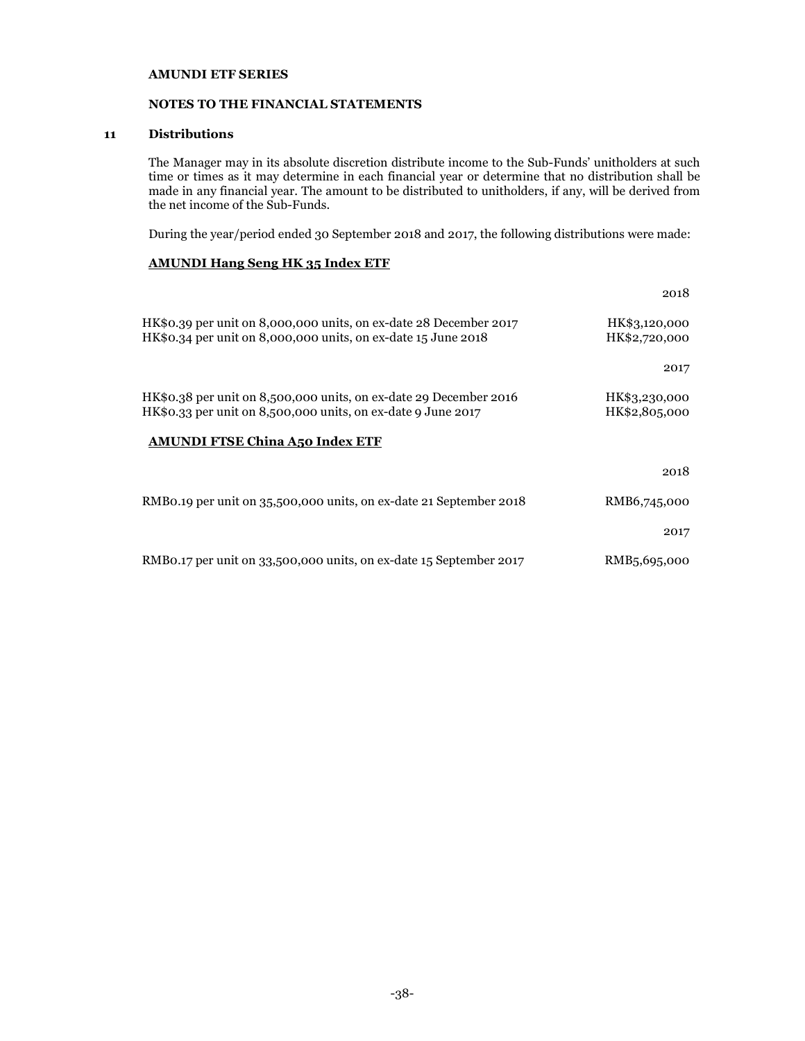## NOTES TO THE FINANCIAL STATEMENTS

## 11 Distributions

The Manager may in its absolute discretion distribute income to the Sub-Funds' unitholders at such time or times as it may determine in each financial year or determine that no distribution shall be made in any financial year. The amount to be distributed to unitholders, if any, will be derived from the net income of the Sub-Funds.

During the year/period ended 30 September 2018 and 2017, the following distributions were made:

## AMUNDI Hang Seng HK 35 Index ETF

| 2018                           |                                                                                                                                    |
|--------------------------------|------------------------------------------------------------------------------------------------------------------------------------|
| HK\$3,120,000<br>HK\$2,720,000 | HK\$0.39 per unit on 8,000,000 units, on ex-date 28 December 2017<br>HK\$0.34 per unit on 8,000,000 units, on ex-date 15 June 2018 |
| 2017                           |                                                                                                                                    |
| HK\$3,230,000<br>HK\$2,805,000 | HK\$0.38 per unit on 8,500,000 units, on ex-date 29 December 2016<br>HK\$0.33 per unit on 8,500,000 units, on ex-date 9 June 2017  |
|                                | <b>AMUNDI FTSE China A50 Index ETF</b>                                                                                             |
| 2018                           |                                                                                                                                    |
| RMB6,745,000                   | RMB0.19 per unit on 35,500,000 units, on ex-date 21 September 2018                                                                 |
| 2017                           |                                                                                                                                    |
| RMB5,695,000                   | RMB0.17 per unit on 33,500,000 units, on ex-date 15 September 2017                                                                 |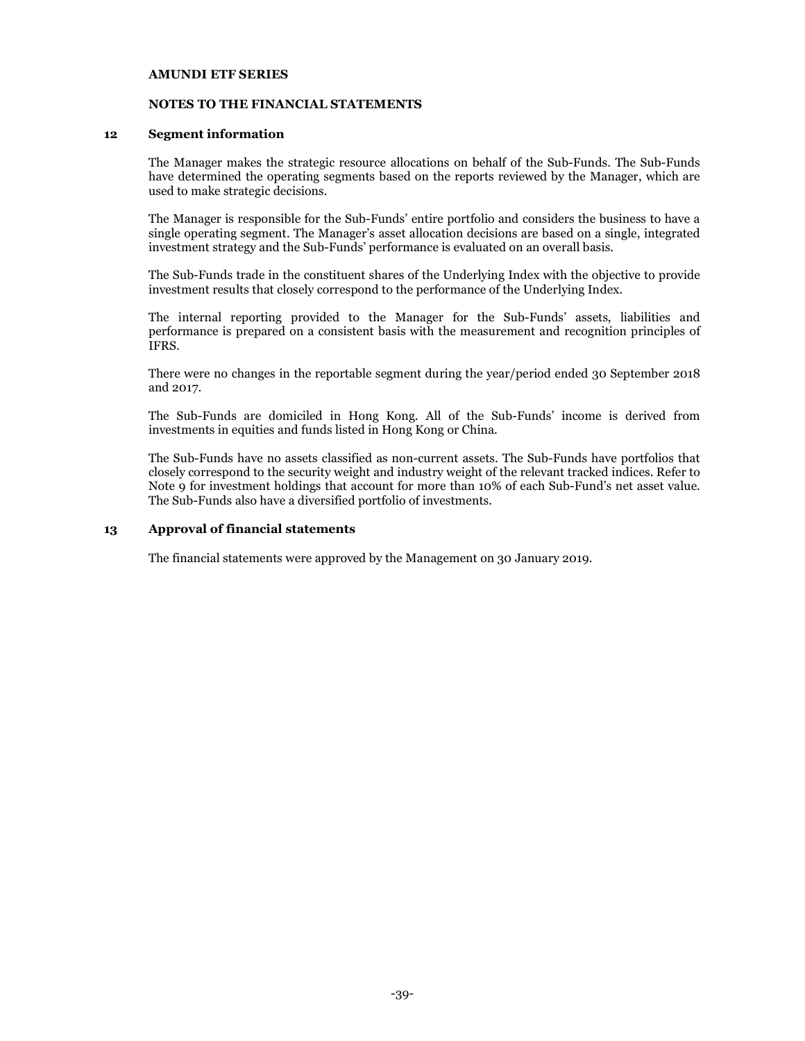## NOTES TO THE FINANCIAL STATEMENTS

#### 12 Segment information

The Manager makes the strategic resource allocations on behalf of the Sub-Funds. The Sub-Funds have determined the operating segments based on the reports reviewed by the Manager, which are used to make strategic decisions.

The Manager is responsible for the Sub-Funds' entire portfolio and considers the business to have a single operating segment. The Manager's asset allocation decisions are based on a single, integrated investment strategy and the Sub-Funds' performance is evaluated on an overall basis.

The Sub-Funds trade in the constituent shares of the Underlying Index with the objective to provide investment results that closely correspond to the performance of the Underlying Index.

The internal reporting provided to the Manager for the Sub-Funds' assets, liabilities and performance is prepared on a consistent basis with the measurement and recognition principles of IFRS.

There were no changes in the reportable segment during the year/period ended 30 September 2018 and 2017.

The Sub-Funds are domiciled in Hong Kong. All of the Sub-Funds' income is derived from investments in equities and funds listed in Hong Kong or China.

The Sub-Funds have no assets classified as non-current assets. The Sub-Funds have portfolios that closely correspond to the security weight and industry weight of the relevant tracked indices. Refer to Note 9 for investment holdings that account for more than 10% of each Sub-Fund's net asset value. The Sub-Funds also have a diversified portfolio of investments.

## 13 Approval of financial statements

The financial statements were approved by the Management on 30 January 2019.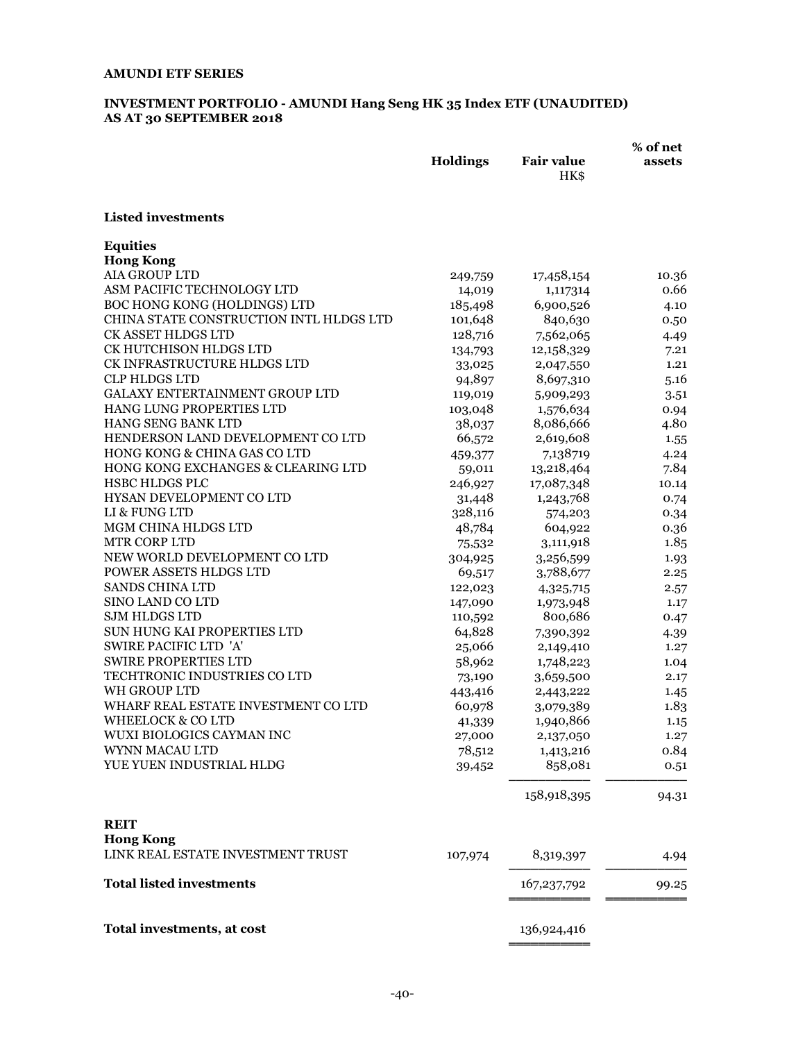## INVESTMENT PORTFOLIO - AMUNDI Hang Seng HK 35 Index ETF (UNAUDITED) AS AT 30 SEPTEMBER 2018

|                                                                   | <b>Holdings</b>   | <b>Fair value</b><br>HK\$ | % of net<br>assets |
|-------------------------------------------------------------------|-------------------|---------------------------|--------------------|
| <b>Listed investments</b>                                         |                   |                           |                    |
| <b>Equities</b>                                                   |                   |                           |                    |
| <b>Hong Kong</b>                                                  |                   |                           |                    |
| <b>AIA GROUP LTD</b>                                              | 249,759           | 17,458,154                | 10.36              |
| ASM PACIFIC TECHNOLOGY LTD                                        | 14,019            | 1,117314                  | 0.66               |
| BOC HONG KONG (HOLDINGS) LTD                                      | 185,498           | 6,900,526                 | 4.10               |
| CHINA STATE CONSTRUCTION INTL HLDGS LTD                           | 101,648           | 840,630                   | 0.50               |
| CK ASSET HLDGS LTD                                                | 128,716           | 7,562,065                 | 4.49               |
| CK HUTCHISON HLDGS LTD                                            | 134,793           | 12,158,329                | 7.21               |
| CK INFRASTRUCTURE HLDGS LTD                                       | 33,025            | 2,047,550                 | 1.21               |
| <b>CLP HLDGS LTD</b><br>GALAXY ENTERTAINMENT GROUP LTD            | 94,897            | 8,697,310                 | 5.16               |
|                                                                   | 119,019           | 5,909,293                 | 3.51               |
| HANG LUNG PROPERTIES LTD<br><b>HANG SENG BANK LTD</b>             | 103,048           | 1,576,634                 | 0.94               |
|                                                                   | 38,037            | 8,086,666                 | 4.80               |
| HENDERSON LAND DEVELOPMENT CO LTD<br>HONG KONG & CHINA GAS CO LTD | 66,572            | 2,619,608                 | 1.55               |
| HONG KONG EXCHANGES & CLEARING LTD                                | 459,377           | 7,138719                  | 4.24               |
| <b>HSBC HLDGS PLC</b>                                             | 59,011            | 13,218,464                | 7.84               |
| HYSAN DEVELOPMENT CO LTD                                          | 246,927           | 17,087,348                | 10.14              |
| LI & FUNG LTD                                                     | 31,448<br>328,116 | 1,243,768                 | 0.74               |
| MGM CHINA HLDGS LTD                                               | 48,784            | 574,203                   | 0.34<br>0.36       |
| MTR CORP LTD                                                      |                   | 604,922<br>3,111,918      | 1.85               |
| NEW WORLD DEVELOPMENT CO LTD                                      | 75,532            | 3,256,599                 |                    |
| POWER ASSETS HLDGS LTD                                            | 304,925<br>69,517 | 3,788,677                 | 1.93               |
| <b>SANDS CHINA LTD</b>                                            | 122,023           |                           | 2.25               |
| SINO LAND CO LTD                                                  | 147,090           | 4,325,715<br>1,973,948    | 2.57<br>1.17       |
| <b>SJM HLDGS LTD</b>                                              | 110,592           | 800,686                   | 0.47               |
| SUN HUNG KAI PROPERTIES LTD                                       | 64,828            | 7,390,392                 | 4.39               |
| SWIRE PACIFIC LTD 'A'                                             | 25,066            | 2,149,410                 | 1.27               |
| <b>SWIRE PROPERTIES LTD</b>                                       | 58,962            | 1,748,223                 | 1.04               |
| TECHTRONIC INDUSTRIES CO LTD                                      | 73,190            | 3,659,500                 | 2.17               |
| WH GROUP LTD                                                      | 443,416           | 2,443,222                 | 1.45               |
| WHARF REAL ESTATE INVESTMENT CO LTD                               | 60,978            | 3,079,389                 | 1.83               |
| WHEELOCK & CO LTD                                                 | 41,339            | 1,940,866                 | 1.15               |
| WUXI BIOLOGICS CAYMAN INC                                         | 27,000            | 2,137,050                 | 1.27               |
| WYNN MACAU LTD                                                    | 78,512            | 1,413,216                 | 0.84               |
| YUE YUEN INDUSTRIAL HLDG                                          | 39,452            | 858,081                   | 0.51               |
|                                                                   |                   | 158,918,395               | 94.31              |
| <b>REIT</b>                                                       |                   |                           |                    |
| <b>Hong Kong</b><br>LINK REAL ESTATE INVESTMENT TRUST             | 107,974           | 8,319,397                 | 4.94               |
|                                                                   |                   |                           |                    |
| <b>Total listed investments</b>                                   |                   | 167,237,792               | 99.25              |
| Total investments, at cost                                        |                   | 136,924,416               |                    |
|                                                                   |                   |                           |                    |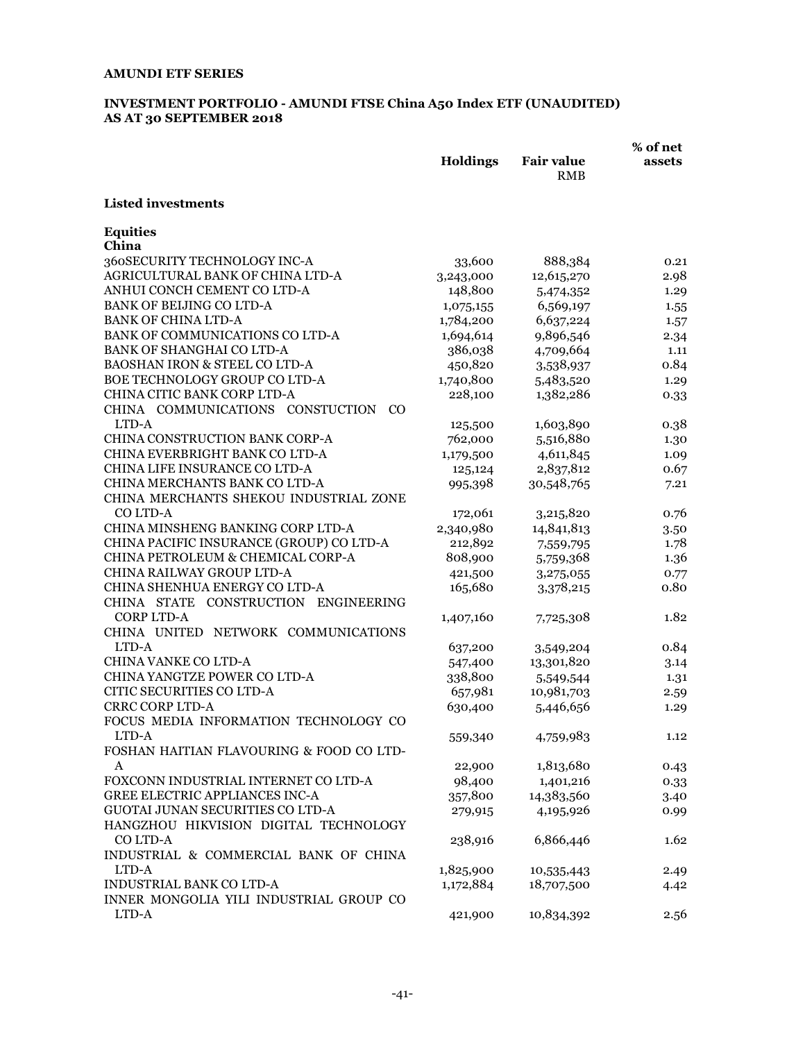## INVESTMENT PORTFOLIO - AMUNDI FTSE China A50 Index ETF (UNAUDITED) AS AT 30 SEPTEMBER 2018

|                                                                  | Holdings             | <b>Fair value</b><br><b>RMB</b> | % of net<br>assets |
|------------------------------------------------------------------|----------------------|---------------------------------|--------------------|
| <b>Listed investments</b>                                        |                      |                                 |                    |
| <b>Equities</b>                                                  |                      |                                 |                    |
| China                                                            |                      |                                 |                    |
| 360SECURITY TECHNOLOGY INC-A<br>AGRICULTURAL BANK OF CHINA LTD-A | 33,600               | 888,384                         | 0.21               |
| ANHUI CONCH CEMENT CO LTD-A                                      | 3,243,000<br>148,800 | 12,615,270                      | 2.98               |
| BANK OF BEIJING CO LTD-A                                         |                      | 5,474,352<br>6,569,197          | 1.29               |
| <b>BANK OF CHINA LTD-A</b>                                       | 1,075,155            |                                 | 1.55               |
| BANK OF COMMUNICATIONS CO LTD-A                                  | 1,784,200            | 6,637,224                       | 1.57               |
| BANK OF SHANGHAI CO LTD-A                                        | 1,694,614            | 9,896,546                       | 2.34               |
| BAOSHAN IRON & STEEL CO LTD-A                                    | 386,038              | 4,709,664<br>3,538,937          | 1.11               |
| BOE TECHNOLOGY GROUP CO LTD-A                                    | 450,820<br>1,740,800 |                                 | 0.84               |
| CHINA CITIC BANK CORP LTD-A                                      | 228,100              | 5,483,520<br>1,382,286          | 1.29               |
| CHINA COMMUNICATIONS CONSTUCTION<br>CO.                          |                      |                                 | 0.33               |
| LTD-A                                                            |                      | 1,603,890                       | 0.38               |
| CHINA CONSTRUCTION BANK CORP-A                                   | 125,500<br>762,000   | 5,516,880                       |                    |
| CHINA EVERBRIGHT BANK CO LTD-A                                   |                      |                                 | 1.30               |
| CHINA LIFE INSURANCE CO LTD-A                                    | 1,179,500            | 4,611,845<br>2,837,812          | 1.09<br>0.67       |
| CHINA MERCHANTS BANK CO LTD-A                                    | 125,124<br>995,398   | 30,548,765                      |                    |
| CHINA MERCHANTS SHEKOU INDUSTRIAL ZONE                           |                      |                                 | 7.21               |
| CO LTD-A                                                         | 172,061              | 3,215,820                       | 0.76               |
| CHINA MINSHENG BANKING CORP LTD-A                                | 2,340,980            | 14,841,813                      |                    |
| CHINA PACIFIC INSURANCE (GROUP) CO LTD-A                         | 212,892              | 7,559,795                       | 3.50<br>1.78       |
| CHINA PETROLEUM & CHEMICAL CORP-A                                | 808,900              | 5,759,368                       | 1.36               |
| CHINA RAILWAY GROUP LTD-A                                        | 421,500              | 3,275,055                       | 0.77               |
| CHINA SHENHUA ENERGY CO LTD-A                                    | 165,680              | 3,378,215                       | 0.80               |
| CHINA STATE CONSTRUCTION ENGINEERING                             |                      |                                 |                    |
| <b>CORP LTD-A</b>                                                | 1,407,160            | 7,725,308                       | 1.82               |
| CHINA UNITED NETWORK COMMUNICATIONS                              |                      |                                 |                    |
| LTD-A                                                            | 637,200              | 3,549,204                       | 0.84               |
| CHINA VANKE CO LTD-A                                             | 547,400              | 13,301,820                      | 3.14               |
| CHINA YANGTZE POWER CO LTD-A                                     | 338,800              | 5,549,544                       | 1.31               |
| CITIC SECURITIES CO LTD-A                                        | 657,981              | 10,981,703                      | 2.59               |
| <b>CRRC CORP LTD-A</b>                                           | 630,400              | 5,446,656                       | 1.29               |
| FOCUS MEDIA INFORMATION TECHNOLOGY CO                            |                      |                                 |                    |
| LTD-A                                                            | 559,340              | 4,759,983                       | 1.12               |
| FOSHAN HAITIAN FLAVOURING & FOOD CO LTD-                         |                      |                                 |                    |
| $\mathbf{A}$                                                     | 22,900               | 1,813,680                       | 0.43               |
| FOXCONN INDUSTRIAL INTERNET CO LTD-A                             | 98,400               | 1,401,216                       | 0.33               |
| GREE ELECTRIC APPLIANCES INC-A                                   | 357,800              | 14,383,560                      | 3.40               |
| GUOTAI JUNAN SECURITIES CO LTD-A                                 | 279,915              | 4,195,926                       | 0.99               |
| HANGZHOU HIKVISION DIGITAL TECHNOLOGY                            |                      |                                 |                    |
| CO LTD-A                                                         | 238,916              | 6,866,446                       | 1.62               |
| INDUSTRIAL & COMMERCIAL BANK OF CHINA                            |                      |                                 |                    |
| LTD-A                                                            | 1,825,900            | 10,535,443                      | 2.49               |
| INDUSTRIAL BANK CO LTD-A                                         | 1,172,884            | 18,707,500                      | 4.42               |
| INNER MONGOLIA YILI INDUSTRIAL GROUP CO                          |                      |                                 |                    |
| LTD-A                                                            | 421,900              | 10,834,392                      | 2.56               |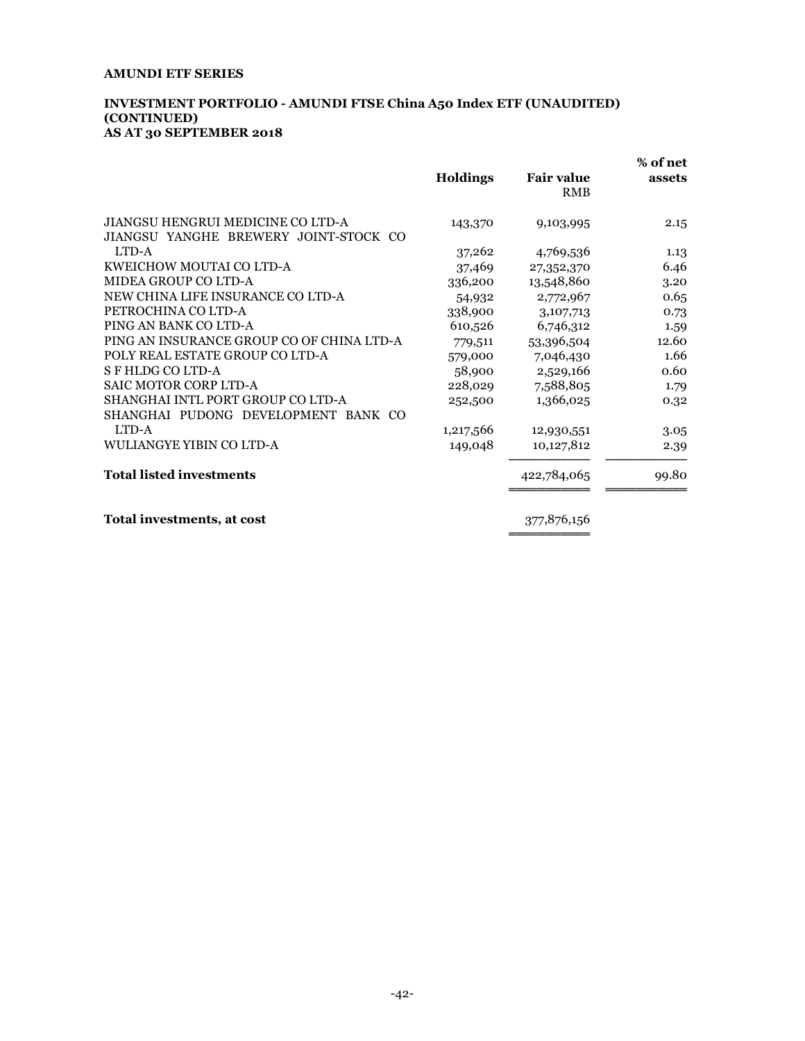# INVESTMENT PORTFOLIO - AMUNDI FTSE China A50 Index ETF (UNAUDITED) (CONTINUED) AS AT 30 SEPTEMBER 2018

|                                                                            | <b>Holdings</b> | <b>Fair value</b><br><b>RMB</b> | % of net<br>assets |
|----------------------------------------------------------------------------|-----------------|---------------------------------|--------------------|
| JIANGSU HENGRUI MEDICINE CO LTD-A<br>JIANGSU YANGHE BREWERY JOINT-STOCK CO | 143,370         | 9,103,995                       | 2.15               |
| LTD-A                                                                      | 37,262          | 4,769,536                       | 1.13               |
| KWEICHOW MOUTAI CO LTD-A                                                   | 37,469          | 27,352,370                      | 6.46               |
| <b>MIDEA GROUP CO LTD-A</b>                                                | 336,200         | 13,548,860                      | 3.20               |
| NEW CHINA LIFE INSURANCE CO LTD-A                                          | 54,932          | 2,772,967                       | 0.65               |
| PETROCHINA CO LTD-A                                                        | 338,900         | 3,107,713                       | 0.73               |
| PING AN BANK CO LTD-A                                                      | 610,526         | 6,746,312                       | 1.59               |
| PING AN INSURANCE GROUP CO OF CHINA LTD-A                                  | 779,511         | 53,396,504                      | 12.60              |
| POLY REAL ESTATE GROUP CO LTD-A                                            | 579,000         | 7,046,430                       | 1.66               |
| SFHLDG COLTD-A                                                             | 58,900          | 2,529,166                       | 0.60               |
| <b>SAIC MOTOR CORP LTD-A</b>                                               | 228,029         | 7,588,805                       | 1.79               |
| SHANGHAI INTL PORT GROUP CO LTD-A<br>SHANGHAI PUDONG DEVELOPMENT BANK CO   | 252,500         | 1,366,025                       | 0.32               |
| LTD-A                                                                      | 1,217,566       | 12,930,551                      | 3.05               |
| WULIANGYE YIBIN CO LTD-A                                                   | 149,048         | 10,127,812                      | 2.39               |
| <b>Total listed investments</b>                                            |                 | 422,784,065                     | 99.80              |
| Total investments, at cost                                                 |                 | 377,876,156                     |                    |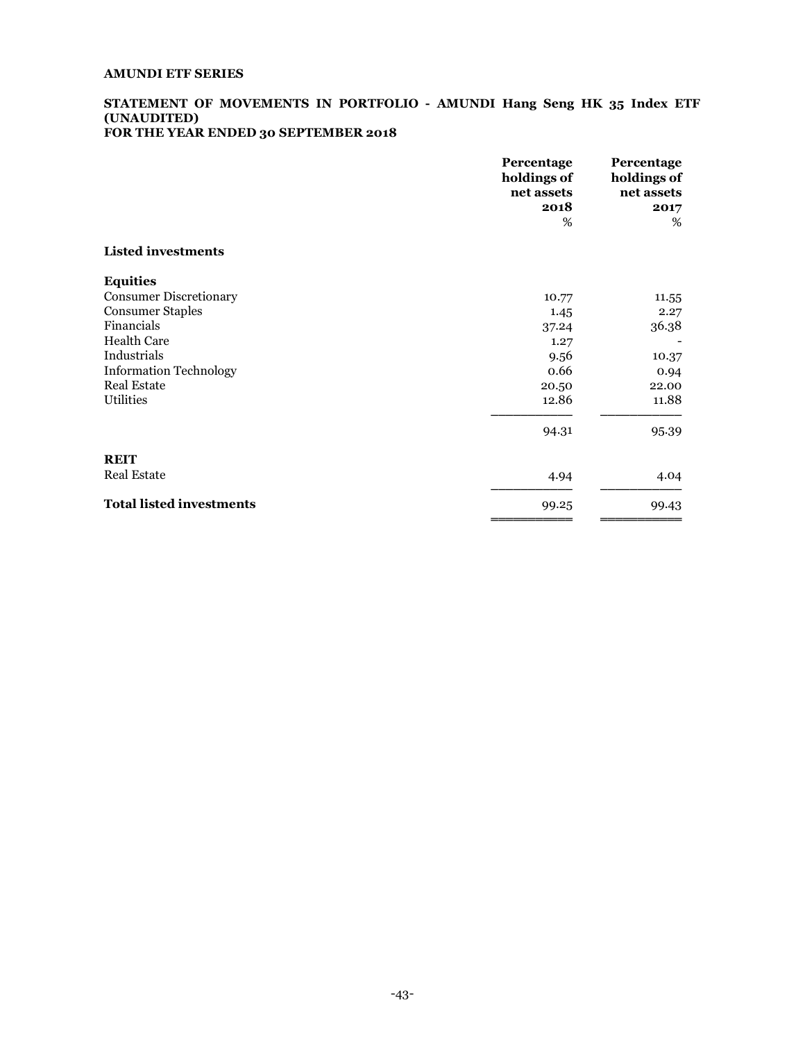# STATEMENT OF MOVEMENTS IN PORTFOLIO - AMUNDI Hang Seng HK 35 Index ETF (UNAUDITED) FOR THE YEAR ENDED 30 SEPTEMBER 2018

| Percentage<br>holdings of<br>net assets<br>2017 |
|-------------------------------------------------|
| %                                               |
|                                                 |
|                                                 |
| 11.55                                           |
| 2.27                                            |
| 36.38                                           |
|                                                 |
| 10.37                                           |
| 0.94                                            |
| 22.00                                           |
| 11.88                                           |
| 95.39                                           |
|                                                 |
| 4.04                                            |
| 99.43                                           |
|                                                 |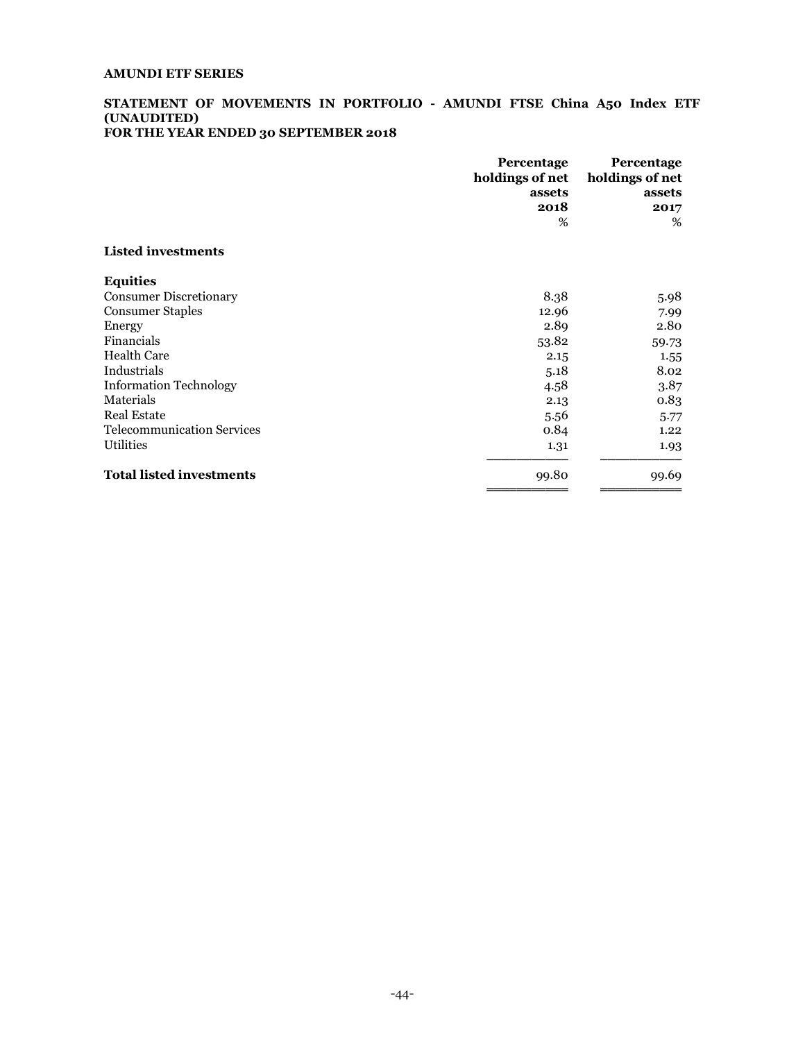# STATEMENT OF MOVEMENTS IN PORTFOLIO - AMUNDI FTSE China A50 Index ETF (UNAUDITED) FOR THE YEAR ENDED 30 SEPTEMBER 2018

|                                   | Percentage<br>holdings of net<br>assets |           |
|-----------------------------------|-----------------------------------------|-----------|
|                                   | 2018<br>%                               | 2017<br>% |
| <b>Listed investments</b>         |                                         |           |
| <b>Equities</b>                   |                                         |           |
| <b>Consumer Discretionary</b>     | 8.38                                    | 5.98      |
| <b>Consumer Staples</b>           | 12.96                                   | 7.99      |
| Energy                            | 2.89                                    | 2.80      |
| Financials                        | 53.82                                   | 59.73     |
| <b>Health Care</b>                | 2.15                                    | 1.55      |
| Industrials                       | 5.18                                    | 8.02      |
| <b>Information Technology</b>     | 4.58                                    | 3.87      |
| Materials                         | 2.13                                    | 0.83      |
| <b>Real Estate</b>                | 5.56                                    | 5.77      |
| <b>Telecommunication Services</b> | 0.84                                    | 1.22      |
| Utilities                         | 1.31                                    | 1.93      |
| <b>Total listed investments</b>   | 99.80                                   | 99.69     |